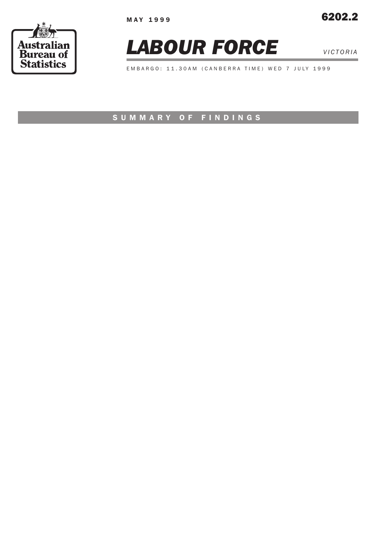





EMBARGO: 11.30AM (CANBERRA TIME) WED 7 JULY 1999

# SUMMARY OF FINDINGS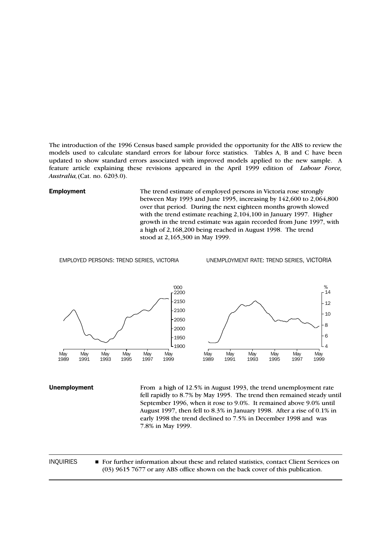The introduction of the 1996 Census based sample provided the opportunity for the ABS to review the models used to calculate standard errors for labour force statistics. Tables A, B and C have been updated to show standard errors associated with improved models applied to the new sample. A feature article explaining these revisions appeared in the April 1999 edition of *Labour Force, Australia,*(Cat. no. 6203.0).

**Employment** The trend estimate of employed persons in Victoria rose strongly between May 1993 and June 1995, increasing by 142,600 to 2,064,800 over that period. During the next eighteen months growth slowed with the trend estimate reaching 2,104,100 in January 1997. Higher growth in the trend estimate was again recorded from June 1997, with a high of 2,168,200 being reached in August 1998. The trend stood at 2,165,300 in May 1999.

EMPLOYED PERSONS: TREND SERIES, VICTORIA UNEMPLOYMENT RATE: TREND SERIES, VICTORIA



Unemployment From a high of 12.5% in August 1993, the trend unemployment rate fell rapidly to 8.7% by May 1995. The trend then remained steady until September 1996, when it rose to 9.0%. It remained above 9.0% until August 1997, then fell to 8.3% in January 1998. After a rise of 0.1% in early 1998 the trend declined to 7.5% in December 1998 and was 7.8% in May 1999.

INQUIRIES For further information about these and related statistics, contact Client Services on (03) 9615 7677 or any ABS office shown on the back cover of this publication.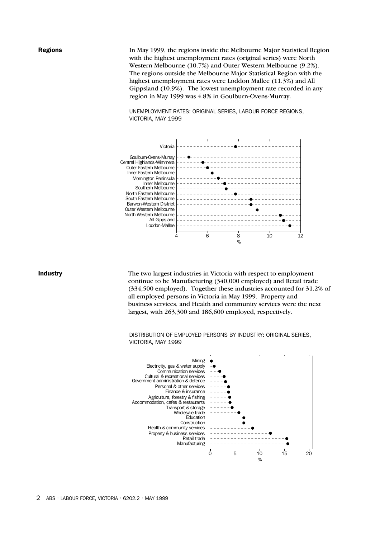**Regions** In May 1999, the regions inside the Melbourne Major Statistical Region with the highest unemployment rates (original series) were North Western Melbourne (10.7%) and Outer Western Melbourne (9.2%). The regions outside the Melbourne Major Statistical Region with the highest unemployment rates were Loddon Mallee (11.3%) and All Gippsland (10.9%). The lowest unemployment rate recorded in any region in May 1999 was 4.8% in Goulburn-Ovens-Murray.

> UNEMPLOYMENT RATES: ORIGINAL SERIES, LABOUR FORCE REGIONS, VICTORIA, MAY 1999



Industry The two largest industries in Victoria with respect to employment continue to be Manufacturing (340,000 employed) and Retail trade (334,500 employed). Together these industries accounted for 31.2% of all employed persons in Victoria in May 1999. Property and business services, and Health and community services were the next largest, with 263,300 and 186,600 employed, respectively.

> DISTRIBUTION OF EMPLOYED PERSONS BY INDUSTRY: ORIGINAL SERIES, VICTORIA, MAY 1999

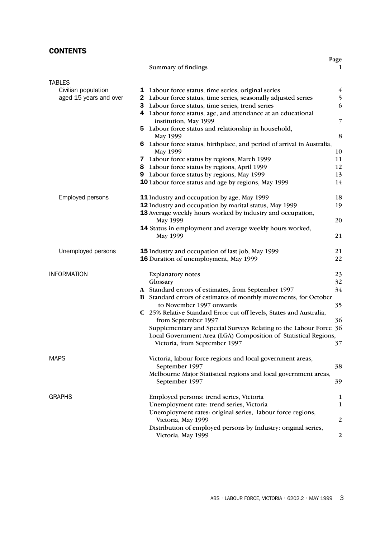# **CONTENTS**

|                                      |                                                                                   | Page                    |
|--------------------------------------|-----------------------------------------------------------------------------------|-------------------------|
|                                      | Summary of findings                                                               | 1                       |
|                                      |                                                                                   |                         |
| <b>TABLES</b><br>Civilian population | <b>1</b> Labour force status, time series, original series                        | $\overline{\mathbf{4}}$ |
| aged 15 years and over               | 2 Labour force status, time series, seasonally adjusted series                    | 5                       |
|                                      | Labour force status, time series, trend series<br>3                               | 6                       |
|                                      | Labour force status, age, and attendance at an educational<br>4                   |                         |
|                                      | institution, May 1999                                                             | 7                       |
|                                      | 5 Labour force status and relationship in household,                              |                         |
|                                      | May 1999                                                                          | 8                       |
|                                      | 6 Labour force status, birthplace, and period of arrival in Australia,            |                         |
|                                      | May 1999                                                                          | 10                      |
|                                      | 7 Labour force status by regions, March 1999                                      | 11                      |
|                                      | 8 Labour force status by regions, April 1999                                      | 12                      |
|                                      | 9 Labour force status by regions, May 1999                                        | 13                      |
|                                      | 10 Labour force status and age by regions, May 1999                               | 14                      |
|                                      |                                                                                   |                         |
| Employed persons                     | <b>11</b> Industry and occupation by age, May 1999                                | 18                      |
|                                      | 12 Industry and occupation by marital status, May 1999                            | 19                      |
|                                      | 13 Average weekly hours worked by industry and occupation,                        |                         |
|                                      | May 1999                                                                          | 20                      |
|                                      | 14 Status in employment and average weekly hours worked,<br>May 1999              | 21                      |
|                                      |                                                                                   |                         |
| Unemployed persons                   | 15 Industry and occupation of last job, May 1999                                  | 21                      |
|                                      | 16 Duration of unemployment, May 1999                                             | 22                      |
| <b>INFORMATION</b>                   |                                                                                   |                         |
|                                      | <b>Explanatory notes</b><br>Glossary                                              | 23<br>32                |
|                                      | A Standard errors of estimates, from September 1997                               | 34                      |
|                                      | <b>B</b> Standard errors of estimates of monthly movements, for October           |                         |
|                                      | to November 1997 onwards                                                          | 35                      |
|                                      | C 25% Relative Standard Error cut off levels, States and Australia,               |                         |
|                                      | from September 1997                                                               | 36                      |
|                                      | Supplementary and Special Surveys Relating to the Labour Force 36                 |                         |
|                                      | Local Government Area (LGA) Composition of Statistical Regions,                   |                         |
|                                      | Victoria, from September 1997                                                     | $\mathfrak{Z}/$         |
|                                      |                                                                                   |                         |
| <b>MAPS</b>                          | Victoria, labour force regions and local government areas,                        |                         |
|                                      | September 1997                                                                    | 38                      |
|                                      | Melbourne Major Statistical regions and local government areas,<br>September 1997 | 39                      |
|                                      |                                                                                   |                         |
| <b>GRAPHS</b>                        | Employed persons: trend series, Victoria                                          | 1                       |
|                                      | Unemployment rate: trend series, Victoria                                         | 1                       |
|                                      | Unemployment rates: original series, labour force regions,                        |                         |
|                                      | Victoria, May 1999                                                                | 2                       |
|                                      | Distribution of employed persons by Industry: original series,                    |                         |
|                                      | Victoria, May 1999                                                                | $\overline{c}$          |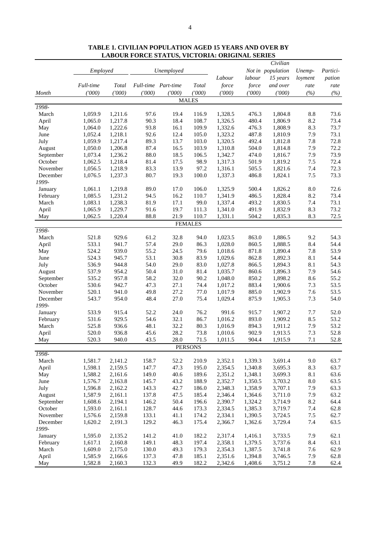|                   |           |              |        |                     |                |         |                | Civilian          |            |              |
|-------------------|-----------|--------------|--------|---------------------|----------------|---------|----------------|-------------------|------------|--------------|
|                   | Employed  |              |        | Unemployed          |                |         |                | Not in population | Unemp-     | Partici-     |
|                   |           |              |        |                     |                | Labour  | labour         | 15 years          | loyment    | pation       |
|                   | Full-time | <b>Total</b> |        | Full-time Part-time | Total          | force   | force          | and over          | rate       | rate         |
| Month             | (1000)    | (1000)       | (1000) | (1000)              | (000)          | (000)   | (1000)         | (1000)            | (%)        | (%)          |
|                   |           |              |        |                     | <b>MALES</b>   |         |                |                   |            |              |
| 1998-             |           |              |        |                     |                |         |                |                   |            |              |
| March             | 1,059.9   | 1,211.6      | 97.6   | 19.4                | 116.9          | 1,328.5 | 476.3          | 1,804.8           | $8.8\,$    | 73.6         |
| April             | 1,065.0   | 1,217.8      | 90.3   | 18.4                | 108.7          | 1,326.5 | 480.4          | 1,806.9           | 8.2        | 73.4         |
| May               | 1,064.0   | 1,222.6      | 93.8   | 16.1                | 109.9          | 1,332.6 | 476.3          | 1,808.9           | 8.3        | 73.7         |
| June              | 1,052.4   | 1,218.1      | 92.6   | 12.4                | 105.0          | 1,323.2 | 487.8          | 1,810.9           | 7.9        | 73.1         |
| July              | 1,059.9   | 1,217.4      | 89.3   | 13.7                | 103.0          | 1,320.5 | 492.4          | 1,812.8           | 7.8        | 72.8         |
| August            | 1,050.0   | 1,206.8      | 87.4   | 16.5                | 103.9          | 1,310.8 | 504.0          | 1,814.8           | 7.9        | 72.2         |
| September         | 1,073.4   | 1,236.2      | 88.0   | 18.5                | 106.5          | 1,342.7 | 474.0          | 1,816.7           | 7.9        | 73.9         |
| October           | 1,062.5   | 1,218.4      | 81.4   | 17.5                | 98.9           | 1,317.3 | 501.9          | 1,819.2           | 7.5        | 72.4         |
| November          | 1,056.5   | 1,218.9      | 83.3   | 13.9                | 97.2           | 1,316.1 | 505.5          | 1,821.6           | 7.4        | 72.3         |
| December          | 1,076.5   | 1,237.3      | 80.7   | 19.3                | 100.0          | 1,337.3 | 486.8          | 1,824.1           | 7.5        | 73.3         |
| 1999-             |           |              |        |                     |                |         |                |                   |            |              |
| January           | 1,061.1   | 1,219.8      | 89.0   | 17.0                | 106.0          | 1,325.9 | 500.4          | 1,826.2           | 8.0        | 72.6         |
| February          | 1,085.5   | 1,231.2      | 94.5   | 16.2                | 110.7          | 1,341.9 | 486.5          | 1,828.4           | 8.2        | 73.4         |
| March             | 1,083.1   | 1,238.3      | 81.9   | 17.1                | 99.0           | 1,337.4 | 493.2          | 1,830.5           | 7.4        | 73.1         |
| April             | 1,065.9   | 1,229.7      | 91.6   | 19.7                | 111.3          | 1,341.0 | 491.9          | 1,832.9           | 8.3        | 73.2         |
| May               | 1,062.5   | 1,220.4      | 88.8   | 21.9                | 110.7          | 1,331.1 | 504.2          | 1,835.3           | 8.3        | 72.5         |
|                   |           |              |        |                     | <b>FEMALES</b> |         |                |                   |            |              |
| 1998-             |           |              |        |                     |                |         |                |                   |            |              |
| March             | 521.8     | 929.6        | 61.2   | 32.8                | 94.0           | 1,023.5 | 863.0          | 1,886.5           | 9.2        | 54.3         |
| April             | 533.1     | 941.7        | 57.4   | 29.0                | 86.3           | 1,028.0 | 860.5          | 1,888.5           | 8.4        | 54.4         |
| May               | 524.2     | 939.0        | 55.2   | 24.5                | 79.6           | 1,018.6 | 871.8          | 1,890.4           | 7.8        | 53.9         |
| June              | 524.3     | 945.7        | 53.1   | 30.8                | 83.9           | 1,029.6 | 862.8          | 1,892.3           | 8.1        | 54.4         |
| July              | 536.9     | 944.8        | 54.0   | 29.0                | 83.0           | 1,027.8 | 866.5          | 1,894.3           | 8.1        | 54.3         |
| August            | 537.9     | 954.2        | 50.4   | 31.0                | 81.4           | 1,035.7 | 860.6          | 1,896.3           | 7.9        | 54.6         |
| September         | 535.2     | 957.8        | 58.2   | 32.0                | 90.2           | 1,048.0 | 850.2          | 1,898.2           | 8.6        | 55.2         |
| October           | 530.6     | 942.7        | 47.3   | 27.1                | 74.4           | 1,017.2 | 883.4          | 1,900.6           | 7.3        | 53.5         |
| November          | 520.1     | 941.0        | 49.8   | 27.2                | 77.0           | 1,017.9 | 885.0          | 1,902.9           | 7.6        | 53.5         |
| December          | 543.7     | 954.0        | 48.4   | 27.0                | 75.4           | 1,029.4 | 875.9          | 1,905.3           | 7.3        | 54.0         |
| 1999-             |           |              |        |                     |                |         |                |                   |            |              |
| January           | 533.9     | 915.4        | 52.2   | 24.0                | 76.2           | 991.6   | 915.7          | 1,907.2           | 7.7        | 52.0         |
| February<br>March | 531.6     | 929.5        | 54.6   | 32.1                | 86.7           | 1,016.2 | 893.0          | 1,909.2           | 8.5        | 53.2         |
|                   | 525.8     | 936.6        | 48.1   | 32.2<br>28.2        | 80.3           | 1,016.9 | 894.3<br>902.9 | 1,911.2           | 7.9<br>7.3 | 53.2<br>52.8 |
| April             | 520.0     | 936.8        | 45.6   | 28.0                | 73.8           | 1,010.6 |                | 1,913.5           | 7.1        | 52.8         |
| May               | 520.3     | 940.0        | 43.5   |                     | 71.5           | 1,011.5 | 904.4          | 1,915.9           |            |              |
| 1998-             |           |              |        |                     | <b>PERSONS</b> |         |                |                   |            |              |
| March             | 1,581.7   | 2,141.2      | 158.7  | 52.2                | 210.9          | 2,352.1 | 1,339.3        | 3,691.4           | 9.0        | 63.7         |
| April             | 1,598.1   | 2,159.5      | 147.7  | 47.3                | 195.0          | 2,354.5 | 1,340.8        | 3,695.3           | 8.3        | 63.7         |
| May               | 1,588.2   | 2,161.6      | 149.0  | 40.6                | 189.6          | 2,351.2 | 1,348.1        | 3,699.3           | $8.1\,$    | 63.6         |
| June              | 1,576.7   | 2,163.8      | 145.7  | 43.2                | 188.9          | 2,352.7 | 1,350.5        | 3,703.2           | $\ \, 8.0$ | 63.5         |
| July              | 1,596.8   | 2,162.2      | 143.3  | 42.7                | 186.0          | 2,348.3 | 1,358.9        | 3,707.1           | 7.9        | 63.3         |
| August            | 1,587.9   | 2,161.1      | 137.8  | 47.5                | 185.4          | 2,346.4 | 1,364.6        | 3,711.0           | 7.9        | 63.2         |
| September         | 1,608.6   | 2,194.1      | 146.2  | 50.4                | 196.6          | 2,390.7 | 1,324.2        | 3,714.9           | $8.2\,$    | 64.4         |
| October           | 1,593.0   | 2,161.1      | 128.7  | 44.6                | 173.3          | 2,334.5 | 1,385.3        | 3,719.7           | 7.4        | 62.8         |
| November          | 1,576.6   | 2,159.8      | 133.1  | 41.1                | 174.2          | 2,334.1 | 1,390.5        | 3,724.5           | $7.5$      | 62.7         |
| December          | 1,620.2   | 2,191.3      | 129.2  | 46.3                | 175.4          | 2,366.7 | 1,362.6        | 3,729.4           | 7.4        | 63.5         |
| 1999-             |           |              |        |                     |                |         |                |                   |            |              |
| January           | 1,595.0   | 2,135.2      | 141.2  | 41.0                | 182.2          | 2,317.4 | 1,416.1        | 3,733.5           | 7.9        | 62.1         |
| February          | 1,617.1   | 2,160.8      | 149.1  | 48.3                | 197.4          | 2,358.1 | 1,379.5        | 3,737.6           | 8.4        | 63.1         |
| March             | 1,609.0   | 2,175.0      | 130.0  | 49.3                | 179.3          | 2,354.3 | 1,387.5        | 3,741.8           | 7.6        | 62.9         |
| April             | 1,585.9   | 2,166.6      | 137.3  | 47.8                | 185.1          | 2,351.6 | 1,394.8        | 3,746.5           | 7.9        | 62.8         |
| May               | 1,582.8   | 2,160.3      | 132.3  | 49.9                | 182.2          | 2,342.6 | 1,408.6        | 3,751.2           | 7.8        | 62.4         |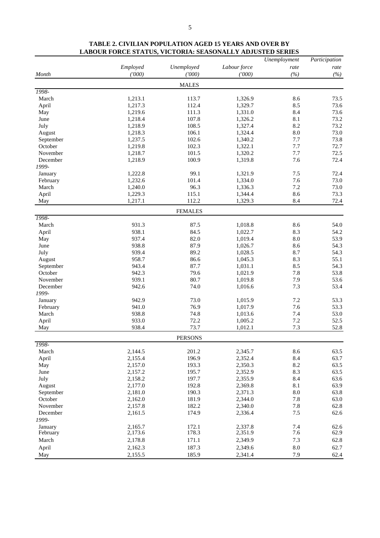|                     |                    |                |                    | Unemployment      | Participation |
|---------------------|--------------------|----------------|--------------------|-------------------|---------------|
|                     | Employed           | Unemployed     | Labour force       | rate              | rate          |
| Month               | (′000)             | (000)          | (1000)             | (%)               | (%)           |
|                     |                    | <b>MALES</b>   |                    |                   |               |
| 1998-               |                    |                |                    |                   |               |
| March               | 1,213.1            | 113.7          | 1,326.9            | 8.6               | 73.5          |
| April               | 1,217.3            | 112.4          | 1,329.7            | 8.5               | 73.6          |
| May                 | 1,219.6            | 111.3          | 1,331.0            | 8.4               | 73.6          |
| June                | 1,218.4            | 107.8          | 1,326.2            | 8.1               | 73.2          |
| July                | 1,218.9            | 108.5<br>106.1 | 1,327.4<br>1,324.4 | 8.2<br>$\ \, 8.0$ | 73.2<br>73.0  |
| August<br>September | 1,218.3<br>1,237.5 | 102.6          | 1,340.2            | 7.7               | 73.8          |
| October             | 1,219.8            | 102.3          | 1,322.1            | 7.7               | 72.7          |
| November            | 1,218.7            | 101.5          | 1,320.2            | 7.7               | 72.5          |
| December            | 1,218.9            | 100.9          | 1,319.8            | 7.6               | 72.4          |
| 1999-               |                    |                |                    |                   |               |
| January             | 1,222.8            | 99.1           | 1,321.9            | 7.5               | 72.4          |
| February            | 1,232.6            | 101.4          | 1,334.0            | 7.6               | 73.0          |
| March               | 1,240.0            | 96.3           | 1,336.3            | $7.2\,$           | 73.0          |
| April               | 1,229.3            | 115.1          | 1,344.4            | 8.6               | 73.3          |
| May                 | 1,217.1            | 112.2          | 1,329.3            | 8.4               | 72.4          |
|                     |                    | <b>FEMALES</b> |                    |                   |               |
| 1998-               |                    |                |                    |                   |               |
| March               | 931.3              | 87.5           | 1,018.8            | 8.6               | 54.0          |
| April               | 938.1              | 84.5           | 1,022.7            | 8.3               | 54.2          |
| May                 | 937.4              | 82.0           | 1,019.4            | 8.0               | 53.9          |
| June                | 938.8              | 87.9           | 1,026.7            | 8.6               | 54.3          |
| July                | 939.4              | 89.2           | 1,028.5            | 8.7               | 54.3          |
| August              | 958.7              | 86.6           | 1,045.3            | 8.3               | 55.1          |
| September           | 943.4              | 87.7           | 1,031.1            | 8.5               | 54.3          |
| October             | 942.3              | 79.6           | 1,021.9            | 7.8               | 53.8          |
| November            | 939.1              | 80.7           | 1,019.8            | 7.9               | 53.6          |
| December<br>1999-   | 942.6              | 74.0           | 1,016.6            | 7.3               | 53.4          |
| January             | 942.9              | 73.0           | 1,015.9            | $7.2\,$           | 53.3          |
| February            | 941.0              | 76.9           | 1,017.9            | 7.6               | 53.3          |
| March               | 938.8              | 74.8           | 1,013.6            | 7.4               | 53.0          |
| April               | 933.0              | 72.2           | 1,005.2            | 7.2               | 52.5          |
| May                 | 938.4              | 73.7           | 1,012.1            | 7.3               | 52.8          |
|                     |                    | <b>PERSONS</b> |                    |                   |               |
| 1998-               |                    |                |                    |                   |               |
| March               | 2,144.5            | 201.2          | 2,345.7            | 8.6               | 63.5          |
| April               | 2,155.4            | 196.9          | 2,352.4            | 8.4               | 63.7          |
| May                 | 2,157.0            | 193.3          | 2,350.3            | $8.2\,$           | 63.5          |
| June                | 2,157.2            | 195.7          | 2,352.9            | 8.3               | 63.5          |
| July                | 2,158.2            | 197.7          | 2,355.9            | 8.4               | 63.6          |
| August              | 2,177.0            | 192.8          | 2,369.8            | 8.1               | 63.9          |
| September           | 2,181.0            | 190.3          | 2,371.3            | $8.0\,$           | 63.8          |
| October             | 2,162.0            | 181.9          | 2,344.0            | $7.8\,$           | 63.0          |
| November            | 2,157.8            | 182.2          | 2,340.0            | 7.8               | 62.8          |
| December            | 2,161.5            | 174.9          | 2,336.4            | 7.5               | 62.6          |
| 1999-               |                    |                |                    |                   |               |
| January             | 2,165.7            | 172.1<br>178.3 | 2,337.8            | 7.4<br>7.6        | 62.6<br>62.9  |
| February            | 2,173.6            |                | 2,351.9            | 7.3               |               |
| March               | 2,178.8            | 171.1          | 2,349.9            | $\ \, 8.0$        | 62.8          |
| April               | 2,162.3<br>2,155.5 | 187.3<br>185.9 | 2,349.6<br>2,341.4 | 7.9               | 62.7<br>62.4  |
| May                 |                    |                |                    |                   |               |

# **TABLE 2. CIVILIAN POPULATION AGED 15 YEARS AND OVER BY LABOUR FORCE STATUS, VICTORIA: SEASONALLY ADJUSTED SERIES**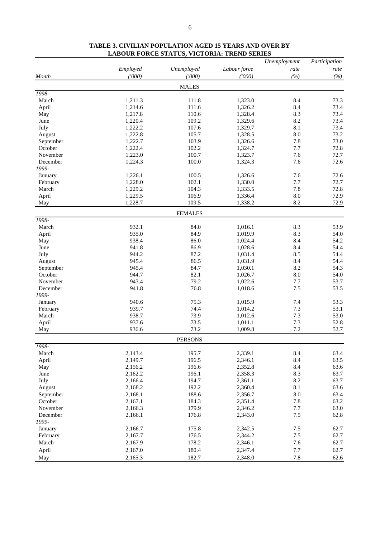|                   |          |                |              | Unemployment | Participation |
|-------------------|----------|----------------|--------------|--------------|---------------|
|                   | Employed | Unemployed     | Labour force | rate         | rate          |
| Month             | (7000)   | (7000)         | (000)        | (%)          | (%)           |
|                   |          | <b>MALES</b>   |              |              |               |
| 1998-             |          |                |              |              |               |
| March             | 1,211.3  | 111.8          | 1,323.0      | 8.4          | 73.3          |
| April             | 1,214.6  | 111.6          | 1,326.2      | 8.4          | 73.4          |
| May               | 1,217.8  | 110.6          | 1,328.4      | 8.3          | 73.4          |
| June              | 1,220.4  | 109.2          | 1,329.6      | 8.2          | 73.4          |
| July              | 1,222.2  | 107.6          | 1,329.7      | 8.1          | 73.4          |
| August            | 1,222.8  | 105.7          | 1,328.5      | 8.0          | 73.2          |
| September         | 1,222.7  | 103.9          | 1,326.6      | 7.8          | 73.0          |
| October           | 1,222.4  | 102.2          | 1,324.7      | 7.7          | 72.8          |
| November          | 1,223.0  | 100.7          | 1,323.7      | 7.6          | 72.7          |
| December          | 1,224.3  | 100.0          | 1,324.3      | 7.6          | 72.6          |
| 1999-             |          |                |              |              |               |
| January           | 1,226.1  | 100.5          | 1,326.6      | 7.6          | 72.6          |
| February          | 1,228.0  | 102.1          | 1,330.0      | 7.7          | 72.7          |
| March             | 1,229.2  | 104.3          | 1,333.5      | 7.8          | 72.8          |
| April             | 1,229.5  | 106.9          | 1,336.4      | 8.0          | 72.9          |
| May               | 1,228.7  | 109.5          | 1,338.2      | 8.2          | 72.9          |
|                   |          | <b>FEMALES</b> |              |              |               |
| 1998-             |          |                |              |              |               |
| March             | 932.1    | 84.0           | 1,016.1      | 8.3          | 53.9          |
| April             | 935.0    | 84.9           | 1,019.9      | 8.3          | 54.0          |
| May               | 938.4    | 86.0           | 1,024.4      | 8.4          | 54.2          |
| June              | 941.8    | 86.9           | 1,028.6      | 8.4          | 54.4          |
| July              | 944.2    | 87.2           | 1,031.4      | 8.5          | 54.4          |
| August            | 945.4    | 86.5           | 1,031.9      | 8.4          | 54.4          |
| September         | 945.4    | 84.7           | 1,030.1      | 8.2          | 54.3          |
| October           | 944.7    | 82.1           | 1,026.7      | 8.0          | 54.0          |
| November          | 943.4    | 79.2           | 1,022.6      | 7.7          | 53.7          |
| December<br>1999- | 941.8    | 76.8           | 1,018.6      | 7.5          | 53.5          |
| January           | 940.6    | 75.3           | 1,015.9      | 7.4          | 53.3          |
| February          | 939.7    | 74.4           | 1,014.2      | 7.3          | 53.1          |
| March             | 938.7    | 73.9           | 1,012.6      | 7.3          | 53.0          |
| April             | 937.6    | 73.5           | 1,011.1      | 7.3          | 52.8          |
| May               | 936.6    | 73.2           | 1,009.8      | 7.2          | 52.7          |
|                   |          | <b>PERSONS</b> |              |              |               |
| 1998-             |          |                |              |              |               |
| March             | 2,143.4  | 195.7          | 2,339.1      | 8.4          | 63.4          |
| April             | 2,149.7  | 196.5          | 2,346.1      | 8.4          | 63.5          |
| May               | 2,156.2  | 196.6          | 2,352.8      | 8.4          | 63.6          |
| June              | 2,162.2  | 196.1          | 2,358.3      | 8.3          | 63.7          |
| July              | 2,166.4  | 194.7          | 2,361.1      | 8.2          | 63.7          |
| August            | 2,168.2  | 192.2          | 2,360.4      | $8.1\,$      | 63.6          |
| September         | 2,168.1  | 188.6          | 2,356.7      | $8.0\,$      | 63.4          |
| October           | 2,167.1  | 184.3          | 2,351.4      | 7.8          | 63.2          |
| November          | 2,166.3  | 179.9          | 2,346.2      | 7.7          | 63.0          |
| December          | 2,166.1  | 176.8          | 2,343.0      | $7.5\,$      | 62.8          |
| 1999-             |          |                |              |              |               |
| January           | 2,166.7  | 175.8          | 2,342.5      | 7.5          | 62.7          |
| February          | 2,167.7  | 176.5          | 2,344.2      | $7.5\,$      | 62.7          |
| March             | 2,167.9  | 178.2          | 2,346.1      | 7.6          | 62.7          |
| April             | 2,167.0  | 180.4          | 2,347.4      | $7.7\,$      | 62.7          |
| May               | 2,165.3  | 182.7          | 2,348.0      | $7.8\,$      | 62.6          |

# **TABLE 3. CIVILIAN POPULATION AGED 15 YEARS AND OVER BY LABOUR FORCE STATUS, VICTORIA: TREND SERIES**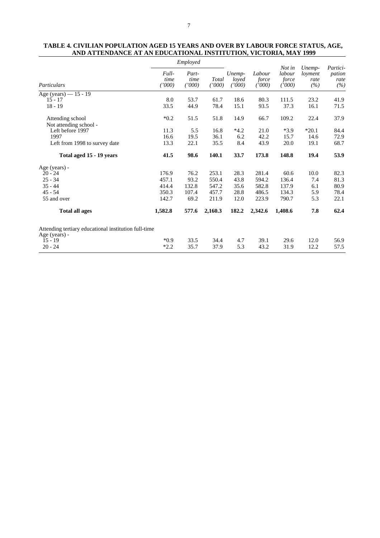#### **TABLE 4. CIVILIAN POPULATION AGED 15 YEARS AND OVER BY LABOUR FORCE STATUS, AGE, AND ATTENDANCE AT AN EDUCATIONAL INSTITUTION, VICTORIA, MAY 1999**

|                               | Employed                                                                                                                                                                                                                                                                                 |                                            |                           |                           |                           | Not in                           |                       | Partici- |
|-------------------------------|------------------------------------------------------------------------------------------------------------------------------------------------------------------------------------------------------------------------------------------------------------------------------------------|--------------------------------------------|---------------------------|---------------------------|---------------------------|----------------------------------|-----------------------|----------|
| Particulars                   | Full-<br>time<br>$^{\prime\prime}000)$<br>8.0<br>33.5<br>$*0.2$<br>Left before 1997<br>11.3<br>16.6<br>13.3<br>41.5<br>Total aged 15 - 19 years<br>176.9<br>457.1<br>414.4<br>350.3<br>142.7<br>1,582.8<br><b>Total all ages</b><br>Attending tertiary educational institution full-time | Part-<br>time<br>Total<br>(1000)<br>(1000) | Unemp-<br>loved<br>(1000) | Labour<br>force<br>(1000) | labour<br>force<br>(1000) | Unemp-<br>loyment<br>rate<br>(%) | pation<br>rate<br>(%) |          |
| Age (years) - 15 - 19         |                                                                                                                                                                                                                                                                                          |                                            |                           |                           |                           |                                  |                       |          |
| $15 - 17$                     |                                                                                                                                                                                                                                                                                          | 53.7                                       | 61.7                      | 18.6                      | 80.3                      | 111.5                            | 23.2                  | 41.9     |
| $18 - 19$                     |                                                                                                                                                                                                                                                                                          | 44.9                                       | 78.4                      | 15.1                      | 93.5                      | 37.3                             | 16.1                  | 71.5     |
| Attending school              |                                                                                                                                                                                                                                                                                          | 51.5                                       | 51.8                      | 14.9                      | 66.7                      | 109.2                            | 22.4                  | 37.9     |
| Not attending school -        |                                                                                                                                                                                                                                                                                          |                                            |                           |                           |                           |                                  |                       |          |
|                               |                                                                                                                                                                                                                                                                                          | 5.5                                        | 16.8                      | $*4.2$                    | 21.0                      | $*3.9$                           | $*20.1$               | 84.4     |
| 1997                          |                                                                                                                                                                                                                                                                                          | 19.5                                       | 36.1                      | 6.2                       | 42.2                      | 15.7                             | 14.6                  | 72.9     |
| Left from 1998 to survey date |                                                                                                                                                                                                                                                                                          | 22.1                                       | 35.5                      | 8.4                       | 43.9                      | 20.0                             | 19.1                  | 68.7     |
|                               |                                                                                                                                                                                                                                                                                          | 98.6                                       | 140.1                     | 33.7                      | 173.8                     | 148.8                            | 19.4                  | 53.9     |
| Age (years) -                 |                                                                                                                                                                                                                                                                                          |                                            |                           |                           |                           |                                  |                       |          |
| $20 - 24$                     |                                                                                                                                                                                                                                                                                          | 76.2                                       | 253.1                     | 28.3                      | 281.4                     | 60.6                             | 10.0                  | 82.3     |
| $25 - 34$                     |                                                                                                                                                                                                                                                                                          | 93.2                                       | 550.4                     | 43.8                      | 594.2                     | 136.4                            | 7.4                   | 81.3     |
| $35 - 44$                     |                                                                                                                                                                                                                                                                                          | 132.8                                      | 547.2                     | 35.6                      | 582.8                     | 137.9                            | 6.1                   | 80.9     |
| $45 - 54$                     |                                                                                                                                                                                                                                                                                          | 107.4                                      | 457.7                     | 28.8                      | 486.5                     | 134.3                            | 5.9                   | 78.4     |
| 55 and over                   |                                                                                                                                                                                                                                                                                          | 69.2                                       | 211.9                     | 12.0                      | 223.9                     | 790.7                            | 5.3                   | 22.1     |
|                               |                                                                                                                                                                                                                                                                                          | 577.6                                      | 2,160.3                   | 182.2                     | 2,342.6                   | 1,408.6                          | 7.8                   | 62.4     |
| Age (years) -                 |                                                                                                                                                                                                                                                                                          |                                            |                           |                           |                           |                                  |                       |          |
| $15 - 19$                     | $*0.9$                                                                                                                                                                                                                                                                                   | 33.5                                       | 34.4                      | 4.7                       | 39.1                      | 29.6                             | 12.0                  | 56.9     |
| $20 - 24$                     | $*2.2$                                                                                                                                                                                                                                                                                   | 35.7                                       | 37.9                      | 5.3                       | 43.2                      | 31.9                             | 12.2                  | 57.5     |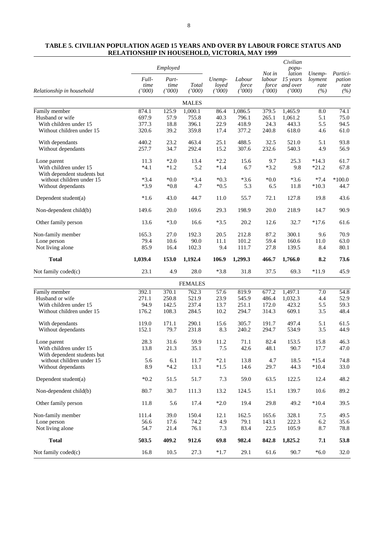| TABLE 5. CIVILIAN POPULATION AGED 15 YEARS AND OVER BY LABOUR FORCE STATUS AND |
|--------------------------------------------------------------------------------|
| <b>RELATIONSHIP IN HOUSEHOLD, VICTORIA, MAY 1999</b>                           |

|                             | Employed                |                         |                 | Not in                    | Civilian<br>popu-         |                           | Partici-                                 |                                  |                       |
|-----------------------------|-------------------------|-------------------------|-----------------|---------------------------|---------------------------|---------------------------|------------------------------------------|----------------------------------|-----------------------|
| Relationship in household   | Full-<br>time<br>(1000) | Part-<br>time<br>(1000) | Total<br>(1000) | Unemp-<br>loyed<br>(1000) | Labour<br>force<br>(1000) | labour<br>force<br>(1000) | lation<br>15 years<br>and over<br>(1000) | Unemp-<br>loyment<br>rate<br>(%) | pation<br>rate<br>(%) |
|                             |                         |                         | <b>MALES</b>    |                           |                           |                           |                                          |                                  |                       |
| Family member               | 874.1                   | 125.9                   | 1,000.1         | 86.4                      | 1,086.5                   | 379.5                     | 1,465.9                                  | 8.0                              | 74.1                  |
| Husband or wife             | 697.9                   | 57.9                    | 755.8           | 40.3                      | 796.1                     | 265.1                     | 1,061.2                                  | 5.1                              | 75.0                  |
| With children under 15      | 377.3                   | 18.8                    | 396.1           | 22.9                      | 418.9                     | 24.3                      | 443.3                                    | 5.5                              | 94.5                  |
| Without children under 15   | 320.6                   | 39.2                    | 359.8           | 17.4                      | 377.2                     | 240.8                     | 618.0                                    | 4.6                              | 61.0                  |
| With dependants             | 440.2                   | 23.2                    | 463.4           | 25.1                      | 488.5                     | 32.5                      | 521.0                                    | 5.1                              | 93.8                  |
| Without dependants          | 257.7                   | 34.7                    | 292.4           | 15.2                      | 307.6                     | 232.6                     | 540.3                                    | 4.9                              | 56.9                  |
| Lone parent                 | 11.3                    | $*2.0$                  | 13.4            | $*2.2$                    | 15.6                      | 9.7                       | 25.3                                     | $*14.3$                          | 61.7                  |
| With children under 15      | $*4.1$                  | $*1.2$                  | 5.2             | $*1.4$                    | 6.7                       | $*3.2$                    | 9.8                                      | $*21.2$                          | 67.8                  |
| With dependent students but |                         |                         |                 |                           |                           |                           |                                          |                                  |                       |
| without children under 15   | $*3.4$                  | $*0.0*$                 | $*3.4$          | $*0.3$                    | $*3.6$                    | $*0.0$                    | $*3.6$                                   | $*7.4$                           | $*100.0$              |
| Without dependants          | $*3.9$                  | $*0.8$                  | 4.7             | $*0.5$                    | 5.3                       | 6.5                       | 11.8                                     | $*10.3$                          | 44.7                  |
| Dependent student(a)        | $*1.6$                  | 43.0                    | 44.7            | 11.0                      | 55.7                      | 72.1                      | 127.8                                    | 19.8                             | 43.6                  |
| Non-dependent child(b)      | 149.6                   | 20.0                    | 169.6           | 29.3                      | 198.9                     | 20.0                      | 218.9                                    | 14.7                             | 90.9                  |
| Other family person         | 13.6                    | $*3.0$                  | 16.6            | $*3.5$                    | 20.2                      | 12.6                      | 32.7                                     | $*17.6$                          | 61.6                  |
| Non-family member           | 165.3                   | 27.0                    | 192.3           | 20.5                      | 212.8                     | 87.2                      | 300.1                                    | 9.6                              | 70.9                  |
| Lone person                 | 79.4                    | 10.6                    | 90.0            | 11.1                      | 101.2                     | 59.4                      | 160.6                                    | 11.0                             | 63.0                  |
| Not living alone            | 85.9                    | 16.4                    | 102.3           | 9.4                       | 111.7                     | 27.8                      | 139.5                                    | 8.4                              | 80.1                  |
| <b>Total</b>                | 1,039.4                 | 153.0                   | 1,192.4         | 106.9                     | 1,299.3                   | 466.7                     | 1,766.0                                  | 8.2                              | 73.6                  |
| Not family coded(c)         | 23.1                    | 4.9                     | 28.0            | $*3.8$                    | 31.8                      | 37.5                      | 69.3                                     | $*11.9$                          | 45.9                  |
|                             |                         |                         | <b>FEMALES</b>  |                           |                           |                           |                                          |                                  |                       |
| Family member               | 392.1                   | 370.1                   | 762.3           | 57.6                      | 819.9                     | 677.2                     | 1,497.1                                  | 7.0                              | 54.8                  |
| Husband or wife             | 271.1                   | 250.8                   | 521.9           | 23.9                      | 545.9                     | 486.4                     | 1,032.3                                  | 4.4                              | 52.9                  |
| With children under 15      | 94.9                    | 142.5                   | 237.4           | 13.7                      | 251.1                     | 172.0                     | 423.2                                    | 5.5                              | 59.3                  |
| Without children under 15   | 176.2                   | 108.3                   | 284.5           | 10.2                      | 294.7                     | 314.3                     | 609.1                                    | 3.5                              | 48.4                  |
| With dependants             | 119.0                   | 171.1                   | 290.1           | 15.6                      | 305.7                     | 191.7                     | 497.4                                    | 5.1                              | 61.5                  |
| Without dependants          | 152.1                   | 79.7                    | 231.8           | 8.3                       | 240.2                     | 294.7                     | 534.9                                    | 3.5                              | 44.9                  |
| Lone parent                 | 28.3                    | 31.6                    | 59.9            | 11.2                      | 71.1                      | 82.4                      | 153.5                                    | 15.8                             | 46.3                  |
| With children under 15      | 13.8                    | 21.3                    | 35.1            | 7.5                       | 42.6                      | 48.1                      | 90.7                                     | 17.7                             | 47.0                  |
| With dependent students but |                         |                         |                 |                           |                           |                           |                                          |                                  |                       |
| without children under 15   | 5.6                     | 6.1                     | 11.7            | $*2.1$                    | 13.8                      | 4.7                       | 18.5                                     | $*15.4$                          | 74.8                  |
| Without dependants          | 8.9                     | $*4.2$                  | 13.1            | $*1.5$                    | 14.6                      | 29.7                      | 44.3                                     | $*10.4$                          | 33.0                  |
| Dependent student(a)        | $*0.2$                  | 51.5                    | 51.7            | 7.3                       | 59.0                      | 63.5                      | 122.5                                    | 12.4                             | 48.2                  |
| Non-dependent child(b)      | 80.7                    | 30.7                    | 111.3           | 13.2                      | 124.5                     | 15.1                      | 139.7                                    | 10.6                             | 89.2                  |
| Other family person         | 11.8                    | 5.6                     | 17.4            | $*2.0$                    | 19.4                      | 29.8                      | 49.2                                     | $*10.4$                          | 39.5                  |
| Non-family member           | 111.4                   | 39.0                    | 150.4           | 12.1                      | 162.5                     | 165.6                     | 328.1                                    | 7.5                              | 49.5                  |
| Lone person                 | 56.6                    | 17.6                    | 74.2            | 4.9                       | 79.1                      | 143.1                     | 222.3                                    | 6.2                              | 35.6                  |
| Not living alone            | 54.7                    | 21.4                    | 76.1            | 7.3                       | 83.4                      | 22.5                      | 105.9                                    | 8.7                              | 78.8                  |
| <b>Total</b>                | 503.5                   | 409.2                   | 912.6           | 69.8                      | 982.4                     | 842.8                     | 1,825.2                                  | 7.1                              | 53.8                  |
| Not family coded(c)         | 16.8                    | 10.5                    | 27.3            | $*1.7$                    | 29.1                      | 61.6                      | 90.7                                     | $*6.0$                           | 32.0                  |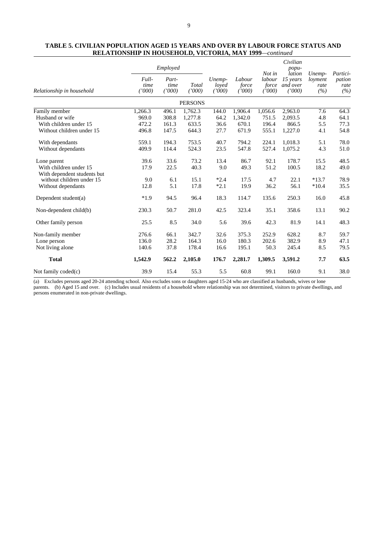# **TABLE 5. CIVILIAN POPULATION AGED 15 YEARS AND OVER BY LABOUR FORCE STATUS AND RELATIONSHIP IN HOUSEHOLD, VICTORIA, MAY 1999***—continued*

|                             |                         | Employed                |                 |                           |                           |                                     | Civilian<br>popu-                        |                                  |                                   |
|-----------------------------|-------------------------|-------------------------|-----------------|---------------------------|---------------------------|-------------------------------------|------------------------------------------|----------------------------------|-----------------------------------|
| Relationship in household   | Full-<br>time<br>(1000) | Part-<br>time<br>(1000) | Total<br>(1000) | Unemp-<br>loved<br>(1000) | Labour<br>force<br>('000) | Not in<br>labour<br>force<br>(1000) | lation<br>15 years<br>and over<br>(1000) | Unemp-<br>loyment<br>rate<br>(%) | Partici-<br>pation<br>rate<br>(%) |
|                             |                         |                         | <b>PERSONS</b>  |                           |                           |                                     |                                          |                                  |                                   |
| Family member               | 1,266.3                 | 496.1                   | 1,762.3         | 144.0                     | 1,906.4                   | 1,056.6                             | 2,963.0                                  | 7.6                              | 64.3                              |
| Husband or wife             | 969.0                   | 308.8                   | 1,277.8         | 64.2                      | 1,342.0                   | 751.5                               | 2,093.5                                  | 4.8                              | 64.1                              |
| With children under 15      | 472.2                   | 161.3                   | 633.5           | 36.6                      | 670.1                     | 196.4                               | 866.5                                    | 5.5                              | 77.3                              |
| Without children under 15   | 496.8                   | 147.5                   | 644.3           | 27.7                      | 671.9                     | 555.1                               | 1,227.0                                  | 4.1                              | 54.8                              |
| With dependants             | 559.1                   | 194.3                   | 753.5           | 40.7                      | 794.2                     | 224.1                               | 1,018.3                                  | 5.1                              | 78.0                              |
| Without dependants          | 409.9                   | 114.4                   | 524.3           | 23.5                      | 547.8                     | 527.4                               | 1,075.2                                  | 4.3                              | 51.0                              |
| Lone parent                 | 39.6                    | 33.6                    | 73.2            | 13.4                      | 86.7                      | 92.1                                | 178.7                                    | 15.5                             | 48.5                              |
| With children under 15      | 17.9                    | 22.5                    | 40.3            | 9.0                       | 49.3                      | 51.2                                | 100.5                                    | 18.2                             | 49.0                              |
| With dependent students but |                         |                         |                 |                           |                           |                                     |                                          |                                  |                                   |
| without children under 15   | 9.0                     | 6.1                     | 15.1            | $*2.4$                    | 17.5                      | 4.7                                 | 22.1                                     | $*13.7$                          | 78.9                              |
| Without dependants          | 12.8                    | 5.1                     | 17.8            | $*2.1$                    | 19.9                      | 36.2                                | 56.1                                     | $*10.4$                          | 35.5                              |
| Dependent student(a)        | $*1.9$                  | 94.5                    | 96.4            | 18.3                      | 114.7                     | 135.6                               | 250.3                                    | 16.0                             | 45.8                              |
| Non-dependent child(b)      | 230.3                   | 50.7                    | 281.0           | 42.5                      | 323.4                     | 35.1                                | 358.6                                    | 13.1                             | 90.2                              |
| Other family person         | 25.5                    | 8.5                     | 34.0            | 5.6                       | 39.6                      | 42.3                                | 81.9                                     | 14.1                             | 48.3                              |
| Non-family member           | 276.6                   | 66.1                    | 342.7           | 32.6                      | 375.3                     | 252.9                               | 628.2                                    | 8.7                              | 59.7                              |
| Lone person                 | 136.0                   | 28.2                    | 164.3           | 16.0                      | 180.3                     | 202.6                               | 382.9                                    | 8.9                              | 47.1                              |
| Not living alone            | 140.6                   | 37.8                    | 178.4           | 16.6                      | 195.1                     | 50.3                                | 245.4                                    | 8.5                              | 79.5                              |
| <b>Total</b>                | 1,542.9                 | 562.2                   | 2,105.0         | 176.7                     | 2,281.7                   | 1,309.5                             | 3,591.2                                  | 7.7                              | 63.5                              |
| Not family $coded(c)$       | 39.9                    | 15.4                    | 55.3            | 5.5                       | 60.8                      | 99.1                                | 160.0                                    | 9.1                              | 38.0                              |

(a) Excludes persons aged 20-24 attending school. Also excludes sons or daughters aged 15-24 who are classified as husbands, wives or lone parents. (b) Aged 15 and over. (c) Includes usual residents of a household where relationship was not determined, visitors to private dwellings, and persons enumerated in non-private dwellings.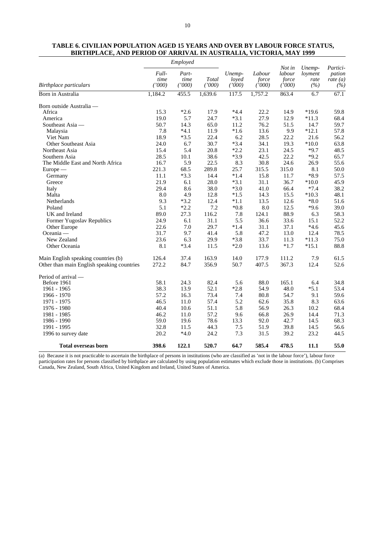| TABLE 6. CIVILIAN POPULATION AGED 15 YEARS AND OVER BY LABOUR FORCE STATUS. |                                                                           |  |  |
|-----------------------------------------------------------------------------|---------------------------------------------------------------------------|--|--|
|                                                                             | <b>BIRTHPLACE, AND PERIOD OF ARRIVAL IN AUSTRALIA, VICTORIA, MAY 1999</b> |  |  |

|                                            | Employed                |                         |                 |                           |                           |                                     |                                  |                                         |
|--------------------------------------------|-------------------------|-------------------------|-----------------|---------------------------|---------------------------|-------------------------------------|----------------------------------|-----------------------------------------|
| Birthplace particulars                     | Full-<br>time<br>(1000) | Part-<br>time<br>(1000) | Total<br>(1000) | Unemp-<br>loved<br>(1000) | Labour<br>force<br>(1000) | Not in<br>labour<br>force<br>(1000) | Unemp-<br>loyment<br>rate<br>(%) | Partici-<br>pation<br>rate $(a)$<br>(%) |
| Born in Australia                          | 1,184.2                 | 455.5                   | 1,639.6         | 117.5                     | 1,757.2                   | 863.4                               | 6.7                              | 67.1                                    |
| Born outside Australia -                   |                         |                         |                 |                           |                           |                                     |                                  |                                         |
| Africa                                     | 15.3                    | $*2.6$                  | 17.9            | $*4.4$                    | 22.2                      | 14.9                                | $*19.6$                          | 59.8                                    |
| America                                    | 19.0                    | 5.7                     | 24.7            | $*3.1$                    | 27.9                      | 12.9                                | $*11.3$                          | 68.4                                    |
| Southeast Asia —                           | 50.7                    | 14.3                    | 65.0            | 11.2                      | 76.2                      | 51.5                                | 14.7                             | 59.7                                    |
| Malaysia                                   | 7.8                     | $*4.1$                  | 11.9            | $*1.6$                    | 13.6                      | 9.9                                 | $*12.1$                          | 57.8                                    |
| Viet Nam                                   | 18.9                    | $*3.5$                  | 22.4            | 6.2                       | 28.5                      | 22.2                                | 21.6                             | 56.2                                    |
| <b>Other Southeast Asia</b>                | 24.0                    | 6.7                     | 30.7            | $*3.4$                    | 34.1                      | 19.3                                | $*10.0$                          | 63.8                                    |
| Northeast Asia                             | 15.4                    | 5.4                     | 20.8            | $*2.2$                    | 23.1                      | 24.5                                | $*9.7$                           | 48.5                                    |
| Southern Asia                              | 28.5                    | 10.1                    | 38.6            | $*3.9$                    | 42.5                      | 22.2                                | $*9.2$                           | 65.7                                    |
| The Middle East and North Africa           | 16.7                    | 5.9                     | 22.5            | 8.3                       | 30.8                      | 24.6                                | 26.9                             | 55.6                                    |
| $Europe$ —                                 | 221.3                   | 68.5                    | 289.8           | 25.7                      | 315.5                     | 315.0                               | 8.1                              | 50.0                                    |
| Germany                                    | 11.1                    | $*3.3$                  | 14.4            | $*1.4$                    | 15.8                      | 11.7                                | $*8.9$                           | 57.5                                    |
| Greece                                     | 21.9                    | 6.1                     | 28.0            | $*3.1$                    | 31.1                      | 36.7                                | $*10.0$                          | 45.9                                    |
| Italy                                      | 29.4                    | 8.6                     | 38.0            | $*3.0$                    | 41.0                      | 66.4                                | $*7.4$                           | 38.2                                    |
| Malta                                      | 8.0                     | 4.9                     | 12.8            | $*1.5$                    | 14.3                      | 15.5                                | $*10.3$                          | 48.1                                    |
| Netherlands                                | 9.3                     | $*3.2$                  | 12.4            | $*1.1$                    | 13.5                      | 12.6                                | $*8.0$                           | 51.6                                    |
| Poland                                     | 5.1                     | $*2.2$                  | 7.2             | $*0.8$                    | 8.0                       | 12.5                                | $*9.6$                           | 39.0                                    |
| UK and Ireland                             | 89.0                    | 27.3                    | 116.2           | 7.8                       | 124.1                     | 88.9                                | 6.3                              | 58.3                                    |
| Former Yugoslav Republics                  | 24.9                    | 6.1                     | 31.1            | 5.5                       | 36.6                      | 33.6                                | 15.1                             | 52.2                                    |
| Other Europe                               | 22.6                    | 7.0                     | 29.7            | $*1.4$                    | 31.1                      | 37.1                                | $*4.6$                           | 45.6                                    |
| Oceania $-$                                | 31.7                    | 9.7                     | 41.4            | 5.8                       | 47.2                      | 13.0                                | 12.4                             | 78.5                                    |
| New Zealand                                | 23.6                    | 6.3                     | 29.9            | $*3.8$                    | 33.7                      | 11.3                                | $*11.3$                          | 75.0                                    |
| Other Oceania                              | 8.1                     | $*3.4$                  | 11.5            | $*2.0$                    | 13.6                      | $*1.7$                              | $*15.1$                          | 88.8                                    |
| Main English speaking countries (b)        | 126.4                   | 37.4                    | 163.9           | 14.0                      | 177.9                     | 111.2                               | 7.9                              | 61.5                                    |
| Other than main English speaking countries | 272.2                   | 84.7                    | 356.9           | 50.7                      | 407.5                     | 367.3                               | 12.4                             | 52.6                                    |
| Period of arrival —                        |                         |                         |                 |                           |                           |                                     |                                  |                                         |
| Before 1961                                | 58.1                    | 24.3                    | 82.4            | 5.6                       | 88.0                      | 165.1                               | 6.4                              | 34.8                                    |
| 1961 - 1965                                | 38.3                    | 13.9                    | 52.1            | $*2.8$                    | 54.9                      | 48.0                                | $*5.1$                           | 53.4                                    |
| 1966 - 1970                                | 57.2                    | 16.3                    | 73.4            | 7.4                       | 80.8                      | 54.7                                | 9.1                              | 59.6                                    |
| 1971 - 1975                                | 46.5                    | 11.0                    | 57.4            | 5.2                       | 62.6                      | 35.8                                | 8.3                              | 63.6                                    |
| 1976 - 1980                                | 40.4                    | 10.6                    | 51.1            | 5.8                       | 56.9                      | 26.3                                | 10.2                             | 68.4                                    |
| 1981 - 1985                                | 46.2                    | 11.0                    | 57.2            | 9.6                       | 66.8                      | 26.9                                | 14.4                             | 71.3                                    |
| 1986 - 1990                                | 59.0                    | 19.6                    | 78.6            | 13.3                      | 92.0                      | 42.7                                | 14.5                             | 68.3                                    |
| 1991 - 1995                                | 32.8                    | 11.5                    | 44.3            | 7.5                       | 51.9                      | 39.8                                | 14.5                             | 56.6                                    |
| 1996 to survey date                        | 20.2                    | $*4.0$                  | 24.2            | 7.3                       | 31.5                      | 39.2                                | 23.2                             | 44.5                                    |
| <b>Total overseas born</b>                 | 398.6                   | 122.1                   | 520.7           | 64.7                      | 585.4                     | 478.5                               | 11.1                             | 55.0                                    |

(a) Because it is not practicable to ascertain the birthplace of persons in institutions (who are classified as 'not in the labour force'), labour force participation rates for persons classified by birthplace are calculated by using population estimates which exclude those in institutions. (b) Comprises Canada, New Zealand, South Africa, United Kingdom and Ireland, United States of America.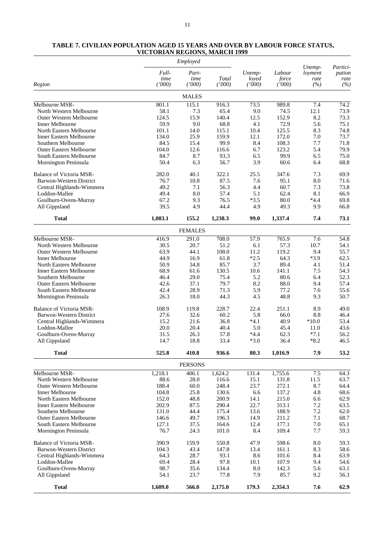# **TABLE 7. CIVILIAN POPULATION AGED 15 YEARS AND OVER BY LABOUR FORCE STATUS, VICTORIAN REGIONS, MARCH 1999** *Employed Unemp- Partici-Full- Part- Unemp- Labour loyment pation time time Total loyed force rate rate ('000) ('000) ('000) ('000) ('000) (%) (%)*

| Region                         | (1000)  | (1000)         | (7000)             | (1000) | (000)   | (%)     | (%)  |
|--------------------------------|---------|----------------|--------------------|--------|---------|---------|------|
|                                |         | <b>MALES</b>   |                    |        |         |         |      |
| Melbourne MSR-                 | 801.1   | 115.1          | $\overline{916.3}$ | 73.5   | 989.8   | 7.4     | 74.2 |
| North Western Melbourne        | 58.1    | 7.3            | 65.4               | 9.0    | 74.5    | 12.1    | 73.9 |
| <b>Outer Western Melbourne</b> | 124.5   | 15.9           | 140.4              | 12.5   | 152.9   | 8.2     | 73.3 |
| <b>Inner Melbourne</b>         | 59.9    | 9.0            | 68.8               | 4.1    | 72.9    | 5.6     | 75.1 |
| North Eastern Melbourne        | 101.1   | 14.0           | 115.1              | 10.4   | 125.5   | 8.3     | 74.8 |
| <b>Inner Eastern Melbourne</b> | 134.0   | 25.9           | 159.9              | 12.1   | 172.0   | 7.0     | 73.7 |
| Southern Melbourne             | 84.5    | 15.4           | 99.9               | 8.4    | 108.3   | 7.7     | 71.8 |
| Outer Eastern Melbourne        | 104.0   | 12.6           | 116.6              | 6.7    | 123.2   | 5.4     | 79.9 |
| South Eastern Melbourne        | 84.7    | 8.7            | 93.3               | 6.5    | 99.9    | 6.5     | 75.0 |
| Mornington Peninsula           | 50.4    | 6.3            | 56.7               | 3.9    | 60.6    | 6.4     | 68.8 |
| Balance of Victoria MSR-       | 282.0   | 40.1           | 322.1              | 25.5   | 347.6   | 7.3     | 69.9 |
| Barwon-Western District        | 76.7    | 10.8           | 87.5               | 7.6    | 95.1    | 8.0     | 71.6 |
| Central Highlands-Wimmera      | 49.2    | 7.1            | 56.3               | 4.4    | 60.7    | 7.3     | 73.8 |
| Loddon-Mallee                  | 49.4    | 8.0            | 57.4               | 5.1    | 62.4    | 8.1     | 66.9 |
| Goulburn-Ovens-Murray          | 67.2    | 9.3            | 76.5               | $*3.5$ | 80.0    | $*4.4$  | 69.8 |
| All Gippsland                  | 39.5    | 4.9            | 44.4               | 4.9    | 49.3    | 9.9     | 66.8 |
| <b>Total</b>                   | 1,083.1 | 155.2          | 1,238.3            | 99.0   | 1,337.4 | 7.4     | 73.1 |
|                                |         | <b>FEMALES</b> |                    |        |         |         |      |
| Melbourne MSR-                 | 416.9   | 291.0          | 708.0              | 57.9   | 765.9   | 7.6     | 54.8 |
| North Western Melbourne        | 30.5    | 20.7           | 51.2               | 6.1    | 57.3    | 10.7    | 54.1 |
| <b>Outer Western Melbourne</b> | 63.9    | 44.1           | 108.0              | 11.2   | 119.2   | 9.4     | 55.7 |
| Inner Melbourne                | 44.9    | 16.9           | 61.8               | $*2.5$ | 64.3    | $*3.9$  | 62.5 |
| North Eastern Melbourne        | 50.9    | 34.8           | 85.7               | 3.7    | 89.4    | 4.1     | 51.4 |
| <b>Inner Eastern Melbourne</b> | 68.9    | 61.6           | 130.5              | 10.6   | 141.1   | 7.5     | 54.3 |
| Southern Melbourne             | 46.4    | 29.0           | 75.4               | 5.2    | 80.6    | 6.4     | 52.3 |
| <b>Outer Eastern Melbourne</b> | 42.6    | 37.1           | 79.7               | 8.2    | 88.0    | 9.4     | 57.4 |
| South Eastern Melbourne        | 42.4    | 28.9           | 71.3               | 5.9    | 77.2    | 7.6     | 55.6 |
| Mornington Peninsula           | 26.3    | 18.0           | 44.3               | 4.5    | 48.8    | 9.3     | 50.7 |
| Balance of Victoria MSR-       | 108.9   | 119.8          | 228.7              | 22.4   | 251.1   | 8.9     | 49.0 |
| Barwon-Western District        | 27.6    | 32.6           | 60.2               | 5.8    | 66.0    | 8.8     | 46.4 |
| Central Highlands-Wimmera      | 15.2    | 21.6           | 36.8               | $*4.1$ | 40.9    | $*10.0$ | 53.4 |
| Loddon-Mallee                  | 20.0    | 20.4           | 40.4               | 5.0    | 45.4    | 11.0    | 43.6 |
| Goulburn-Ovens-Murray          | 31.5    | 26.3           | 57.8               | $*4.4$ | 62.3    | $*7.1$  | 56.2 |
| All Gippsland                  | 14.7    | 18.8           | 33.4               | $*3.0$ | 36.4    | $*8.2$  | 46.5 |
| <b>Total</b>                   | 525.8   | 410.8          | 936.6              | 80.3   | 1,016.9 | 7.9     | 53.2 |
|                                |         | <b>PERSONS</b> |                    |        |         |         |      |
| Melbourne MSR-                 | 1,218.1 | 406.1          | 1,624.2            | 131.4  | 1,755.6 | 7.5     | 64.3 |
| North Western Melbourne        | 88.6    | 28.0           | 116.6              | 15.1   | 131.8   | 11.5    | 63.7 |
| <b>Outer Western Melbourne</b> | 188.4   | 60.0           | 248.4              | 23.7   | 272.1   | 8.7     | 64.4 |
| Inner Melbourne                | 104.8   | 25.8           | 130.6              | 6.6    | 137.2   | 4.8     | 68.6 |
| North Eastern Melbourne        | 152.0   | 48.8           | 200.9              | 14.1   | 215.0   | 6.6     | 62.9 |
| Inner Eastern Melbourne        | 202.9   | 87.5           | 290.4              | 22.7   | 313.1   | 7.2     | 63.5 |
| Southern Melbourne             | 131.0   | 44.4           | 175.4              | 13.6   | 188.9   | $7.2\,$ | 62.0 |
| Outer Eastern Melbourne        | 146.6   | 49.7           | 196.3              | 14.9   | 211.2   | 7.1     | 68.7 |
| South Eastern Melbourne        | 127.1   | 37.5           | 164.6              | 12.4   | 177.1   | 7.0     | 65.1 |
| Mornington Peninsula           | 76.7    | 24.3           | 101.0              | 8.4    | 109.4   | 7.7     | 59.3 |
| Balance of Victoria MSR-       | 390.9   | 159.9          | 550.8              | 47.9   | 598.6   | 8.0     | 59.3 |
| Barwon-Western District        | 104.3   | 43.4           | 147.8              | 13.4   | 161.1   | 8.3     | 58.6 |
| Central Highlands-Wimmera      | 64.3    | 28.7           | 93.1               | 8.6    | 101.6   | 8.4     | 63.9 |
| Loddon-Mallee                  | 69.4    | 28.4           | 97.8               | 10.1   | 107.9   | 9.4     | 54.6 |
| Goulburn-Ovens-Murray          | 98.7    | 35.6           | 134.4              | 8.0    | 142.3   | 5.6     | 63.1 |
| All Gippsland                  | 54.1    | 23.7           | 77.8               | 7.9    | 85.7    | 9.2     | 56.3 |
| <b>Total</b>                   | 1,609.0 | 566.0          | 2,175.0            | 179.3  | 2,354.3 | 7.6     | 62.9 |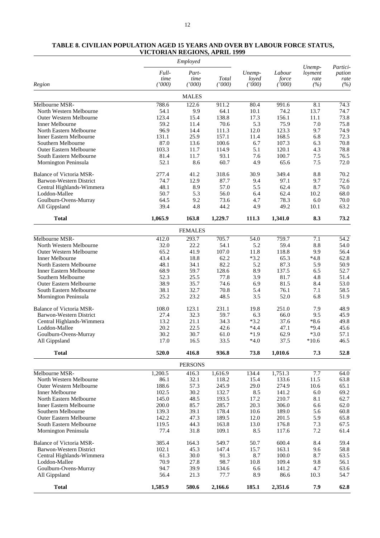# **TABLE 8. CIVILIAN POPULATION AGED 15 YEARS AND OVER BY LABOUR FORCE STATUS, VICTORIAN REGIONS, APRIL 1999**

|                                                    |                         | Employed                |                 |                           |                           |                                  |                                   |
|----------------------------------------------------|-------------------------|-------------------------|-----------------|---------------------------|---------------------------|----------------------------------|-----------------------------------|
| Region                                             | Full-<br>time<br>(1000) | Part-<br>time<br>(1000) | Total<br>(1000) | Unemp-<br>loyed<br>(1000) | Labour<br>force<br>(1000) | Unemp-<br>loyment<br>rate<br>(%) | Partici-<br>pation<br>rate<br>(%) |
|                                                    |                         | <b>MALES</b>            |                 |                           |                           |                                  |                                   |
| Melbourne MSR-                                     | 788.6                   | 122.6                   | 911.2           | 80.4                      | 991.6                     | 8.1                              | 74.3                              |
| North Western Melbourne                            | 54.1                    | 9.9                     | 64.1            | 10.1                      | 74.2                      | 13.7                             | 74.7                              |
| Outer Western Melbourne                            | 123.4                   | 15.4                    | 138.8           | 17.3                      | 156.1                     | 11.1                             | 73.8                              |
| <b>Inner Melbourne</b>                             | 59.2                    | 11.4                    | 70.6            | 5.3                       | 75.9                      | 7.0                              | 75.8                              |
| North Eastern Melbourne                            | 96.9                    | 14.4                    | 111.3           | 12.0                      | 123.3                     | 9.7                              | 74.9                              |
| <b>Inner Eastern Melbourne</b>                     | 131.1                   | 25.9                    | 157.1           | 11.4                      | 168.5                     | 6.8                              | 72.3                              |
| Southern Melbourne                                 | 87.0                    | 13.6                    | 100.6           | 6.7                       | 107.3                     | 6.3                              | 70.8                              |
| Outer Eastern Melbourne                            | 103.3                   | 11.7                    | 114.9           | 5.1                       | 120.1                     | 4.3                              | 78.8                              |
| South Eastern Melbourne                            | 81.4                    | 11.7                    | 93.1            | 7.6                       | 100.7                     | 7.5                              | 76.5                              |
| Mornington Peninsula                               | 52.1                    | 8.6                     | 60.7            | 4.9                       | 65.6                      | 7.5                              | 72.0                              |
| Balance of Victoria MSR-                           | 277.4                   | 41.2                    | 318.6           | 30.9                      | 349.4                     | 8.8                              | 70.2                              |
| Barwon-Western District                            | 74.7                    | 12.9                    | 87.7            | 9.4                       | 97.1                      | 9.7                              | 72.6                              |
| Central Highlands-Wimmera                          | 48.1                    | 8.9                     | 57.0            | 5.5                       | 62.4                      | 8.7                              | 76.0                              |
| Loddon-Mallee                                      | 50.7                    | 5.3                     | 56.0            | 6.4                       | 62.4                      | 10.2                             | 68.0                              |
| Goulburn-Ovens-Murray                              | 64.5                    | 9.2                     | 73.6            | 4.7                       | 78.3                      | 6.0                              | 70.0                              |
| All Gippsland                                      | 39.4                    | 4.8                     | 44.2            | 4.9                       | 49.2                      | 10.1                             | 63.2                              |
| <b>Total</b>                                       | 1,065.9                 | 163.8                   | 1,229.7         | 111.3                     | 1,341.0                   | 8.3                              | 73.2                              |
|                                                    |                         | <b>FEMALES</b>          |                 |                           |                           |                                  |                                   |
| Melbourne MSR-                                     | 412.0                   | 293.7                   | 705.7           | 54.0                      | 759.7                     | $\overline{7.1}$                 | 54.2                              |
| North Western Melbourne                            | 32.0                    | 22.2                    | 54.1            | 5.2                       | 59.4                      | 8.8                              | 54.0                              |
| Outer Western Melbourne                            | 65.2                    | 41.9                    | 107.0           | 11.8                      | 118.8                     | 9.9                              | 56.4                              |
| Inner Melbourne                                    | 43.4                    | 18.8                    | 62.2            | $*3.2$                    | 65.3                      | $*4.8$                           | 62.8                              |
| North Eastern Melbourne                            | 48.1                    | 34.1                    | 82.2            | 5.2                       | 87.3                      | 5.9                              | 50.9                              |
| <b>Inner Eastern Melbourne</b>                     | 68.9                    | 59.7                    | 128.6           | 8.9                       | 137.5                     | 6.5                              | 52.7                              |
| Southern Melbourne                                 | 52.3                    | 25.5                    | 77.8            | 3.9                       | 81.7                      | 4.8                              | 51.4                              |
| Outer Eastern Melbourne                            | 38.9                    | 35.7                    | 74.6            | 6.9                       | 81.5                      | 8.4                              | 53.0                              |
| South Eastern Melbourne                            | 38.1                    | 32.7                    | 70.8            | 5.4                       | 76.1                      | 7.1                              | 58.5                              |
| Mornington Peninsula                               | 25.2                    | 23.2                    | 48.5            | 3.5                       | 52.0                      | 6.8                              | 51.9                              |
| <b>Balance of Victoria MSR-</b>                    | 108.0                   | 123.1                   | 231.1           | 19.8                      | 251.0                     | 7.9                              | 48.9                              |
| Barwon-Western District                            | 27.4                    | 32.3                    | 59.7            | 6.3                       | 66.0                      | 9.5                              | 45.9                              |
| Central Highlands-Wimmera                          | 13.2                    | 21.1                    | 34.3            | $*3.2$                    | 37.6                      | $*8.6$                           | 49.8                              |
| Loddon-Mallee                                      | 20.2                    | 22.5                    | 42.6            | $*4.4$                    | 47.1                      | $*9.4$                           | 45.6                              |
| Goulburn-Ovens-Murray                              | 30.2                    | 30.7                    | 61.0            | $*1.9$                    | 62.9                      | $*3.0$                           | 57.1                              |
| All Gippsland                                      | 17.0                    | 16.5                    | 33.5            | $*4.0$                    | 37.5                      | $*10.6$                          | 46.5                              |
| <b>Total</b>                                       | 520.0                   | 416.8                   | 936.8           | 73.8                      | 1,010.6                   | 7.3                              | 52.8                              |
|                                                    |                         | <b>PERSONS</b>          |                 |                           |                           |                                  |                                   |
| Melbourne MSR-                                     | 1,200.5                 | 416.3                   | 1,616.9         | 134.4                     | 1,751.3                   | 7.7                              | 64.0                              |
| North Western Melbourne                            | 86.1                    | 32.1                    | 118.2           | 15.4                      | 133.6                     | 11.5                             | 63.8                              |
| Outer Western Melbourne                            | 188.6                   | 57.3                    | 245.9           | 29.0                      | 274.9                     | 10.6                             | 65.1                              |
| <b>Inner Melbourne</b>                             | 102.5                   | 30.2                    | 132.7           | 8.5                       | 141.2                     | 6.0                              | 69.2                              |
| North Eastern Melbourne                            | 145.0                   | 48.5                    | 193.5           | 17.2                      | 210.7                     | 8.1                              | 62.7                              |
| <b>Inner Eastern Melbourne</b>                     | 200.0                   | 85.7                    | 285.7           | 20.3                      | 306.0                     | 6.6                              | 62.0                              |
| Southern Melbourne                                 | 139.3                   | 39.1                    | 178.4           | 10.6                      | 189.0                     | 5.6                              | 60.8                              |
| Outer Eastern Melbourne<br>South Eastern Melbourne | 142.2                   | 47.3                    | 189.5           | 12.0                      | 201.5                     | 5.9                              | 65.8                              |
|                                                    | 119.5                   | 44.3                    | 163.8           | 13.0                      | 176.8                     | 7.3                              | 67.5                              |
| Mornington Peninsula                               | 77.4                    | 31.8                    | 109.1           | 8.5                       | 117.6                     | 7.2                              | 61.4                              |
| Balance of Victoria MSR-                           | 385.4                   | 164.3                   | 549.7           | 50.7                      | 600.4                     | 8.4                              | 59.4                              |
| Barwon-Western District                            | 102.1                   | 45.3                    | 147.4           | 15.7                      | 163.1                     | 9.6                              | 58.8                              |
| Central Highlands-Wimmera                          | 61.3                    | 30.0                    | 91.3            | 8.7                       | 100.0                     | 8.7                              | 63.5                              |
| Loddon-Mallee                                      | 70.9                    | 27.8                    | 98.7            | 10.8                      | 109.4                     | 9.8                              | 56.1                              |
| Goulburn-Ovens-Murray                              | 94.7                    | 39.9                    | 134.6           | 6.6                       | 141.2                     | 4.7                              | 63.6                              |
| All Gippsland                                      | 56.4                    | 21.3                    | 77.7            | 8.9                       | 86.6                      | 10.3                             | 54.7                              |
| <b>Total</b>                                       | 1,585.9                 | 580.6                   | 2,166.6         | 185.1                     | 2,351.6                   | 7.9                              | 62.8                              |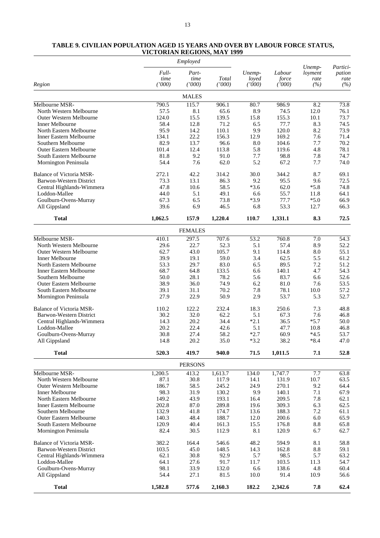# **TABLE 9. CIVILIAN POPULATION AGED 15 YEARS AND OVER BY LABOUR FORCE STATUS, VICTORIAN REGIONS, MAY 1999**

|                                                           |                         | Employed                |                 |                           |                           |                                  |                                   |
|-----------------------------------------------------------|-------------------------|-------------------------|-----------------|---------------------------|---------------------------|----------------------------------|-----------------------------------|
| Region                                                    | Full-<br>time<br>(1000) | Part-<br>time<br>(1000) | Total<br>(1000) | Unemp-<br>loyed<br>(1000) | Labour<br>force<br>(1000) | Unemp-<br>loyment<br>rate<br>(%) | Partici-<br>pation<br>rate<br>(%) |
|                                                           |                         | <b>MALES</b>            |                 |                           |                           |                                  |                                   |
| Melbourne MSR-                                            | 790.5                   | 115.7                   | 906.1           | 80.7                      | 986.9                     | 8.2                              | 73.8                              |
| North Western Melbourne                                   | 57.5                    | 8.1                     | 65.6            | 8.9                       | 74.5                      | 12.0                             | 76.1                              |
| <b>Outer Western Melbourne</b>                            | 124.0                   | 15.5                    | 139.5           | 15.8                      | 155.3                     | 10.1                             | 73.7                              |
| Inner Melbourne                                           | 58.4                    | 12.8                    | 71.2            | 6.5                       | 77.7                      | 8.3                              | 74.5                              |
| North Eastern Melbourne                                   | 95.9                    | 14.2                    | 110.1           | 9.9                       | 120.0                     | 8.2                              | 73.9                              |
| <b>Inner Eastern Melbourne</b><br>Southern Melbourne      | 134.1                   | 22.2                    | 156.3           | 12.9                      | 169.2                     | 7.6                              | 71.4                              |
|                                                           | 82.9<br>101.4           | 13.7<br>12.4            | 96.6<br>113.8   | 8.0<br>5.8                | 104.6<br>119.6            | 7.7<br>4.8                       | 70.2<br>78.1                      |
| <b>Outer Eastern Melbourne</b><br>South Eastern Melbourne | 81.8                    | 9.2                     | 91.0            | 7.7                       | 98.8                      | 7.8                              | 74.7                              |
| Mornington Peninsula                                      | 54.4                    | 7.6                     | 62.0            | 5.2                       | 67.2                      | 7.7                              | 74.0                              |
| <b>Balance of Victoria MSR-</b>                           | 272.1                   | 42.2                    | 314.2           | 30.0                      | 344.2                     | 8.7                              | 69.1                              |
| Barwon-Western District                                   | 73.3                    | 13.1                    | 86.3            | 9.2                       | 95.5                      | 9.6                              | 72.5                              |
| Central Highlands-Wimmera                                 | 47.8                    | 10.6                    | 58.5            | $*3.6$                    | 62.0                      | $*5.8$                           | 74.8                              |
| Loddon-Mallee                                             | 44.0                    | 5.1                     | 49.1            | 6.6                       | 55.7                      | 11.8                             | 64.1                              |
| Goulburn-Ovens-Murray                                     | 67.3                    | 6.5                     | 73.8            | $*3.9$                    | 77.7                      | $*5.0$                           | 66.9                              |
| All Gippsland                                             | 39.6                    | 6.9                     | 46.5            | 6.8                       | 53.3                      | 12.7                             | 66.3                              |
| <b>Total</b>                                              | 1,062.5                 | 157.9                   | 1,220.4         | 110.7                     | 1,331.1                   | 8.3                              | 72.5                              |
|                                                           |                         | <b>FEMALES</b>          |                 |                           |                           |                                  |                                   |
| Melbourne MSR-                                            | 410.1                   | 297.5                   | 707.6           | 53.2                      | 760.8                     | 7.0                              | 54.3                              |
| North Western Melbourne                                   | 29.6                    | 22.7                    | 52.3            | 5.1                       | 57.4                      | 8.9                              | 52.2                              |
| <b>Outer Western Melbourne</b>                            | 62.7                    | 43.0                    | 105.7           | 9.1                       | 114.8                     | 8.0                              | 55.1                              |
| Inner Melbourne                                           | 39.9                    | 19.1                    | 59.0            | 3.4                       | 62.5                      | 5.5                              | 61.2                              |
| North Eastern Melbourne<br><b>Inner Eastern Melbourne</b> | 53.3<br>68.7            | 29.7<br>64.8            | 83.0<br>133.5   | 6.5<br>6.6                | 89.5<br>140.1             | 7.2<br>4.7                       | 51.2<br>54.3                      |
| Southern Melbourne                                        | 50.0                    | 28.1                    | 78.2            | 5.6                       | 83.7                      | 6.6                              | 52.6                              |
| <b>Outer Eastern Melbourne</b>                            | 38.9                    | 36.0                    | 74.9            | 6.2                       | 81.0                      | 7.6                              | 53.5                              |
| South Eastern Melbourne                                   | 39.1                    | 31.1                    | 70.2            | 7.8                       | 78.1                      | 10.0                             | 57.2                              |
| Mornington Peninsula                                      | 27.9                    | 22.9                    | 50.9            | 2.9                       | 53.7                      | 5.3                              | 52.7                              |
| Balance of Victoria MSR-                                  | 110.2                   | 122.2                   | 232.4           | 18.3                      | 250.6                     | 7.3                              | 48.8                              |
| Barwon-Western District                                   | 30.2                    | 32.0                    | 62.2            | 5.1                       | 67.3                      | 7.6                              | 46.8                              |
| Central Highlands-Wimmera                                 | 14.3                    | 20.2                    | 34.4            | $*2.1$                    | 36.5                      | $*5.7$                           | 50.0                              |
| Loddon-Mallee                                             | 20.2                    | 22.4                    | 42.6            | 5.1                       | 47.7                      | 10.8                             | 46.8                              |
| Goulburn-Ovens-Murray                                     | 30.8<br>14.8            | 27.4<br>20.2            | 58.2<br>35.0    | $*2.7$<br>$*3.2$          | 60.9<br>38.2              | $*4.5$<br>$*8.4$                 | 53.7<br>47.0                      |
| All Gippsland                                             |                         |                         |                 |                           |                           |                                  |                                   |
| <b>Total</b>                                              | 520.3                   | 419.7                   | 940.0           | 71.5                      | 1,011.5                   | 7.1                              | 52.8                              |
|                                                           |                         | <b>PERSONS</b>          |                 |                           |                           |                                  |                                   |
| Melbourne MSR-                                            | 1,200.5                 | 413.2                   | 1,613.7         | 134.0                     | 1,747.7                   | 7.7                              | 63.8                              |
| North Western Melbourne<br><b>Outer Western Melbourne</b> | 87.1<br>186.7           | 30.8<br>58.5            | 117.9<br>245.2  | 14.1                      | 131.9<br>270.1            | 10.7                             | 63.5<br>64.4                      |
| Inner Melbourne                                           | 98.3                    | 31.9                    | 130.2           | 24.9<br>9.9               | 140.1                     | 9.2<br>7.1                       | 67.9                              |
| North Eastern Melbourne                                   | 149.2                   | 43.9                    | 193.1           | 16.4                      | 209.5                     | 7.8                              | 62.1                              |
| <b>Inner Eastern Melbourne</b>                            | 202.8                   | 87.0                    | 289.8           | 19.6                      | 309.3                     | 6.3                              | 62.5                              |
| Southern Melbourne                                        | 132.9                   | 41.8                    | 174.7           | 13.6                      | 188.3                     | 7.2                              | 61.1                              |
| <b>Outer Eastern Melbourne</b>                            | 140.3                   | 48.4                    | 188.7           | 12.0                      | 200.6                     | 6.0                              | 65.9                              |
| South Eastern Melbourne                                   | 120.9                   | 40.4                    | 161.3           | 15.5                      | 176.8                     | 8.8                              | 65.8                              |
| Mornington Peninsula                                      | 82.4                    | 30.5                    | 112.9           | 8.1                       | 120.9                     | 6.7                              | 62.7                              |
| <b>Balance of Victoria MSR-</b>                           | 382.2                   | 164.4                   | 546.6           | 48.2                      | 594.9                     | 8.1                              | 58.8                              |
| Barwon-Western District                                   | 103.5                   | 45.0                    | 148.5           | 14.3                      | 162.8                     | 8.8                              | 59.1                              |
| Central Highlands-Wimmera                                 | 62.1                    | 30.8                    | 92.9            | 5.7                       | 98.5                      | 5.7                              | 63.2                              |
| Loddon-Mallee                                             | 64.1                    | 27.6                    | 91.7            | 11.7                      | 103.5                     | 11.3                             | 54.7                              |
| Goulburn-Ovens-Murray<br>All Gippsland                    | 98.1<br>54.4            | 33.9<br>27.1            | 132.0<br>81.5   | 6.6<br>10.0               | 138.6<br>91.4             | 4.8<br>10.9                      | 60.4<br>56.6                      |
| <b>Total</b>                                              | 1,582.8                 | 577.6                   | 2,160.3         | 182.2                     | 2,342.6                   | $\bf 7.8$                        | 62.4                              |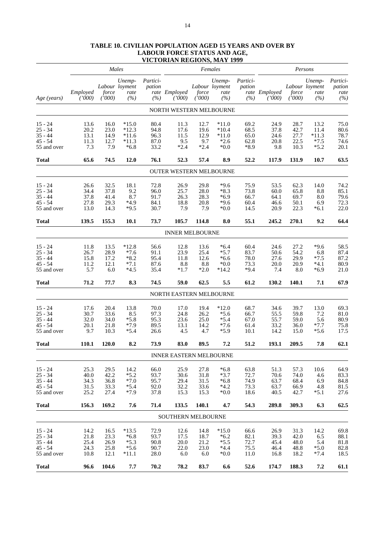| Partici-<br>Unemp-<br>Partici-<br>Unemp-<br>Unemp-<br>Labour loyment<br>Labour loyment<br>pation<br>pation<br>Labour loyment<br>Employed<br>rate Employed<br>rate Employed<br>force<br>rate<br>force<br>rate<br>force<br>rate<br>('000)<br>(%)<br>(%)<br>(%)<br>(1000)<br>(%)<br>(1000)<br>(1000)<br>(%)<br>Age (years)<br>(1000)<br>(1000)<br>NORTH WESTERN MELBOURNE<br>$*15.0$<br>28.7<br>$15 - 24$<br>13.6<br>16.0<br>80.4<br>11.3<br>12.7<br>$*11.0$<br>69.2<br>24.9<br>13.2<br>23.0<br>$*12.3$<br>17.6<br>68.5<br>37.8<br>42.7<br>$25 - 34$<br>20.2<br>94.8<br>19.6<br>$*10.4$<br>11.4<br>80.6<br>$*11.3$<br>$35 - 44$<br>13.1<br>11.5<br>$*11.0$<br>65.0<br>24.6<br>27.7<br>78.7<br>14.9<br>$*11.6$<br>96.3<br>12.9<br>74.6<br>$45 - 54$<br>$*2.6$<br>22.5<br>$*7.5$<br>11.3<br>12.7<br>$*11.3$<br>87.0<br>9.5<br>9.7<br>62.8<br>20.8<br>7.3<br>7.9<br>33.2<br>$*2.4$<br>$*2.4$<br>$*8.9$<br>$*5.2$<br>$*6.8$<br>$*0.0$<br>9.8<br>10.3<br>55 and over<br>12.0<br>76.1<br>52.3<br>8.9<br>52.2<br>131.9<br>10.7<br>Total<br>65.6<br>74.5<br>57.4<br>117.9<br><b>OUTER WESTERN MELBOURNE</b><br>$*9.6$<br>75.9<br>$15 - 24$<br>32.5<br>18.1<br>72.8<br>26.9<br>29.8<br>53.5<br>62.3<br>14.0<br>74.2<br>26.6<br>37.8<br>9.2<br>$*8.3$<br>73.8<br>$25 - 34$<br>34.4<br>96.0<br>25.7<br>28.0<br>60.0<br>65.8<br>8.8<br>8.7<br>$35 - 44$<br>26.3<br>$*6.9$<br>66.7<br>79.6<br>37.8<br>41.4<br>91.7<br>28.3<br>64.1<br>69.7<br>8.0<br>$45 - 54$<br>$*4.9$<br>72.3<br>27.8<br>29.3<br>84.1<br>18.8<br>20.8<br>$*9.6$<br>60.4<br>46.6<br>50.1<br>6.9<br>$*9.5$<br>13.0<br>14.3<br>30.7<br>7.9<br>7.9<br>$*0.0$<br>14.5<br>20.9<br>22.3<br>$*6.1$<br>55 and over<br>155.3<br>73.7<br>105.7<br>114.8<br>55.1<br>9.2<br><b>Total</b><br>139.5<br><b>10.1</b><br>8.0<br>245.2<br>270.1<br><b>INNER MELBOURNE</b><br>13.5<br>$*12.8$<br>$*6.4$<br>27.2<br>$*9.6$<br>58.5<br>$15 - 24$<br>11.8<br>56.6<br>12.8<br>60.4<br>24.6<br>13.6<br>$*7.6$<br>23.9<br>$*5.7$<br>83.7<br>54.2<br>$25 - 34$<br>26.7<br>28.9<br>91.1<br>25.4<br>50.6<br>6.8<br>87.2<br>$35 - 44$<br>15.8<br>17.2<br>$*8.2$<br>11.8<br>$*6.6$<br>78.0<br>27.6<br>29.9<br>$*7.5$<br>95.4<br>12.6<br>$45 - 54$<br>$*7.1$<br>20.0<br>80.9<br>11.2<br>12.1<br>87.6<br>8.8<br>$*0.0$<br>73.3<br>20.9<br>$*4.1$<br>8.8<br>5.7<br>$*4.5$<br>$*9.4$<br>6.0<br>35.4<br>$*1.7$<br>$*2.0$<br>$*14.2$<br>7.4<br>8.0<br>$*6.9$<br>55 and over<br>8.3<br>71.2<br>74.5<br>59.0<br>5.5<br>61.2<br>7.1<br>Total<br>77.7<br>62.5<br>130.2<br>140.1<br>NORTH EASTERN MELBOURNE<br>13.8<br>$15 - 24$<br>17.6<br>20.4<br>70.0<br>17.0<br>19.4<br>$*12.0$<br>68.7<br>34.6<br>39.7<br>13.0<br>69.3<br>$25 - 34$<br>33.6<br>8.5<br>24.8<br>$*5.6$<br>59.8<br>30.7<br>97.3<br>26.2<br>66.7<br>55.5<br>7.2<br>$*5.8$<br>$35 - 44$<br>$*5.4$<br>55.7<br>59.0<br>32.0<br>34.0<br>95.3<br>23.6<br>25.0<br>67.0<br>5.6<br>$45 - 54$<br>$*7.9$<br>33.2<br>75.8<br>20.1<br>21.8<br>89.5<br>13.1<br>14.2<br>$*7.6$<br>61.4<br>36.0<br>$*7.7$<br>9.7<br>$*5.4$<br>$*5.9$<br>17.5<br>10.3<br>26.6<br>4.5<br>4.7<br>10.1<br>14.2<br>15.0<br>$*5.6$<br>55 and over<br>120.0<br>8.2<br>73.9<br>83.0<br>89.5<br>7.2<br>51.2<br>193.1<br>209.5<br>7.8<br><b>Total</b><br>110.1<br>INNER EASTERN MELBOURNE<br>14.2<br>25.9<br>27.8<br>63.8<br>$15 - 24$<br>25.3<br>29.5<br>66.0<br>$*6.8$<br>51.3<br>57.3<br>10.6<br>$25 - 34$<br>$*5.2$<br>40.0<br>42.2<br>93.7<br>30.6<br>31.8<br>$*3.7$<br>72.7<br>70.6<br>74.0<br>83.3<br>4.6<br>$35 - 44$<br>$*7.0$<br>74.9<br>34.3<br>36.8<br>95.7<br>29.4<br>31.5<br>$*6.8$<br>84.8<br>63.7<br>68.4<br>6.9<br>$45 - 54$<br>33.3<br>*5.4<br>92.0<br>32.2<br>33.6<br>$*4.2$<br>73.3<br>63.7<br>66.9<br>81.5<br>31.5<br>4.8<br>$*7.9$<br>15.3<br>25.2<br>27.4<br>37.8<br>15.3<br>$*0.0$<br>18.6<br>40.5<br>42.7<br>$*5.1$<br>55 and over<br>156.3<br>169.2<br>7.6<br>71.4<br>133.5<br>140.1<br>4.7<br>54.3<br>289.8<br>309.3<br>6.3<br><b>Total</b><br>SOUTHERN MELBOURNE<br>$*13.5$<br>$15 - 24$<br>14.2<br>16.5<br>72.9<br>12.6<br>14.8<br>*15.0<br>66.6<br>26.9<br>31.3<br>14.2<br>$25 - 34$<br>21.8<br>23.3<br>$*6.8$<br>93.7<br>17.5<br>18.7<br>$*6.2$<br>82.1<br>39.3<br>42.0<br>6.5<br>$35 - 44$<br>$*5.5$<br>25.4<br>26.9<br>$*5.3$<br>90.8<br>20.0<br>21.2<br>72.7<br>45.4<br>5.4<br>48.0<br>$45 - 54$<br>24.3<br>25.8<br>$*5.6$<br>90.7<br>22.0<br>23.0<br>$*4.4$<br>75.5<br>46.4<br>$*5.0$<br>82.8<br>48.8<br>12.1<br>$*11.1$<br>28.0<br>6.0<br>6.0<br>$*0.0$<br>11.0<br>16.8<br>18.2<br>$*7.4$<br>55 and over<br>10.8<br><b>Total</b><br>104.6<br>7.7<br>78.2<br>83.7<br>52.6<br>188.3<br>7.2<br>96.6<br>70.2<br>6.6<br>174.7 |  | Males |  | Females |  | Persons |                                   |
|-----------------------------------------------------------------------------------------------------------------------------------------------------------------------------------------------------------------------------------------------------------------------------------------------------------------------------------------------------------------------------------------------------------------------------------------------------------------------------------------------------------------------------------------------------------------------------------------------------------------------------------------------------------------------------------------------------------------------------------------------------------------------------------------------------------------------------------------------------------------------------------------------------------------------------------------------------------------------------------------------------------------------------------------------------------------------------------------------------------------------------------------------------------------------------------------------------------------------------------------------------------------------------------------------------------------------------------------------------------------------------------------------------------------------------------------------------------------------------------------------------------------------------------------------------------------------------------------------------------------------------------------------------------------------------------------------------------------------------------------------------------------------------------------------------------------------------------------------------------------------------------------------------------------------------------------------------------------------------------------------------------------------------------------------------------------------------------------------------------------------------------------------------------------------------------------------------------------------------------------------------------------------------------------------------------------------------------------------------------------------------------------------------------------------------------------------------------------------------------------------------------------------------------------------------------------------------------------------------------------------------------------------------------------------------------------------------------------------------------------------------------------------------------------------------------------------------------------------------------------------------------------------------------------------------------------------------------------------------------------------------------------------------------------------------------------------------------------------------------------------------------------------------------------------------------------------------------------------------------------------------------------------------------------------------------------------------------------------------------------------------------------------------------------------------------------------------------------------------------------------------------------------------------------------------------------------------------------------------------------------------------------------------------------------------------------------------------------------------------------------------------------------------------------------------------------------------------------------------------------------------------------------------------------------------------------------------------------------------------------------------------------------------------------------------------------------------------------------------------------------------------------------------------------------------------------------------------------------------------------------------------------------------------------------------------------------------------------------------------------------------------------------------------------------------------------------------------------------------------------------------------------------------------------------------------------------------------------------|--|-------|--|---------|--|---------|-----------------------------------|
|                                                                                                                                                                                                                                                                                                                                                                                                                                                                                                                                                                                                                                                                                                                                                                                                                                                                                                                                                                                                                                                                                                                                                                                                                                                                                                                                                                                                                                                                                                                                                                                                                                                                                                                                                                                                                                                                                                                                                                                                                                                                                                                                                                                                                                                                                                                                                                                                                                                                                                                                                                                                                                                                                                                                                                                                                                                                                                                                                                                                                                                                                                                                                                                                                                                                                                                                                                                                                                                                                                                                                                                                                                                                                                                                                                                                                                                                                                                                                                                                                                                                                                                                                                                                                                                                                                                                                                                                                                                                                                                                                                                               |  |       |  |         |  |         | Partici-<br>pation<br>rate<br>(%) |
|                                                                                                                                                                                                                                                                                                                                                                                                                                                                                                                                                                                                                                                                                                                                                                                                                                                                                                                                                                                                                                                                                                                                                                                                                                                                                                                                                                                                                                                                                                                                                                                                                                                                                                                                                                                                                                                                                                                                                                                                                                                                                                                                                                                                                                                                                                                                                                                                                                                                                                                                                                                                                                                                                                                                                                                                                                                                                                                                                                                                                                                                                                                                                                                                                                                                                                                                                                                                                                                                                                                                                                                                                                                                                                                                                                                                                                                                                                                                                                                                                                                                                                                                                                                                                                                                                                                                                                                                                                                                                                                                                                                               |  |       |  |         |  |         |                                   |
|                                                                                                                                                                                                                                                                                                                                                                                                                                                                                                                                                                                                                                                                                                                                                                                                                                                                                                                                                                                                                                                                                                                                                                                                                                                                                                                                                                                                                                                                                                                                                                                                                                                                                                                                                                                                                                                                                                                                                                                                                                                                                                                                                                                                                                                                                                                                                                                                                                                                                                                                                                                                                                                                                                                                                                                                                                                                                                                                                                                                                                                                                                                                                                                                                                                                                                                                                                                                                                                                                                                                                                                                                                                                                                                                                                                                                                                                                                                                                                                                                                                                                                                                                                                                                                                                                                                                                                                                                                                                                                                                                                                               |  |       |  |         |  |         | 75.0                              |
|                                                                                                                                                                                                                                                                                                                                                                                                                                                                                                                                                                                                                                                                                                                                                                                                                                                                                                                                                                                                                                                                                                                                                                                                                                                                                                                                                                                                                                                                                                                                                                                                                                                                                                                                                                                                                                                                                                                                                                                                                                                                                                                                                                                                                                                                                                                                                                                                                                                                                                                                                                                                                                                                                                                                                                                                                                                                                                                                                                                                                                                                                                                                                                                                                                                                                                                                                                                                                                                                                                                                                                                                                                                                                                                                                                                                                                                                                                                                                                                                                                                                                                                                                                                                                                                                                                                                                                                                                                                                                                                                                                                               |  |       |  |         |  |         |                                   |
|                                                                                                                                                                                                                                                                                                                                                                                                                                                                                                                                                                                                                                                                                                                                                                                                                                                                                                                                                                                                                                                                                                                                                                                                                                                                                                                                                                                                                                                                                                                                                                                                                                                                                                                                                                                                                                                                                                                                                                                                                                                                                                                                                                                                                                                                                                                                                                                                                                                                                                                                                                                                                                                                                                                                                                                                                                                                                                                                                                                                                                                                                                                                                                                                                                                                                                                                                                                                                                                                                                                                                                                                                                                                                                                                                                                                                                                                                                                                                                                                                                                                                                                                                                                                                                                                                                                                                                                                                                                                                                                                                                                               |  |       |  |         |  |         |                                   |
|                                                                                                                                                                                                                                                                                                                                                                                                                                                                                                                                                                                                                                                                                                                                                                                                                                                                                                                                                                                                                                                                                                                                                                                                                                                                                                                                                                                                                                                                                                                                                                                                                                                                                                                                                                                                                                                                                                                                                                                                                                                                                                                                                                                                                                                                                                                                                                                                                                                                                                                                                                                                                                                                                                                                                                                                                                                                                                                                                                                                                                                                                                                                                                                                                                                                                                                                                                                                                                                                                                                                                                                                                                                                                                                                                                                                                                                                                                                                                                                                                                                                                                                                                                                                                                                                                                                                                                                                                                                                                                                                                                                               |  |       |  |         |  |         | 20.1                              |
|                                                                                                                                                                                                                                                                                                                                                                                                                                                                                                                                                                                                                                                                                                                                                                                                                                                                                                                                                                                                                                                                                                                                                                                                                                                                                                                                                                                                                                                                                                                                                                                                                                                                                                                                                                                                                                                                                                                                                                                                                                                                                                                                                                                                                                                                                                                                                                                                                                                                                                                                                                                                                                                                                                                                                                                                                                                                                                                                                                                                                                                                                                                                                                                                                                                                                                                                                                                                                                                                                                                                                                                                                                                                                                                                                                                                                                                                                                                                                                                                                                                                                                                                                                                                                                                                                                                                                                                                                                                                                                                                                                                               |  |       |  |         |  |         | 63.5                              |
|                                                                                                                                                                                                                                                                                                                                                                                                                                                                                                                                                                                                                                                                                                                                                                                                                                                                                                                                                                                                                                                                                                                                                                                                                                                                                                                                                                                                                                                                                                                                                                                                                                                                                                                                                                                                                                                                                                                                                                                                                                                                                                                                                                                                                                                                                                                                                                                                                                                                                                                                                                                                                                                                                                                                                                                                                                                                                                                                                                                                                                                                                                                                                                                                                                                                                                                                                                                                                                                                                                                                                                                                                                                                                                                                                                                                                                                                                                                                                                                                                                                                                                                                                                                                                                                                                                                                                                                                                                                                                                                                                                                               |  |       |  |         |  |         |                                   |
|                                                                                                                                                                                                                                                                                                                                                                                                                                                                                                                                                                                                                                                                                                                                                                                                                                                                                                                                                                                                                                                                                                                                                                                                                                                                                                                                                                                                                                                                                                                                                                                                                                                                                                                                                                                                                                                                                                                                                                                                                                                                                                                                                                                                                                                                                                                                                                                                                                                                                                                                                                                                                                                                                                                                                                                                                                                                                                                                                                                                                                                                                                                                                                                                                                                                                                                                                                                                                                                                                                                                                                                                                                                                                                                                                                                                                                                                                                                                                                                                                                                                                                                                                                                                                                                                                                                                                                                                                                                                                                                                                                                               |  |       |  |         |  |         |                                   |
|                                                                                                                                                                                                                                                                                                                                                                                                                                                                                                                                                                                                                                                                                                                                                                                                                                                                                                                                                                                                                                                                                                                                                                                                                                                                                                                                                                                                                                                                                                                                                                                                                                                                                                                                                                                                                                                                                                                                                                                                                                                                                                                                                                                                                                                                                                                                                                                                                                                                                                                                                                                                                                                                                                                                                                                                                                                                                                                                                                                                                                                                                                                                                                                                                                                                                                                                                                                                                                                                                                                                                                                                                                                                                                                                                                                                                                                                                                                                                                                                                                                                                                                                                                                                                                                                                                                                                                                                                                                                                                                                                                                               |  |       |  |         |  |         | 85.1                              |
|                                                                                                                                                                                                                                                                                                                                                                                                                                                                                                                                                                                                                                                                                                                                                                                                                                                                                                                                                                                                                                                                                                                                                                                                                                                                                                                                                                                                                                                                                                                                                                                                                                                                                                                                                                                                                                                                                                                                                                                                                                                                                                                                                                                                                                                                                                                                                                                                                                                                                                                                                                                                                                                                                                                                                                                                                                                                                                                                                                                                                                                                                                                                                                                                                                                                                                                                                                                                                                                                                                                                                                                                                                                                                                                                                                                                                                                                                                                                                                                                                                                                                                                                                                                                                                                                                                                                                                                                                                                                                                                                                                                               |  |       |  |         |  |         |                                   |
|                                                                                                                                                                                                                                                                                                                                                                                                                                                                                                                                                                                                                                                                                                                                                                                                                                                                                                                                                                                                                                                                                                                                                                                                                                                                                                                                                                                                                                                                                                                                                                                                                                                                                                                                                                                                                                                                                                                                                                                                                                                                                                                                                                                                                                                                                                                                                                                                                                                                                                                                                                                                                                                                                                                                                                                                                                                                                                                                                                                                                                                                                                                                                                                                                                                                                                                                                                                                                                                                                                                                                                                                                                                                                                                                                                                                                                                                                                                                                                                                                                                                                                                                                                                                                                                                                                                                                                                                                                                                                                                                                                                               |  |       |  |         |  |         | 22.0                              |
|                                                                                                                                                                                                                                                                                                                                                                                                                                                                                                                                                                                                                                                                                                                                                                                                                                                                                                                                                                                                                                                                                                                                                                                                                                                                                                                                                                                                                                                                                                                                                                                                                                                                                                                                                                                                                                                                                                                                                                                                                                                                                                                                                                                                                                                                                                                                                                                                                                                                                                                                                                                                                                                                                                                                                                                                                                                                                                                                                                                                                                                                                                                                                                                                                                                                                                                                                                                                                                                                                                                                                                                                                                                                                                                                                                                                                                                                                                                                                                                                                                                                                                                                                                                                                                                                                                                                                                                                                                                                                                                                                                                               |  |       |  |         |  |         | 64.4                              |
|                                                                                                                                                                                                                                                                                                                                                                                                                                                                                                                                                                                                                                                                                                                                                                                                                                                                                                                                                                                                                                                                                                                                                                                                                                                                                                                                                                                                                                                                                                                                                                                                                                                                                                                                                                                                                                                                                                                                                                                                                                                                                                                                                                                                                                                                                                                                                                                                                                                                                                                                                                                                                                                                                                                                                                                                                                                                                                                                                                                                                                                                                                                                                                                                                                                                                                                                                                                                                                                                                                                                                                                                                                                                                                                                                                                                                                                                                                                                                                                                                                                                                                                                                                                                                                                                                                                                                                                                                                                                                                                                                                                               |  |       |  |         |  |         |                                   |
|                                                                                                                                                                                                                                                                                                                                                                                                                                                                                                                                                                                                                                                                                                                                                                                                                                                                                                                                                                                                                                                                                                                                                                                                                                                                                                                                                                                                                                                                                                                                                                                                                                                                                                                                                                                                                                                                                                                                                                                                                                                                                                                                                                                                                                                                                                                                                                                                                                                                                                                                                                                                                                                                                                                                                                                                                                                                                                                                                                                                                                                                                                                                                                                                                                                                                                                                                                                                                                                                                                                                                                                                                                                                                                                                                                                                                                                                                                                                                                                                                                                                                                                                                                                                                                                                                                                                                                                                                                                                                                                                                                                               |  |       |  |         |  |         |                                   |
|                                                                                                                                                                                                                                                                                                                                                                                                                                                                                                                                                                                                                                                                                                                                                                                                                                                                                                                                                                                                                                                                                                                                                                                                                                                                                                                                                                                                                                                                                                                                                                                                                                                                                                                                                                                                                                                                                                                                                                                                                                                                                                                                                                                                                                                                                                                                                                                                                                                                                                                                                                                                                                                                                                                                                                                                                                                                                                                                                                                                                                                                                                                                                                                                                                                                                                                                                                                                                                                                                                                                                                                                                                                                                                                                                                                                                                                                                                                                                                                                                                                                                                                                                                                                                                                                                                                                                                                                                                                                                                                                                                                               |  |       |  |         |  |         | 87.4                              |
|                                                                                                                                                                                                                                                                                                                                                                                                                                                                                                                                                                                                                                                                                                                                                                                                                                                                                                                                                                                                                                                                                                                                                                                                                                                                                                                                                                                                                                                                                                                                                                                                                                                                                                                                                                                                                                                                                                                                                                                                                                                                                                                                                                                                                                                                                                                                                                                                                                                                                                                                                                                                                                                                                                                                                                                                                                                                                                                                                                                                                                                                                                                                                                                                                                                                                                                                                                                                                                                                                                                                                                                                                                                                                                                                                                                                                                                                                                                                                                                                                                                                                                                                                                                                                                                                                                                                                                                                                                                                                                                                                                                               |  |       |  |         |  |         |                                   |
|                                                                                                                                                                                                                                                                                                                                                                                                                                                                                                                                                                                                                                                                                                                                                                                                                                                                                                                                                                                                                                                                                                                                                                                                                                                                                                                                                                                                                                                                                                                                                                                                                                                                                                                                                                                                                                                                                                                                                                                                                                                                                                                                                                                                                                                                                                                                                                                                                                                                                                                                                                                                                                                                                                                                                                                                                                                                                                                                                                                                                                                                                                                                                                                                                                                                                                                                                                                                                                                                                                                                                                                                                                                                                                                                                                                                                                                                                                                                                                                                                                                                                                                                                                                                                                                                                                                                                                                                                                                                                                                                                                                               |  |       |  |         |  |         | 21.0                              |
|                                                                                                                                                                                                                                                                                                                                                                                                                                                                                                                                                                                                                                                                                                                                                                                                                                                                                                                                                                                                                                                                                                                                                                                                                                                                                                                                                                                                                                                                                                                                                                                                                                                                                                                                                                                                                                                                                                                                                                                                                                                                                                                                                                                                                                                                                                                                                                                                                                                                                                                                                                                                                                                                                                                                                                                                                                                                                                                                                                                                                                                                                                                                                                                                                                                                                                                                                                                                                                                                                                                                                                                                                                                                                                                                                                                                                                                                                                                                                                                                                                                                                                                                                                                                                                                                                                                                                                                                                                                                                                                                                                                               |  |       |  |         |  |         | 67.9                              |
|                                                                                                                                                                                                                                                                                                                                                                                                                                                                                                                                                                                                                                                                                                                                                                                                                                                                                                                                                                                                                                                                                                                                                                                                                                                                                                                                                                                                                                                                                                                                                                                                                                                                                                                                                                                                                                                                                                                                                                                                                                                                                                                                                                                                                                                                                                                                                                                                                                                                                                                                                                                                                                                                                                                                                                                                                                                                                                                                                                                                                                                                                                                                                                                                                                                                                                                                                                                                                                                                                                                                                                                                                                                                                                                                                                                                                                                                                                                                                                                                                                                                                                                                                                                                                                                                                                                                                                                                                                                                                                                                                                                               |  |       |  |         |  |         |                                   |
|                                                                                                                                                                                                                                                                                                                                                                                                                                                                                                                                                                                                                                                                                                                                                                                                                                                                                                                                                                                                                                                                                                                                                                                                                                                                                                                                                                                                                                                                                                                                                                                                                                                                                                                                                                                                                                                                                                                                                                                                                                                                                                                                                                                                                                                                                                                                                                                                                                                                                                                                                                                                                                                                                                                                                                                                                                                                                                                                                                                                                                                                                                                                                                                                                                                                                                                                                                                                                                                                                                                                                                                                                                                                                                                                                                                                                                                                                                                                                                                                                                                                                                                                                                                                                                                                                                                                                                                                                                                                                                                                                                                               |  |       |  |         |  |         |                                   |
|                                                                                                                                                                                                                                                                                                                                                                                                                                                                                                                                                                                                                                                                                                                                                                                                                                                                                                                                                                                                                                                                                                                                                                                                                                                                                                                                                                                                                                                                                                                                                                                                                                                                                                                                                                                                                                                                                                                                                                                                                                                                                                                                                                                                                                                                                                                                                                                                                                                                                                                                                                                                                                                                                                                                                                                                                                                                                                                                                                                                                                                                                                                                                                                                                                                                                                                                                                                                                                                                                                                                                                                                                                                                                                                                                                                                                                                                                                                                                                                                                                                                                                                                                                                                                                                                                                                                                                                                                                                                                                                                                                                               |  |       |  |         |  |         | 81.0                              |
|                                                                                                                                                                                                                                                                                                                                                                                                                                                                                                                                                                                                                                                                                                                                                                                                                                                                                                                                                                                                                                                                                                                                                                                                                                                                                                                                                                                                                                                                                                                                                                                                                                                                                                                                                                                                                                                                                                                                                                                                                                                                                                                                                                                                                                                                                                                                                                                                                                                                                                                                                                                                                                                                                                                                                                                                                                                                                                                                                                                                                                                                                                                                                                                                                                                                                                                                                                                                                                                                                                                                                                                                                                                                                                                                                                                                                                                                                                                                                                                                                                                                                                                                                                                                                                                                                                                                                                                                                                                                                                                                                                                               |  |       |  |         |  |         | 80.9                              |
|                                                                                                                                                                                                                                                                                                                                                                                                                                                                                                                                                                                                                                                                                                                                                                                                                                                                                                                                                                                                                                                                                                                                                                                                                                                                                                                                                                                                                                                                                                                                                                                                                                                                                                                                                                                                                                                                                                                                                                                                                                                                                                                                                                                                                                                                                                                                                                                                                                                                                                                                                                                                                                                                                                                                                                                                                                                                                                                                                                                                                                                                                                                                                                                                                                                                                                                                                                                                                                                                                                                                                                                                                                                                                                                                                                                                                                                                                                                                                                                                                                                                                                                                                                                                                                                                                                                                                                                                                                                                                                                                                                                               |  |       |  |         |  |         |                                   |
|                                                                                                                                                                                                                                                                                                                                                                                                                                                                                                                                                                                                                                                                                                                                                                                                                                                                                                                                                                                                                                                                                                                                                                                                                                                                                                                                                                                                                                                                                                                                                                                                                                                                                                                                                                                                                                                                                                                                                                                                                                                                                                                                                                                                                                                                                                                                                                                                                                                                                                                                                                                                                                                                                                                                                                                                                                                                                                                                                                                                                                                                                                                                                                                                                                                                                                                                                                                                                                                                                                                                                                                                                                                                                                                                                                                                                                                                                                                                                                                                                                                                                                                                                                                                                                                                                                                                                                                                                                                                                                                                                                                               |  |       |  |         |  |         |                                   |
|                                                                                                                                                                                                                                                                                                                                                                                                                                                                                                                                                                                                                                                                                                                                                                                                                                                                                                                                                                                                                                                                                                                                                                                                                                                                                                                                                                                                                                                                                                                                                                                                                                                                                                                                                                                                                                                                                                                                                                                                                                                                                                                                                                                                                                                                                                                                                                                                                                                                                                                                                                                                                                                                                                                                                                                                                                                                                                                                                                                                                                                                                                                                                                                                                                                                                                                                                                                                                                                                                                                                                                                                                                                                                                                                                                                                                                                                                                                                                                                                                                                                                                                                                                                                                                                                                                                                                                                                                                                                                                                                                                                               |  |       |  |         |  |         | 62.1                              |
|                                                                                                                                                                                                                                                                                                                                                                                                                                                                                                                                                                                                                                                                                                                                                                                                                                                                                                                                                                                                                                                                                                                                                                                                                                                                                                                                                                                                                                                                                                                                                                                                                                                                                                                                                                                                                                                                                                                                                                                                                                                                                                                                                                                                                                                                                                                                                                                                                                                                                                                                                                                                                                                                                                                                                                                                                                                                                                                                                                                                                                                                                                                                                                                                                                                                                                                                                                                                                                                                                                                                                                                                                                                                                                                                                                                                                                                                                                                                                                                                                                                                                                                                                                                                                                                                                                                                                                                                                                                                                                                                                                                               |  |       |  |         |  |         |                                   |
|                                                                                                                                                                                                                                                                                                                                                                                                                                                                                                                                                                                                                                                                                                                                                                                                                                                                                                                                                                                                                                                                                                                                                                                                                                                                                                                                                                                                                                                                                                                                                                                                                                                                                                                                                                                                                                                                                                                                                                                                                                                                                                                                                                                                                                                                                                                                                                                                                                                                                                                                                                                                                                                                                                                                                                                                                                                                                                                                                                                                                                                                                                                                                                                                                                                                                                                                                                                                                                                                                                                                                                                                                                                                                                                                                                                                                                                                                                                                                                                                                                                                                                                                                                                                                                                                                                                                                                                                                                                                                                                                                                                               |  |       |  |         |  |         | 64.9                              |
|                                                                                                                                                                                                                                                                                                                                                                                                                                                                                                                                                                                                                                                                                                                                                                                                                                                                                                                                                                                                                                                                                                                                                                                                                                                                                                                                                                                                                                                                                                                                                                                                                                                                                                                                                                                                                                                                                                                                                                                                                                                                                                                                                                                                                                                                                                                                                                                                                                                                                                                                                                                                                                                                                                                                                                                                                                                                                                                                                                                                                                                                                                                                                                                                                                                                                                                                                                                                                                                                                                                                                                                                                                                                                                                                                                                                                                                                                                                                                                                                                                                                                                                                                                                                                                                                                                                                                                                                                                                                                                                                                                                               |  |       |  |         |  |         |                                   |
|                                                                                                                                                                                                                                                                                                                                                                                                                                                                                                                                                                                                                                                                                                                                                                                                                                                                                                                                                                                                                                                                                                                                                                                                                                                                                                                                                                                                                                                                                                                                                                                                                                                                                                                                                                                                                                                                                                                                                                                                                                                                                                                                                                                                                                                                                                                                                                                                                                                                                                                                                                                                                                                                                                                                                                                                                                                                                                                                                                                                                                                                                                                                                                                                                                                                                                                                                                                                                                                                                                                                                                                                                                                                                                                                                                                                                                                                                                                                                                                                                                                                                                                                                                                                                                                                                                                                                                                                                                                                                                                                                                                               |  |       |  |         |  |         |                                   |
|                                                                                                                                                                                                                                                                                                                                                                                                                                                                                                                                                                                                                                                                                                                                                                                                                                                                                                                                                                                                                                                                                                                                                                                                                                                                                                                                                                                                                                                                                                                                                                                                                                                                                                                                                                                                                                                                                                                                                                                                                                                                                                                                                                                                                                                                                                                                                                                                                                                                                                                                                                                                                                                                                                                                                                                                                                                                                                                                                                                                                                                                                                                                                                                                                                                                                                                                                                                                                                                                                                                                                                                                                                                                                                                                                                                                                                                                                                                                                                                                                                                                                                                                                                                                                                                                                                                                                                                                                                                                                                                                                                                               |  |       |  |         |  |         | 27.6                              |
|                                                                                                                                                                                                                                                                                                                                                                                                                                                                                                                                                                                                                                                                                                                                                                                                                                                                                                                                                                                                                                                                                                                                                                                                                                                                                                                                                                                                                                                                                                                                                                                                                                                                                                                                                                                                                                                                                                                                                                                                                                                                                                                                                                                                                                                                                                                                                                                                                                                                                                                                                                                                                                                                                                                                                                                                                                                                                                                                                                                                                                                                                                                                                                                                                                                                                                                                                                                                                                                                                                                                                                                                                                                                                                                                                                                                                                                                                                                                                                                                                                                                                                                                                                                                                                                                                                                                                                                                                                                                                                                                                                                               |  |       |  |         |  |         | 62.5                              |
|                                                                                                                                                                                                                                                                                                                                                                                                                                                                                                                                                                                                                                                                                                                                                                                                                                                                                                                                                                                                                                                                                                                                                                                                                                                                                                                                                                                                                                                                                                                                                                                                                                                                                                                                                                                                                                                                                                                                                                                                                                                                                                                                                                                                                                                                                                                                                                                                                                                                                                                                                                                                                                                                                                                                                                                                                                                                                                                                                                                                                                                                                                                                                                                                                                                                                                                                                                                                                                                                                                                                                                                                                                                                                                                                                                                                                                                                                                                                                                                                                                                                                                                                                                                                                                                                                                                                                                                                                                                                                                                                                                                               |  |       |  |         |  |         |                                   |
|                                                                                                                                                                                                                                                                                                                                                                                                                                                                                                                                                                                                                                                                                                                                                                                                                                                                                                                                                                                                                                                                                                                                                                                                                                                                                                                                                                                                                                                                                                                                                                                                                                                                                                                                                                                                                                                                                                                                                                                                                                                                                                                                                                                                                                                                                                                                                                                                                                                                                                                                                                                                                                                                                                                                                                                                                                                                                                                                                                                                                                                                                                                                                                                                                                                                                                                                                                                                                                                                                                                                                                                                                                                                                                                                                                                                                                                                                                                                                                                                                                                                                                                                                                                                                                                                                                                                                                                                                                                                                                                                                                                               |  |       |  |         |  |         | 69.8                              |
|                                                                                                                                                                                                                                                                                                                                                                                                                                                                                                                                                                                                                                                                                                                                                                                                                                                                                                                                                                                                                                                                                                                                                                                                                                                                                                                                                                                                                                                                                                                                                                                                                                                                                                                                                                                                                                                                                                                                                                                                                                                                                                                                                                                                                                                                                                                                                                                                                                                                                                                                                                                                                                                                                                                                                                                                                                                                                                                                                                                                                                                                                                                                                                                                                                                                                                                                                                                                                                                                                                                                                                                                                                                                                                                                                                                                                                                                                                                                                                                                                                                                                                                                                                                                                                                                                                                                                                                                                                                                                                                                                                                               |  |       |  |         |  |         | 88.1                              |
|                                                                                                                                                                                                                                                                                                                                                                                                                                                                                                                                                                                                                                                                                                                                                                                                                                                                                                                                                                                                                                                                                                                                                                                                                                                                                                                                                                                                                                                                                                                                                                                                                                                                                                                                                                                                                                                                                                                                                                                                                                                                                                                                                                                                                                                                                                                                                                                                                                                                                                                                                                                                                                                                                                                                                                                                                                                                                                                                                                                                                                                                                                                                                                                                                                                                                                                                                                                                                                                                                                                                                                                                                                                                                                                                                                                                                                                                                                                                                                                                                                                                                                                                                                                                                                                                                                                                                                                                                                                                                                                                                                                               |  |       |  |         |  |         | 81.8                              |
|                                                                                                                                                                                                                                                                                                                                                                                                                                                                                                                                                                                                                                                                                                                                                                                                                                                                                                                                                                                                                                                                                                                                                                                                                                                                                                                                                                                                                                                                                                                                                                                                                                                                                                                                                                                                                                                                                                                                                                                                                                                                                                                                                                                                                                                                                                                                                                                                                                                                                                                                                                                                                                                                                                                                                                                                                                                                                                                                                                                                                                                                                                                                                                                                                                                                                                                                                                                                                                                                                                                                                                                                                                                                                                                                                                                                                                                                                                                                                                                                                                                                                                                                                                                                                                                                                                                                                                                                                                                                                                                                                                                               |  |       |  |         |  |         | 18.5                              |
|                                                                                                                                                                                                                                                                                                                                                                                                                                                                                                                                                                                                                                                                                                                                                                                                                                                                                                                                                                                                                                                                                                                                                                                                                                                                                                                                                                                                                                                                                                                                                                                                                                                                                                                                                                                                                                                                                                                                                                                                                                                                                                                                                                                                                                                                                                                                                                                                                                                                                                                                                                                                                                                                                                                                                                                                                                                                                                                                                                                                                                                                                                                                                                                                                                                                                                                                                                                                                                                                                                                                                                                                                                                                                                                                                                                                                                                                                                                                                                                                                                                                                                                                                                                                                                                                                                                                                                                                                                                                                                                                                                                               |  |       |  |         |  |         | 61.1                              |

# **TABLE 10. CIVILIAN POPULATION AGED 15 YEARS AND OVER BY LABOUR FORCE STATUS AND AGE, VICTORIAN REGIONS, MAY 1999**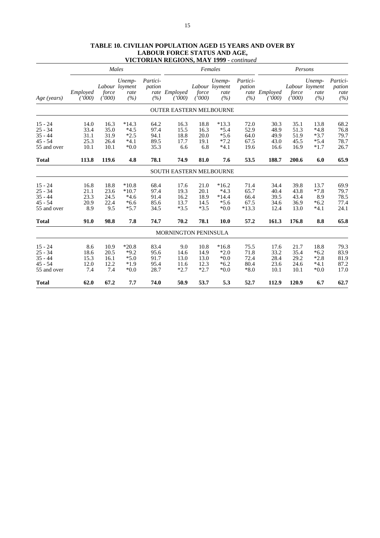|                                                                 | Males                                |                                      |                                                  |                                      | Females                                |                                        |                                                  |                                         | Persons                              |                                      |                                              |                                      |
|-----------------------------------------------------------------|--------------------------------------|--------------------------------------|--------------------------------------------------|--------------------------------------|----------------------------------------|----------------------------------------|--------------------------------------------------|-----------------------------------------|--------------------------------------|--------------------------------------|----------------------------------------------|--------------------------------------|
| Age (years)                                                     | Employed<br>(1000)                   | force<br>(1000)                      | Unemp-<br>Labour loyment<br>rate<br>(%)          | Partici-<br>pation<br>(%)            | rate Employed<br>(1000)                | force<br>(1000)                        | Unemp-<br>Labour loyment<br>rate<br>(%)          | Partici-<br>pation<br>(%)               | rate Employed<br>(1000)              | force<br>(1000)                      | Unemp-<br>Labour loyment<br>rate<br>(%)      | Partici-<br>pation<br>rate<br>(%)    |
|                                                                 |                                      |                                      |                                                  |                                      | <b>OUTER EASTERN MELBOURNE</b>         |                                        |                                                  |                                         |                                      |                                      |                                              |                                      |
| $15 - 24$<br>$25 - 34$<br>$35 - 44$<br>$45 - 54$<br>55 and over | 14.0<br>33.4<br>31.1<br>25.3<br>10.1 | 16.3<br>35.0<br>31.9<br>26.4<br>10.1 | $*14.3$<br>$*4.5$<br>$*2.5$<br>$*4.1$<br>$*0.0$  | 64.2<br>97.4<br>94.1<br>89.5<br>35.3 | 16.3<br>15.5<br>18.8<br>17.7<br>6.6    | 18.8<br>16.3<br>20.0<br>19.1<br>6.8    | $*13.3$<br>$*5.4$<br>$*5.6$<br>$*7.2$<br>$*4.1$  | 72.0<br>52.9<br>64.0<br>67.5<br>19.6    | 30.3<br>48.9<br>49.9<br>43.0<br>16.6 | 35.1<br>51.3<br>51.9<br>45.5<br>16.9 | 13.8<br>$*4.8$<br>$*3.7$<br>$*5.4$<br>$*1.7$ | 68.2<br>76.8<br>79.7<br>78.7<br>26.7 |
| <b>Total</b>                                                    | 113.8                                | 119.6                                | 4.8                                              | 78.1                                 | 74.9                                   | 81.0                                   | 7.6                                              | 53.5                                    | 188.7                                | 200.6                                | 6.0                                          | 65.9                                 |
|                                                                 |                                      |                                      |                                                  |                                      | <b>SOUTH EASTERN MELBOURNE</b>         |                                        |                                                  |                                         |                                      |                                      |                                              |                                      |
| $15 - 24$<br>$25 - 34$<br>$35 - 44$<br>$45 - 54$<br>55 and over | 16.8<br>21.1<br>23.3<br>20.9<br>8.9  | 18.8<br>23.6<br>24.5<br>22.4<br>9.5  | $*10.8$<br>$*10.7$<br>$*4.6$<br>$*6.6$<br>$*5.7$ | 68.4<br>97.4<br>91.4<br>85.6<br>34.5 | 17.6<br>19.3<br>16.2<br>13.7<br>$*3.5$ | 21.0<br>20.1<br>18.9<br>14.5<br>$*3.5$ | $*16.2$<br>$*4.3$<br>$*14.4$<br>$*5.6$<br>$*0.0$ | 71.4<br>65.7<br>66.4<br>67.5<br>$*13.3$ | 34.4<br>40.4<br>39.5<br>34.6<br>12.4 | 39.8<br>43.8<br>43.4<br>36.9<br>13.0 | 13.7<br>$*7.8$<br>8.9<br>$*6.2$<br>$*4.1$    | 69.9<br>79.7<br>78.5<br>77.4<br>24.1 |
| <b>Total</b>                                                    | 91.0                                 | 98.8                                 | 7.8                                              | 74.7                                 | 70.2                                   | 78.1                                   | 10.0                                             | 57.2                                    | 161.3                                | 176.8                                | 8.8                                          | 65.8                                 |
|                                                                 |                                      |                                      |                                                  |                                      | <b>MORNINGTON PENINSULA</b>            |                                        |                                                  |                                         |                                      |                                      |                                              |                                      |
| $15 - 24$<br>$25 - 34$<br>$35 - 44$<br>$45 - 54$<br>55 and over | 8.6<br>18.6<br>15.3<br>12.0<br>7.4   | 10.9<br>20.5<br>16.1<br>12.2<br>7.4  | $*20.8$<br>$*9.2$<br>$*5.0$<br>$*1.9$<br>$*0.0$  | 83.4<br>95.6<br>91.7<br>95.4<br>28.7 | 9.0<br>14.6<br>13.0<br>11.6<br>$*2.7$  | 10.8<br>14.9<br>13.0<br>12.3<br>$*2.7$ | $*16.8$<br>$*2.0$<br>$*0.0$<br>$*6.2$<br>$*0.0$  | 75.5<br>71.8<br>72.4<br>80.4<br>$*8.0$  | 17.6<br>33.2<br>28.4<br>23.6<br>10.1 | 21.7<br>35.4<br>29.2<br>24.6<br>10.1 | 18.8<br>$*6.2$<br>$*2.8$<br>$*4.1$<br>$*0.0$ | 79.3<br>83.9<br>81.9<br>87.2<br>17.0 |
| <b>Total</b>                                                    | 62.0                                 | 67.2                                 | 7.7                                              | 74.0                                 | 50.9                                   | 53.7                                   | 5.3                                              | 52.7                                    | 112.9                                | 120.9                                | 6.7                                          | 62.7                                 |

# **TABLE 10. CIVILIAN POPULATION AGED 15 YEARS AND OVER BY LABOUR FORCE STATUS AND AGE, VICTORIAN REGIONS, MAY 1999** *- continued*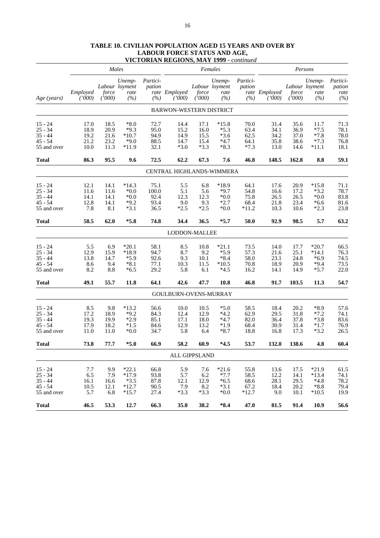|              |                    |                 | Males                                   |                           |                                |                 | Females                                 |                           |                         |                 | Persons                                 |                                   |
|--------------|--------------------|-----------------|-----------------------------------------|---------------------------|--------------------------------|-----------------|-----------------------------------------|---------------------------|-------------------------|-----------------|-----------------------------------------|-----------------------------------|
| Age (years)  | Employed<br>(1000) | force<br>(1000) | Unemp-<br>Labour loyment<br>rate<br>(%) | Partici-<br>pation<br>(%) | rate Employed<br>(1000)        | force<br>(1000) | Unemp-<br>Labour loyment<br>rate<br>(%) | Partici-<br>pation<br>(%) | rate Employed<br>(1000) | force<br>(1000) | Unemp-<br>Labour loyment<br>rate<br>(%) | Partici-<br>pation<br>rate<br>(%) |
|              |                    |                 |                                         |                           | <b>BARWON-WESTERN DISTRICT</b> |                 |                                         |                           |                         |                 |                                         |                                   |
| $15 - 24$    | 17.0               | 18.5            | $*8.0$                                  | 72.7                      | 14.4                           | 17.1            | $*15.8$                                 | 70.0                      | 31.4                    | 35.6            | 11.7                                    | 71.3                              |
| $25 - 34$    | 18.9               | 20.9            | $*9.3$                                  | 95.0                      | 15.2                           | 16.0            | $*5.3$                                  | 63.4                      | 34.1                    | 36.9            | $*7.5$                                  | 78.1                              |
| 35 - 44      | 19.2               | 21.6            | $*10.7$                                 | 94.9                      | 14.9                           | 15.5            | $*3.6$                                  | 62.5                      | 34.2                    | 37.0            | $*7.8$                                  | 78.0                              |
| $45 - 54$    | 21.2               | 23.2            | $*9.0$                                  | 88.5                      | 14.7                           | 15.4            | $*4.7$                                  | 64.1                      | 35.8                    | 38.6            | $*7.3$                                  | 76.8                              |
| 55 and over  | 10.0               | 11.3            | $*11.9$                                 | 32.1                      | $*3.0$                         | $*3.3$          | $*8.3$                                  | $*7.3$                    | 13.0                    | 14.6            | $*11.1$                                 | 18.1                              |
| <b>Total</b> | 86.3               | 95.5            | 9.6                                     | 72.5                      | 62.2                           | 67.3            | 7.6                                     | 46.8                      | 148.5                   | 162.8           | 8.8                                     | 59.1                              |
|              |                    |                 |                                         |                           | CENTRAL HIGHLANDS-WIMMERA      |                 |                                         |                           |                         |                 |                                         |                                   |
| $15 - 24$    | 12.1               | 14.1            | $*14.3$                                 | 75.1                      | 5.5                            | 6.8             | $*18.9$                                 | 64.1                      | 17.6                    | 20.9            | $*15.8$                                 | 71.1                              |
| $25 - 34$    | 11.6               | 11.6            | $^{\ast}0.0$                            | 100.0                     | 5.1                            | 5.6             | $*9.7$                                  | 54.8                      | 16.6                    | 17.2            | $*3.2$                                  | 78.7                              |
| 35 - 44      | 14.1               | 14.1            | $*0.0$                                  | 92.4                      | 12.3                           | 12.3            | $*0.0$                                  | 75.8                      | 26.5                    | 26.5            | $*0.0$                                  | 83.8                              |
| $45 - 54$    | 12.8               | 14.1            | $*9.2$                                  | 93.4                      | 9.0                            | 9.3             | $*2.7$                                  | 68.4                      | 21.8                    | 23.4            | $*6.6$                                  | 81.6                              |
| 55 and over  | 7.8                | 8.1             | $*3.1$                                  | 36.5                      | $*2.5$                         | $*2.5$          | $*0.0$                                  | $*11.2$                   | 10.3                    | 10.6            | $*2.3$                                  | 23.8                              |
| <b>Total</b> | 58.5               | 62.0            | $*5.8$                                  | 74.8                      | 34.4                           | 36.5            | $*5.7$                                  | 50.0                      | 92.9                    | 98.5            | 5.7                                     | 63.2                              |
|              |                    |                 |                                         |                           | LODDON-MALLEE                  |                 |                                         |                           |                         |                 |                                         |                                   |
| $15 - 24$    | 5.5                | 6.9             | $*20.1$                                 | 58.1                      | 8.5                            | 10.8            | $*21.1$                                 | 73.5                      | 14.0                    | 17.7            | $*20.7$                                 | 66.5                              |
| $25 - 34$    | 12.9               | 15.9            | *18.9                                   | 94.7                      | 8.7                            | 9.2             | $*5.9$                                  | 57.3                      | 21.6                    | 25.1            | $*14.1$                                 | 76.3                              |
| 35 - 44      | 13.8               | 14.7            | $*5.9$                                  | 92.6                      | 9.3                            | 10.1            | $*8.4$                                  | 58.0                      | 23.1                    | 24.8            | $*6.9$                                  | 74.5                              |
| $45 - 54$    | 8.6                | 9.4             | $*8.1$                                  | 77.1                      | 10.3                           | 11.5            | $*10.5$                                 | 70.8                      | 18.9                    | 20.9            | $*9.4$                                  | 73.5                              |
| 55 and over  | 8.2                | 8.8             | $*6.5$                                  | 29.2                      | 5.8                            | 6.1             | $*4.5$                                  | 16.2                      | 14.1                    | 14.9            | $*5.7$                                  | 22.0                              |
| <b>Total</b> | 49.1               | 55.7            | 11.8                                    | 64.1                      | 42.6                           | 47.7            | 10.8                                    | 46.8                      | 91.7                    | 103.5           | 11.3                                    | 54.7                              |
|              |                    |                 |                                         |                           | GOULBURN-OVENS-MURRAY          |                 |                                         |                           |                         |                 |                                         |                                   |
| $15 - 24$    | 8.5                | 9.8             | $*13.2$                                 | 56.6                      | 10.0                           | 10.5            | $*5.0$                                  | 58.5                      | 18.4                    | 20.2            | $*8.9$                                  | 57.6                              |
| $25 - 34$    | 17.2               | 18.9            | $*9.2$                                  | 84.3                      | 12.4                           | 12.9            | $*4.2$                                  | 62.9                      | 29.5                    | 31.8            | $*7.2$                                  | 74.1                              |
| $35 - 44$    | 19.3               | 19.9            | $*2.9$                                  | 85.1                      | 17.1                           | 18.0            | $*4.7$                                  | 82.0                      | 36.4                    | 37.8            | $*3.8$                                  | 83.6                              |
| $45 - 54$    | 17.9               | 18.2            | $*1.5$                                  | 84.6                      | 12.9                           | 13.2            | $*1.9$                                  | 68.4                      | 30.9                    | 31.4            | $*1.7$                                  | 76.9                              |
| 55 and over  | 11.0               | 11.0            | $*0.0$                                  | 34.7                      | 5.8                            | 6.4             | $*8.7$                                  | 18.8                      | 16.8                    | 17.3            | $*3.2$                                  | 26.5                              |
| <b>Total</b> | 73.8               | 77.7            | $*5.0$                                  | 66.9                      | 58.2                           | 60.9            | $*4.5$                                  | 53.7                      | 132.0                   | 138.6           | 4.8                                     | 60.4                              |
|              |                    |                 |                                         |                           |                                | ALL GIPPSLAND   |                                         |                           |                         |                 |                                         |                                   |
| $15 - 24$    | 7.7                | 9.9             | $*22.1$                                 | 66.8                      | 5.9                            | 7.6             | $*21.6$                                 | 55.8                      | 13.6                    | 17.5            | $*21.9$                                 | 61.5                              |
| $25 - 34$    | 6.5                | 7.9             | $*17.9$                                 | 93.8                      | 5.7                            | 6.2             | $*7.7$                                  | 58.5                      | 12.2                    | 14.1            | $*13.4$                                 | 74.1                              |
| $35 - 44$    | 16.1               | 16.6            | $*3.5$                                  | 87.8                      | 12.1                           | 12.9            | $*6.5$                                  | 68.6                      | 28.1                    | 29.5            | $*4.8$                                  | 78.2                              |
| $45 - 54$    | 10.5               | 12.1            | $*12.7$                                 | 90.5                      | 7.9                            | 8.2             | $*3.1$                                  | 67.2                      | 18.4                    | 20.2            | $*8.8$                                  | 79.4                              |
| 55 and over  | 5.7                | 6.8             | $*15.7$                                 | 27.4                      | $*3.3$                         | $*3.3$          | $*0.0$                                  | $*12.7$                   | 9.0                     | 10.1            | $*10.5$                                 | 19.9                              |
| <b>Total</b> | 46.5               | 53.3            | 12.7                                    | 66.3                      | 35.0                           | 38.2            | $*8.4$                                  | 47.0                      | 81.5                    | 91.4            | 10.9                                    | 56.6                              |

# **TABLE 10. CIVILIAN POPULATION AGED 15 YEARS AND OVER BY LABOUR FORCE STATUS AND AGE, VICTORIAN REGIONS, MAY 1999** *- continued*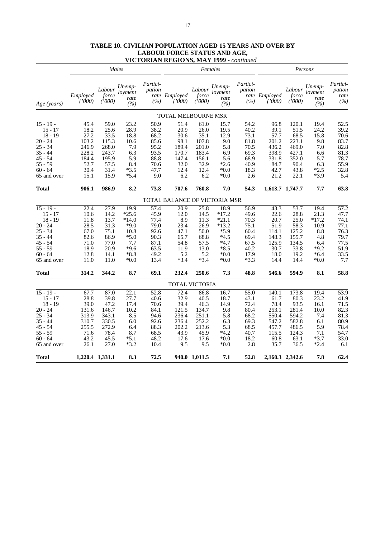# **TABLE 10. CIVILIAN POPULATION AGED 15 YEARS AND OVER BY LABOUR FORCE STATUS AND AGE, VICTORIAN REGIONS, MAY 1999** *- continued*

|             |                    |                           | Males                            |                           |                               |                           | Females                          |                           |                         |                           | Persons                          |                                   |
|-------------|--------------------|---------------------------|----------------------------------|---------------------------|-------------------------------|---------------------------|----------------------------------|---------------------------|-------------------------|---------------------------|----------------------------------|-----------------------------------|
| Age (years) | Employed<br>(1000) | Labour<br>force<br>(1000) | Unemp-<br>loyment<br>rate<br>(%) | Partici-<br>pation<br>(%) | rate Employed<br>(1000)       | Labour<br>force<br>(1000) | Unemp-<br>loyment<br>rate<br>(%) | Partici-<br>pation<br>(%) | rate Employed<br>(7000) | Labour<br>force<br>(1000) | Unemp-<br>loyment<br>rate<br>(%) | Partici-<br>pation<br>rate<br>(%) |
|             |                    |                           |                                  |                           | TOTAL MELBOURNE MSR           |                           |                                  |                           |                         |                           |                                  |                                   |
| $15 - 19 -$ | 45.4               | 59.0                      | 23.2                             | 50.9                      | 51.4                          | 61.0                      | 15.7                             | 54.2                      | 96.8                    | 120.1                     | 19.4                             | 52.5                              |
| $15 - 17$   | 18.2               | 25.6                      | 28.9                             | 38.2                      | 20.9                          | 26.0                      | 19.5                             | 40.2                      | 39.1                    | 51.5                      | 24.2                             | 39.2                              |
| $18 - 19$   | 27.2               | 33.5                      | 18.8                             | 68.2                      | 30.6                          | 35.1                      | 12.9                             | 73.1                      | 57.7                    | 68.5                      | 15.8                             | 70.6                              |
| $20 - 24$   | 103.2              | 115.3                     | 10.6                             | 85.6                      | 98.1                          | 107.8                     | 9.0                              | 81.8                      | 201.2                   | 223.1                     | 9.8                              | 83.7                              |
| $25 - 34$   | 246.9              | 268.0                     | 7.9                              | 95.2                      | 189.4                         | 201.0                     | 5.8                              | 70.5                      | 436.2                   | 469.0                     | 7.0                              | 82.8                              |
| $35 - 44$   | 228.2              | 243.7                     | 6.3                              | 93.5                      | 170.7                         | 183.4                     | 6.9                              | 69.3                      | 398.9                   | 427.1                     | 6.6                              | 81.3                              |
| $45 - 54$   | 184.4              | 195.9                     | 5.9                              | 88.8                      | 147.4                         | 156.1                     | 5.6                              | 68.9                      | 331.8                   | 352.0                     | 5.7                              | 78.7                              |
| $55 - 59$   | 52.7               | 57.5                      | 8.4                              | 70.6                      | 32.0                          | 32.9                      | $*2.6$                           | 40.9                      | 84.7                    | 90.4                      | 6.3                              | 55.9                              |
| $60 - 64$   | 30.4               | 31.4                      | $*3.5$                           | 47.7                      | 12.4                          | 12.4                      | $*0.0*$                          | 18.3                      | 42.7                    | 43.8                      | $*2.5$                           | 32.8                              |
| 65 and over | 15.1               | 15.9                      | $*5.4$                           | 9.0                       | 6.2                           | 6.2                       | $*0.0*$                          | 2.6                       | 21.2                    | 22.1                      | $*3.9$                           | 5.4                               |
| Total       | 906.1              | 986.9                     | 8.2                              | 73.8                      | 707.6                         | 760.8                     | 7.0                              | 54.3                      |                         | 1,613.7 1,747.7           | 7.7                              | 63.8                              |
|             |                    |                           |                                  |                           | TOTAL BALANCE OF VICTORIA MSR |                           |                                  |                           |                         |                           |                                  |                                   |
| $15 - 19 -$ | 22.4               | 27.9                      | 19.9                             | 57.4                      | 20.9                          | 25.8                      | 18.9                             | 56.9                      | 43.3                    | 53.7                      | 19.4                             | $\overline{57.2}$                 |
| $15 - 17$   | 10.6               | 14.2                      | $*25.6$                          | 45.9                      | 12.0                          | 14.5                      | $*17.2$                          | 49.6                      | 22.6                    | 28.8                      | 21.3                             | 47.7                              |
| $18 - 19$   | 11.8               | 13.7                      | $*14.0$                          | 77.4                      | 8.9                           | 11.3                      | $*21.1$                          | 70.3                      | 20.7                    | 25.0                      | $*17.2$                          | 74.1                              |
| $20 - 24$   | 28.5               | 31.3                      | $*9.0$                           | 79.0                      | 23.4                          | 26.9                      | $*13.2$                          | 75.1                      | 51.9                    | 58.3                      | 10.9                             | 77.1                              |
| $25 - 34$   | 67.0               | 75.1                      | 10.8                             | 92.6                      | 47.1                          | 50.0                      | $*5.9$                           | 60.4                      | 114.1                   | 125.2                     | 8.8                              | 76.3                              |
| $35 - 44$   | 82.6               | 86.9                      | $*5.0$                           | 90.3                      | 65.7                          | 68.8                      | $*4.5$                           | 69.4                      | 148.3                   | 155.7                     | 4.8                              | 79.7                              |
| $45 - 54$   | 71.0               | 77.0                      | 7.7                              | 87.1                      | 54.8                          | 57.5                      | $*4.7$                           | 67.5                      | 125.9                   | 134.5                     | 6.4                              | 77.5                              |
| $55 - 59$   | 18.9               | 20.9                      | $*9.6$                           | 63.5                      | 11.9                          | 13.0                      | $*8.5$                           | 40.2                      | 30.7                    | 33.8                      | $*9.2$                           | 51.9                              |
| $60 - 64$   | 12.8               | 14.1                      | $*8.8$                           | 49.2                      | 5.2                           | 5.2                       | $*0.0*$                          | 17.9                      | 18.0                    | 19.2                      | $*6.4$                           | 33.5                              |
| 65 and over | 11.0               | 11.0                      | $*0.0$                           | 13.4                      | $*3.4$                        | *3.4                      | $*0.0*$                          | $*3.3$                    | 14.4                    | 14.4                      | $*0.0$                           | 7.7                               |
| Total       | 314.2              | 344.2                     | 8.7                              | 69.1                      | 232.4                         | 250.6                     | 7.3                              | 48.8                      | 546.6                   | 594.9                     | 8.1                              | 58.8                              |
|             |                    |                           |                                  |                           | TOTAL VICTORIA                |                           |                                  |                           |                         |                           |                                  |                                   |
| $15 - 19 -$ | 67.7               | 87.0                      | $\overline{22.1}$                | 52.8                      | 72.4                          | 86.8                      | 16.7                             | 55.0                      | 140.1                   | 173.8                     | 19.4                             | 53.9                              |
| $15 - 17$   | 28.8               | 39.8                      | 27.7                             | 40.6                      | 32.9                          | 40.5                      | 18.7                             | 43.1                      | 61.7                    | 80.3                      | 23.2                             | 41.9                              |
| $18 - 19$   | 39.0               | 47.2                      | 17.4                             | 70.6                      | 39.4                          | 46.3                      | 14.9                             | 72.4                      | 78.4                    | 93.5                      | 16.1                             | 71.5                              |
| $20 - 24$   | 131.6              | 146.7                     | 10.2                             | 84.1                      | 121.5                         | 134.7                     | 9.8                              | 80.4                      | 253.1                   | 281.4                     | 10.0                             | 82.3                              |
| $25 - 34$   | 313.9              | 343.1                     | 8.5                              | 94.6                      | 236.4                         | 251.1                     | 5.8                              | 68.2                      | 550.4                   | 594.2                     | 7.4                              | 81.3                              |
| $35 - 44$   | 310.7              | 330.5                     | 6.0                              | 92.6                      | 236.4                         | 252.2                     | 6.3                              | 69.3                      | 547.2                   | 582.8                     | 6.1                              | 80.9                              |
| $45 - 54$   | 255.5              | 272.9                     | 6.4                              | 88.3                      | 202.2                         | 213.6                     | 5.3                              | 68.5                      | 457.7                   | 486.5                     | 5.9                              | 78.4                              |
| $55 - 59$   | 71.6               | 78.4                      | 8.7                              | 68.5                      | 43.9                          | 45.9                      | $*4.2$                           | 40.7                      | 115.5                   | 124.3                     | 7.1                              | 54.7                              |
| $60 - 64$   | 43.2               | 45.5                      | $*5.1$                           | 48.2                      | 17.6                          | 17.6                      | $*0.0*$                          | 18.2                      | 60.8                    | 63.1                      | $*3.7$                           | 33.0                              |
| 65 and over | 26.1               | 27.0                      | $*3.2$                           | 10.4                      | 9.5                           | 9.5                       | $*0.0*$                          | 2.8                       | 35.7                    | 36.5                      | $*2.4$                           | 6.1                               |
| Total       |                    | 1,220.4 1,331.1           | 8.3                              | 72.5                      |                               | 940.0 1,011.5             | 7.1                              | 52.8                      |                         | 2,160.3 2,342.6           | 7.8                              | 62.4                              |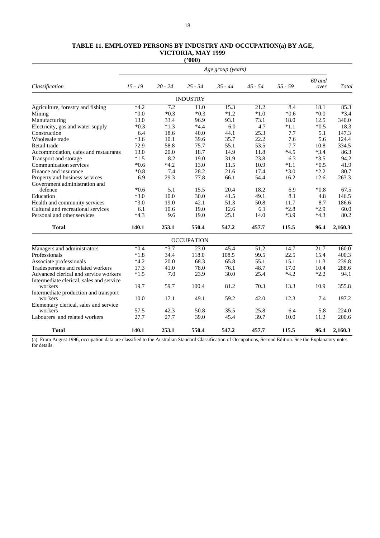#### **TABLE 11. EMPLOYED PERSONS BY INDUSTRY AND OCCUPATION(a) BY AGE, VICTORIA, MAY 1999 ('000)**

|                                          |           |                  |                   | Age group (years) |           |           |                |         |
|------------------------------------------|-----------|------------------|-------------------|-------------------|-----------|-----------|----------------|---------|
| Classification                           | $15 - 19$ | $20 - 24$        | $25 - 34$         | $35 - 44$         | $45 - 54$ | $55 - 59$ | 60 and<br>over | Total   |
|                                          |           |                  | <b>INDUSTRY</b>   |                   |           |           |                |         |
| Agriculture, forestry and fishing        | $*4.2$    | $\overline{7.2}$ | 11.0              | 15.3              | 21.2      | 8.4       | 18.1           | 85.3    |
| Mining                                   | $*0.0*$   | $*0.3$           | $*0.3$            | $*1.2$            | $*1.0$    | $*0.6$    | $*0.0$         | $*3.4$  |
| Manufacturing                            | 13.0      | 33.4             | 96.9              | 93.1              | 73.1      | 18.0      | 12.5           | 340.0   |
| Electricity, gas and water supply        | $*0.3$    | $*1.3$           | $*4.4$            | 6.0               | 4.7       | $*1.1$    | $*0.5$         | 18.3    |
| Construction                             | 6.4       | 18.6             | 40.0              | 44.1              | 25.3      | 7.7       | 5.1            | 147.3   |
| Wholesale trade                          | $*3.6$    | 10.1             | 39.6              | 35.7              | 22.2      | 7.6       | 5.6            | 124.4   |
| Retail trade                             | 72.9      | 58.8             | 75.7              | 55.1              | 53.5      | 7.7       | 10.8           | 334.5   |
| Accommodation, cafes and restaurants     | 13.0      | 20.0             | 18.7              | 14.9              | 11.8      | $*4.5$    | $*3.4$         | 86.3    |
| Transport and storage                    | $*1.5$    | 8.2              | 19.0              | 31.9              | 23.8      | 6.3       | $*3.5$         | 94.2    |
| Communication services                   | $*0.6$    | $*4.2$           | 13.0              | 11.5              | 10.9      | $*1.1$    | $*0.5$         | 41.9    |
| Finance and insurance                    | $*0.8$    | 7.4              | 28.2              | 21.6              | 17.4      | $*3.0$    | $*2.2$         | 80.7    |
| Property and business services           | 6.9       | 29.3             | 77.8              | 66.1              | 54.4      | 16.2      | 12.6           | 263.3   |
| Government administration and            |           |                  |                   |                   |           |           |                |         |
| defence                                  | $*0.6$    | 5.1              | 15.5              | 20.4              | 18.2      | 6.9       | $*0.8$         | 67.5    |
| Education                                | $*3.0$    | 10.0             | 30.0              | 41.5              | 49.1      | 8.1       | 4.8            | 146.5   |
| Health and community services            | $*3.0$    | 19.0             | 42.1              | 51.3              | 50.8      | 11.7      | 8.7            | 186.6   |
| Cultural and recreational services       | 6.1       | 10.6             | 19.0              | 12.6              | 6.1       | $*2.8$    | $*2.9$         | 60.0    |
| Personal and other services              | $*4.3$    | 9.6              | 19.0              | 25.1              | 14.0      | $*3.9$    | $*4.3$         | 80.2    |
| <b>Total</b>                             | 140.1     | 253.1            | 550.4             | 547.2             | 457.7     | 115.5     | 96.4           | 2,160.3 |
|                                          |           |                  | <b>OCCUPATION</b> |                   |           |           |                |         |
| Managers and administrators              | $*0.4$    | $*3.7$           | 23.0              | 45.4              | 51.2      | 14.7      | 21.7           | 160.0   |
| Professionals                            | $*1.8$    | 34.4             | 118.0             | 108.5             | 99.5      | 22.5      | 15.4           | 400.3   |
| Associate professionals                  | $*4.2$    | 20.0             | 68.3              | 65.8              | 55.1      | 15.1      | 11.3           | 239.8   |
| Tradespersons and related workers        | 17.3      | 41.0             | 78.0              | 76.1              | 48.7      | 17.0      | 10.4           | 288.6   |
| Advanced clerical and service workers    | $*1.5$    | 7.0              | 23.9              | 30.0              | 25.4      | $*4.2$    | $*2.2$         | 94.1    |
| Intermediate clerical, sales and service |           |                  |                   |                   |           |           |                |         |
| workers                                  | 19.7      | 59.7             | 100.4             | 81.2              | 70.3      | 13.3      | 10.9           | 355.8   |
| Intermediate production and transport    |           |                  |                   |                   |           |           |                |         |
| workers                                  | 10.0      | 17.1             | 49.1              | 59.2              | 42.0      | 12.3      | 7.4            | 197.2   |
| Elementary clerical, sales and service   |           |                  |                   |                   |           |           |                |         |
| workers                                  | 57.5      | 42.3             | 50.8              | 35.5              | 25.8      | 6.4       | 5.8            | 224.0   |
| Labourers and related workers            | 27.7      | 27.7             | 39.0              | 45.4              | 39.7      | 10.0      | 11.2           | 200.6   |
| <b>Total</b>                             | 140.1     | 253.1            | 550.4             | 547.2             | 457.7     | 115.5     | 96.4           | 2,160.3 |

(a) From August 1996, occupation data are classified to the Australian Standard Classification of Occupations, Second Edition. See the Explanatory notes for details.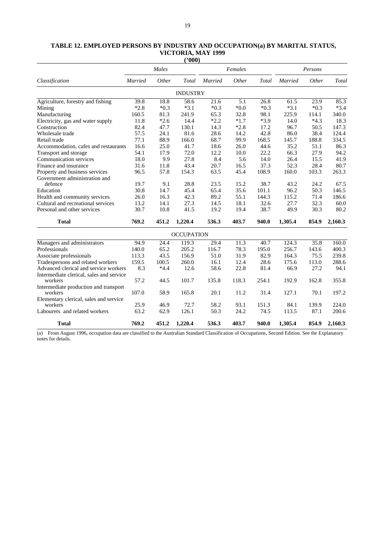| TABLE 12. EMPLOYED PERSONS BY INDUSTRY AND OCCUPATION(a) BY MARITAL STATUS, |
|-----------------------------------------------------------------------------|
| VICTORIA, MAY 1999                                                          |
| $^{\prime\prime}000$ )                                                      |

|                                          |                | Males  |                   |                | Females |        | Persons        |        |         |
|------------------------------------------|----------------|--------|-------------------|----------------|---------|--------|----------------|--------|---------|
| Classification                           | <b>Married</b> | Other  | Total             | <b>Married</b> | Other   | Total  | <b>Married</b> | Other  | Total   |
|                                          |                |        | <b>INDUSTRY</b>   |                |         |        |                |        |         |
| Agriculture, forestry and fishing        | 39.8           | 18.8   | 58.6              | 21.6           | 5.1     | 26.8   | 61.5           | 23.9   | 85.3    |
| Mining                                   | $*2.8$         | $*0.3$ | $*3.1$            | $*0.3$         | $*0.0$  | $*0.3$ | $*3.1$         | $*0.3$ | $*3.4$  |
| Manufacturing                            | 160.5          | 81.3   | 241.9             | 65.3           | 32.8    | 98.1   | 225.9          | 114.1  | 340.0   |
| Electricity, gas and water supply        | 11.8           | $*2.6$ | 14.4              | $*2.2$         | $*1.7$  | $*3.9$ | 14.0           | $*4.3$ | 18.3    |
| Construction                             | 82.4           | 47.7   | 130.1             | 14.3           | $*2.8$  | 17.2   | 96.7           | 50.5   | 147.3   |
| Wholesale trade                          | 57.5           | 24.1   | 81.6              | 28.6           | 14.2    | 42.8   | 86.0           | 38.4   | 124.4   |
| Retail trade                             | 77.1           | 88.9   | 166.0             | 68.7           | 99.9    | 168.5  | 145.7          | 188.8  | 334.5   |
| Accommodation, cafes and restaurants     | 16.6           | 25.0   | 41.7              | 18.6           | 26.0    | 44.6   | 35.2           | 51.1   | 86.3    |
| Transport and storage                    | 54.1           | 17.9   | 72.0              | 12.2           | 10.0    | 22.2   | 66.3           | 27.9   | 94.2    |
| Communication services                   | 18.0           | 9.9    | 27.8              | 8.4            | 5.6     | 14.0   | 26.4           | 15.5   | 41.9    |
| Finance and insurance                    | 31.6           | 11.8   | 43.4              | 20.7           | 16.5    | 37.3   | 52.3           | 28.4   | 80.7    |
| Property and business services           | 96.5           | 57.8   | 154.3             | 63.5           | 45.4    | 108.9  | 160.0          | 103.3  | 263.3   |
| Government administration and            |                |        |                   |                |         |        |                |        |         |
| defence                                  | 19.7           | 9.1    | 28.8              | 23.5           | 15.2    | 38.7   | 43.2           | 24.2   | 67.5    |
| Education                                | 30.8           | 14.7   | 45.4              | 65.4           | 35.6    | 101.1  | 96.2           | 50.3   | 146.5   |
| Health and community services            | 26.0           | 16.3   | 42.3              | 89.2           | 55.1    | 144.3  | 115.2          | 71.4   | 186.6   |
| Cultural and recreational services       | 13.2           | 14.1   | 27.3              | 14.5           | 18.1    | 32.6   | 27.7           | 32.3   | 60.0    |
| Personal and other services              | 30.7           | 10.8   | 41.5              | 19.2           | 19.4    | 38.7   | 49.9           | 30.3   | 80.2    |
| <b>Total</b>                             | 769.2          | 451.2  | 1,220.4           | 536.3          | 403.7   | 940.0  | 1,305.4        | 854.9  | 2,160.3 |
|                                          |                |        | <b>OCCUPATION</b> |                |         |        |                |        |         |
| Managers and administrators              | 94.9           | 24.4   | 119.3             | 29.4           | 11.3    | 40.7   | 124.3          | 35.8   | 160.0   |
| Professionals                            | 140.0          | 65.2   | 205.2             | 116.7          | 78.3    | 195.0  | 256.7          | 143.6  | 400.3   |
| Associate professionals                  | 113.3          | 43.5   | 156.9             | 51.0           | 31.9    | 82.9   | 164.3          | 75.5   | 239.8   |
| Tradespersons and related workers        | 159.5          | 100.5  | 260.0             | 16.1           | 12.4    | 28.6   | 175.6          | 113.0  | 288.6   |
| Advanced clerical and service workers    | 8.3            | $*4.4$ | 12.6              | 58.6           | 22.8    | 81.4   | 66.9           | 27.2   | 94.1    |
| Intermediate clerical, sales and service |                |        |                   |                |         |        |                |        |         |
| workers                                  | 57.2           | 44.5   | 101.7             | 135.8          | 118.3   | 254.1  | 192.9          | 162.8  | 355.8   |
| Intermediate production and transport    |                |        |                   |                |         |        |                |        |         |
| workers                                  | 107.0          | 58.9   | 165.8             | 20.1           | 11.2    | 31.4   | 127.1          | 70.1   | 197.2   |
| Elementary clerical, sales and service   |                |        |                   |                |         |        |                |        |         |
| workers                                  | 25.9           | 46.9   | 72.7              | 58.2           | 93.1    | 151.3  | 84.1           | 139.9  | 224.0   |
| Labourers and related workers            | 63.2           | 62.9   | 126.1             | 50.3           | 24.2    | 74.5   | 113.5          | 87.1   | 200.6   |
| <b>Total</b>                             | 769.2          | 451.2  | 1,220.4           | 536.3          | 403.7   | 940.0  | 1,305.4        | 854.9  | 2,160.3 |

(a) From August 1996, occupation data are classified to the Australian Standard Classification of Occupations, Second Edition. See the Explanatory notes for details.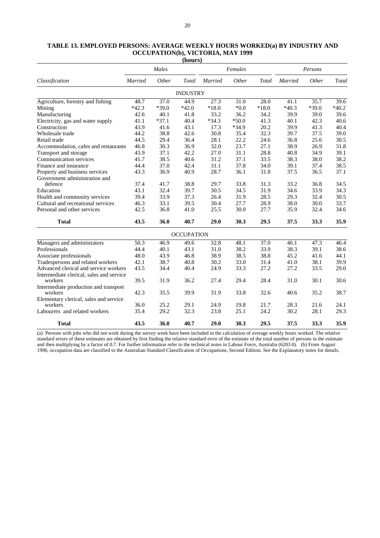|                                          |                | Males   |                   |         | Females |         |                | Persons |         |
|------------------------------------------|----------------|---------|-------------------|---------|---------|---------|----------------|---------|---------|
| Classification                           | <b>Married</b> | Other   | Total             | Married | Other   | Total   | <b>Married</b> | Other   | Total   |
|                                          |                |         | <b>INDUSTRY</b>   |         |         |         |                |         |         |
| Agriculture, forestry and fishing        | 48.7           | 37.0    | 44.9              | 27.3    | 31.0    | 28.0    | 41.1           | 35.7    | 39.6    |
| Mining                                   | $*42.3$        | $*39.0$ | $*42.0$           | $*18.0$ | $*0.0$  | $*18.0$ | $*40.3$        | $*39.0$ | $*40.2$ |
| Manufacturing                            | 42.6           | 40.1    | 41.8              | 33.2    | 36.2    | 34.2    | 39.9           | 39.0    | 39.6    |
| Electricity, gas and water supply        | 41.1           | $*37.1$ | 40.4              | $*34.3$ | $*50.0$ | 41.3    | 40.1           | 42.3    | 40.6    |
| Construction                             | 43.9           | 41.6    | 43.1              | 17.3    | $*34.9$ | 20.2    | 39.9           | 41.3    | 40.4    |
| Wholesale trade                          | 44.2           | 38.8    | 42.6              | 30.8    | 35.4    | 32.3    | 39.7           | 37.5    | 39.0    |
| Retail trade                             | 44.5           | 29.4    | 36.4              | 28.1    | 22.2    | 24.6    | 36.8           | 25.6    | 30.5    |
| Accommodation, cafes and restaurants     | 46.8           | 30.3    | 36.9              | 32.0    | 23.7    | 27.1    | 38.9           | 26.9    | 31.8    |
| Transport and storage                    | 43.9           | 37.1    | 42.2              | 27.0    | 31.1    | 28.8    | 40.8           | 34.9    | 39.1    |
| Communication services                   | 41.7           | 38.5    | 40.6              | 31.2    | 37.1    | 33.5    | 38.3           | 38.0    | 38.2    |
| Finance and insurance                    | 44.4           | 37.0    | 42.4              | 31.1    | 37.8    | 34.0    | 39.1           | 37.4    | 38.5    |
| Property and business services           | 43.3           | 36.9    | 40.9              | 28.7    | 36.1    | 31.8    | 37.5           | 36.5    | 37.1    |
| Government administration and            |                |         |                   |         |         |         |                |         |         |
| defence                                  | 37.4           | 41.7    | 38.8              | 29.7    | 33.8    | 31.3    | 33.2           | 36.8    | 34.5    |
| Education                                | 43.1           | 32.4    | 39.7              | 30.5    | 34.5    | 31.9    | 34.6           | 33.9    | 34.3    |
| Health and community services            | 39.4           | 33.9    | 37.3              | 26.4    | 31.9    | 28.5    | 29.3           | 32.4    | 30.5    |
| Cultural and recreational services       | 46.3           | 33.1    | 39.5              | 30.4    | 27.7    | 28.9    | 38.0           | 30.0    | 33.7    |
| Personal and other services              | 42.5           | 36.8    | 41.0              | 25.5    | 30.0    | 27.7    | 35.9           | 32.4    | 34.6    |
| <b>Total</b>                             | 43.5           | 36.0    | 40.7              | 29.0    | 30.3    | 29.5    | 37.5           | 33.3    | 35.9    |
|                                          |                |         | <b>OCCUPATION</b> |         |         |         |                |         |         |
| Managers and administrators              | 50.3           | 46.9    | 49.6              | 32.8    | 48.1    | 37.0    | 46.1           | 47.3    | 46.4    |
| Professionals                            | 44.4           | 40.1    | 43.1              | 31.0    | 38.2    | 33.9    | 38.3           | 39.1    | 38.6    |
| Associate professionals                  | 48.0           | 43.9    | 46.8              | 38.9    | 38.5    | 38.8    | 45.2           | 41.6    | 44.1    |
| Tradespersons and related workers        | 42.1           | 38.7    | 40.8              | 30.2    | 33.0    | 31.4    | 41.0           | 38.1    | 39.9    |
| Advanced clerical and service workers    | 43.5           | 34.4    | 40.4              | 24.9    | 33.3    | 27.2    | 27.2           | 33.5    | 29.0    |
| Intermediate clerical, sales and service |                |         |                   |         |         |         |                |         |         |
| workers                                  | 39.5           | 31.9    | 36.2              | 27.4    | 29.4    | 28.4    | 31.0           | 30.1    | 30.6    |
| Intermediate production and transport    |                |         |                   |         |         |         |                |         |         |
| workers                                  | 42.3           | 35.5    | 39.9              | 31.9    | 33.8    | 32.6    | 40.6           | 35.2    | 38.7    |
| Elementary clerical, sales and service   |                |         |                   |         |         |         |                |         |         |
| workers                                  | 36.0           | 25.2    | 29.1              | 24.9    | 19.8    | 21.7    | 28.3           | 21.6    | 24.1    |
| Labourers and related workers            | 35.4           | 29.2    | 32.3              | 23.8    | 25.1    | 24.2    | 30.2           | 28.1    | 29.3    |
| <b>Total</b>                             | 43.5           | 36.0    | 40.7              | 29.0    | 30.3    | 29.5    | 37.5           | 33.3    | 35.9    |

### **TABLE 13. EMPLOYED PERSONS: AVERAGE WEEKLY HOURS WORKED(a) BY INDUSTRY AND OCCUPATION(b), VICTORIA, MAY 1999 (hours)**

(a) Persons with jobs who did not work during the survey week have been included in the calculation of average weekly hours worked. The relative standard errors of these estimates are obtained by first finding the relative standard error of the estimate of the total number of persons in the estimate and then multiplying by a factor of 0.7. For further information refer to the technical notes in Labour Force, Australia (6203.0). (b) From August 1996, occupation data are classified to the Australian Standard Classification of Occupations, Second Edition. See the Explanatory notes for details.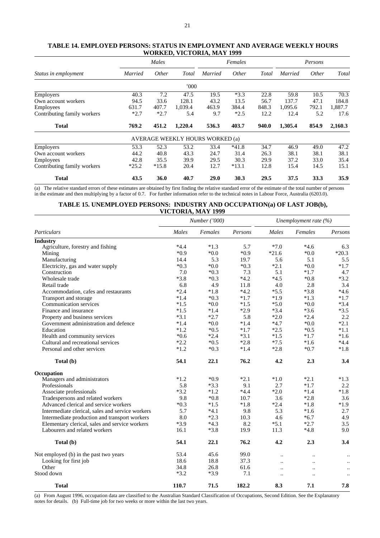|                             |         | Males        |         |                                 | Females |       | Persons        |              |         |
|-----------------------------|---------|--------------|---------|---------------------------------|---------|-------|----------------|--------------|---------|
| Status in employment        | Married | <i>Other</i> | Total   | <b>Married</b>                  | Other   | Total | <b>Married</b> | <i>Other</i> | Total   |
|                             |         |              | 000'    |                                 |         |       |                |              |         |
| Employers                   | 40.3    | 7.2          | 47.5    | 19.5                            | $*3.3$  | 22.8  | 59.8           | 10.5         | 70.3    |
| Own account workers         | 94.5    | 33.6         | 128.1   | 43.2                            | 13.5    | 56.7  | 137.7          | 47.1         | 184.8   |
| <b>Employees</b>            | 631.7   | 407.7        | 1,039.4 | 463.9                           | 384.4   | 848.3 | 1.095.6        | 792.1        | 1.887.7 |
| Contributing family workers | $*2.7$  | $*2.7$       | 5.4     | 9.7                             | $*2.5$  | 12.2  | 12.4           | 5.2          | 17.6    |
| <b>Total</b>                | 769.2   | 451.2        | 1,220.4 | 536.3                           | 403.7   | 940.0 | 1,305.4        | 854.9        | 2,160.3 |
|                             |         |              |         | AVERAGE WEEKLY HOURS WORKED (a) |         |       |                |              |         |
| Employers                   | 53.3    | 52.3         | 53.2    | 33.4                            | $*41.8$ | 34.7  | 46.9           | 49.0         | 47.2    |
| Own account workers         | 44.2    | 40.8         | 43.3    | 24.7                            | 31.4    | 26.3  | 38.1           | 38.1         | 38.1    |
| Employees                   | 42.8    | 35.5         | 39.9    | 29.5                            | 30.3    | 29.9  | 37.2           | 33.0         | 35.4    |
| Contributing family workers | $*25.2$ | $*15.8$      | 20.4    | 12.7                            | $*13.1$ | 12.8  | 15.4           | 14.5         | 15.1    |
| <b>Total</b>                | 43.5    | 36.0         | 40.7    | 29.0                            | 30.3    | 29.5  | 37.5           | 33.3         | 35.9    |

# **TABLE 14. EMPLOYED PERSONS: STATUS IN EMPLOYMENT AND AVERAGE WEEKLY HOURS WORKED, VICTORIA, MAY 1999**

(a) The relative standard errors of these estimates are obtained by first finding the relative standard error of the estimate of the total number of persons in the estimate and then multiplying by a factor of 0.7. For further information refer to the technical notes in Labour Force, Australia (6203.0).

### **TABLE 15. UNEMPLOYED PERSONS: INDUSTRY AND OCCUPATION(a) OF LAST JOB(b), VICTORIA, MAY 1999**

|                                                  |        | Number ('000) | Unemployment rate $(%)$ |                      |                      |                      |
|--------------------------------------------------|--------|---------------|-------------------------|----------------------|----------------------|----------------------|
| Particulars                                      | Males  | Females       | Persons                 | Males                | Females              | Persons              |
| <b>Industry</b>                                  |        |               |                         |                      |                      |                      |
| Agriculture, forestry and fishing                | $*4.4$ | $*1.3$        | 5.7                     | $*7.0$               | $*4.6$               | 6.3                  |
| Mining                                           | $*0.9$ | $*0.0*$       | $*0.9$                  | $*21.6$              | $*0.0*$              | $*20.3$              |
| Manufacturing                                    | 14.4   | 5.3           | 19.7                    | 5.6                  | 5.1                  | 5.5                  |
| Electricity, gas and water supply                | $*0.3$ | $*0.0$        | $*0.3$                  | $*2.1$               | $*0.0*$              | $*1.7$               |
| Construction                                     | 7.0    | $*0.3$        | 7.3                     | 5.1                  | $*1.7$               | 4.7                  |
| Wholesale trade                                  | $*3.8$ | $*0.3$        | $*4.2$                  | $*4.5$               | $*0.8$               | $*3.2$               |
| Retail trade                                     | 6.8    | 4.9           | 11.8                    | 4.0                  | 2.8                  | 3.4                  |
| Accommodation, cafes and restaurants             | $*2.4$ | $*1.8$        | $*4.2$                  | $*5.5$               | $*3.8$               | $*4.6$               |
| Transport and storage                            | $*1.4$ | $*0.3$        | $*1.7$                  | $*1.9$               | $*1.3$               | $*1.7$               |
| Communication services                           | $*1.5$ | $*0.0*$       | $*1.5$                  | $*5.0$               | $*0.0$               | $*3.4$               |
| Finance and insurance                            | $*1.5$ | $*1.4$        | $*2.9$                  | $*3.4$               | $*3.6$               | $*3.5$               |
| Property and business services                   | $*3.1$ | $*2.7$        | 5.8                     | $*2.0$               | $*2.4$               | 2.2                  |
| Government administration and defence            | $*1.4$ | $*0.0*$       | $*1.4$                  | $*4.7$               | $*0.0$               | $*2.1$               |
| Education                                        | $*1.2$ | $*0.5$        | $*1.7$                  | $*2.5$               | $*0.5$               | $*1.1$               |
| Health and community services                    | $*0.6$ | $*2.4$        | $*3.1$                  | $*1.5$               | $*1.7$               | $*1.6$               |
| Cultural and recreational services               | $*2.2$ | $*0.5$        | $*2.8$                  | $*7.5$               | $*1.6$               | $*4.4$               |
| Personal and other services                      | $*1.2$ | $*0.3$        | $*1.4$                  | $*2.8$               | $*0.7$               | $*1.8$               |
| Total (b)                                        | 54.1   | 22.1          | 76.2                    | 4.2                  | 2.3                  | 3.4                  |
| Occupation                                       |        |               |                         |                      |                      |                      |
| Managers and administrators                      | $*1.2$ | $*0.9$        | $*2.1$                  | $*1.0$               | $*2.1$               | $*1.3$               |
| Professionals                                    | 5.8    | $*3.3$        | 9.1                     | 2.7                  | $*1.7$               | 2.2                  |
| Associate professionals                          | $*3.2$ | $*1.2$        | $*4.4$                  | $*2.0$               | $*1.4$               | $*1.8$               |
| Tradespersons and related workers                | 9.8    | $*0.8$        | 10.7                    | 3.6                  | $*2.8$               | 3.6                  |
| Advanced clerical and service workers            | $*0.3$ | $*1.5$        | $*1.8$                  | $*2.4$               | $*1.8$               | $*1.9$               |
| Intermediate clerical, sales and service workers | 5.7    | $*4.1$        | 9.8                     | 5.3                  | $*1.6$               | 2.7                  |
| Intermediate production and transport workers    | 8.0    | $*2.3$        | 10.3                    | 4.6                  | $*6.7$               | 4.9                  |
| Elementary clerical, sales and service workers   | $*3.9$ | $*4.3$        | 8.2                     | $*5.1$               | $*2.7$               | 3.5                  |
| Labourers and related workers                    | 16.1   | $*3.8$        | 19.9                    | 11.3                 | $*4.8$               | 9.0                  |
| Total (b)                                        | 54.1   | 22.1          | 76.2                    | 4.2                  | 2.3                  | 3.4                  |
| Not employed (b) in the past two years           | 53.4   | 45.6          | 99.0                    | $\ddot{\phantom{a}}$ | $\ddot{\phantom{a}}$ | $\ddot{\phantom{0}}$ |
| Looking for first job                            | 18.6   | 18.8          | 37.3                    | $\ddot{\phantom{a}}$ | $\ddot{\phantom{a}}$ | $\ddot{\phantom{0}}$ |
| Other                                            | 34.8   | 26.8          | 61.6                    | $\ddot{\phantom{a}}$ |                      | $\ddot{\phantom{a}}$ |
| Stood down                                       | $*3.2$ | $*3.9$        | 7.1                     | $\ddot{\phantom{a}}$ | $\ddot{\phantom{a}}$ | $\ddot{\phantom{0}}$ |
| <b>Total</b>                                     | 110.7  | 71.5          | 182.2                   | 8.3                  | 7.1                  | 7.8                  |

(a) From August 1996, occupation data are classified to the Australian Standard Classification of Occupations, Second Edition. See the Explanatory notes for details. (b) Full-time job for two weeks or more within the last two years.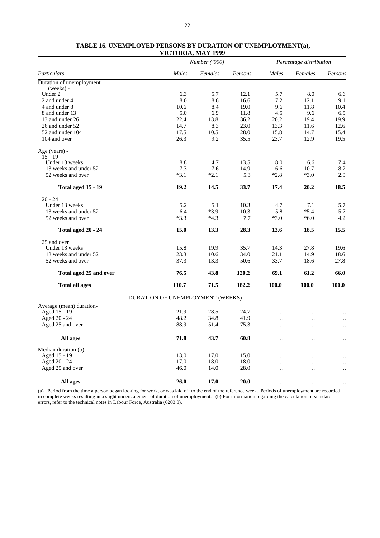|                            |                                  | <i>Number</i> ('000) |         |                      | Percentage distribution |                      |  |
|----------------------------|----------------------------------|----------------------|---------|----------------------|-------------------------|----------------------|--|
| Particulars                | Males                            | Females              | Persons | Males                | Females                 | Persons              |  |
| Duration of unemployment   |                                  |                      |         |                      |                         |                      |  |
| (weeks) -                  |                                  |                      |         |                      |                         |                      |  |
| Under 2                    | 6.3                              | 5.7                  | 12.1    | 5.7                  | 8.0                     | 6.6                  |  |
| 2 and under 4              | 8.0                              | 8.6                  | 16.6    | 7.2                  | 12.1                    | 9.1                  |  |
| 4 and under 8              | 10.6                             | 8.4                  | 19.0    | 9.6                  | 11.8                    | 10.4                 |  |
| 8 and under 13             | 5.0                              | 6.9                  | 11.8    | 4.5                  | 9.6                     | 6.5                  |  |
| 13 and under 26            | 22.4                             | 13.8                 | 36.2    | 20.2                 | 19.4                    | 19.9                 |  |
| 26 and under 52            | 14.7                             | 8.3                  | 23.0    | 13.3                 | 11.6                    | 12.6                 |  |
| 52 and under 104           | 17.5                             | 10.5                 | 28.0    | 15.8                 | 14.7                    | 15.4                 |  |
| 104 and over               | 26.3                             | 9.2                  | 35.5    | 23.7                 | 12.9                    | 19.5                 |  |
| Age (years) -<br>$15 - 19$ |                                  |                      |         |                      |                         |                      |  |
| Under 13 weeks             | 8.8                              | 4.7                  | 13.5    | 8.0                  | 6.6                     | 7.4                  |  |
| 13 weeks and under 52      | 7.3                              | 7.6                  | 14.9    | 6.6                  | 10.7                    | 8.2                  |  |
| 52 weeks and over          | $*3.1$                           | $*2.1$               | 5.3     | $*2.8$               | $*3.0$                  | 2.9                  |  |
| <b>Total aged 15 - 19</b>  | 19.2                             | 14.5                 | 33.7    | 17.4                 | 20.2                    | 18.5                 |  |
| $20 - 24$                  |                                  |                      |         |                      |                         |                      |  |
| Under 13 weeks             | 5.2                              | 5.1                  | 10.3    | 4.7                  | 7.1                     | 5.7                  |  |
| 13 weeks and under 52      | 6.4                              | $*3.9$               | 10.3    | 5.8                  | $*5.4$                  | 5.7                  |  |
| 52 weeks and over          | $*3.3$                           | $*4.3$               | 7.7     | $*3.0$               | $*6.0$                  | 4.2                  |  |
| Total aged 20 - 24         | 15.0                             | 13.3                 | 28.3    | 13.6                 | 18.5                    | 15.5                 |  |
| 25 and over                |                                  |                      |         |                      |                         |                      |  |
| Under 13 weeks             | 15.8                             | 19.9                 | 35.7    | 14.3                 | 27.8                    | 19.6                 |  |
| 13 weeks and under 52      | 23.3                             | 10.6                 | 34.0    | 21.1                 | 14.9                    | 18.6                 |  |
| 52 weeks and over          | 37.3                             | 13.3                 | 50.6    | 33.7                 | 18.6                    | 27.8                 |  |
| Total aged 25 and over     | 76.5                             | 43.8                 | 120.2   | 69.1                 | 61.2                    | 66.0                 |  |
| <b>Total all ages</b>      | 110.7                            | 71.5                 | 182.2   | 100.0                | 100.0                   | 100.0                |  |
|                            | DURATION OF UNEMPLOYMENT (WEEKS) |                      |         |                      |                         |                      |  |
| Average (mean) duration-   |                                  |                      |         |                      |                         |                      |  |
| Aged 15 - 19               | 21.9                             | 28.5                 | 24.7    |                      | $\ddot{\phantom{a}}$    |                      |  |
| Aged 20 - 24               | 48.2                             | 34.8                 | 41.9    | $\ddot{\phantom{a}}$ | $\ddot{\phantom{a}}$    | $\ddot{\phantom{a}}$ |  |
| Aged 25 and over           | 88.9                             | 51.4                 | 75.3    | $\ddot{\phantom{a}}$ | $\ddot{\phantom{a}}$    |                      |  |
| All ages                   | 71.8                             | 43.7                 | 60.8    |                      | $\ddot{\phantom{a}}$    |                      |  |
| Median duration (b)-       |                                  |                      |         |                      |                         |                      |  |
| Aged 15 - 19               | 13.0                             | 17.0                 | 15.0    | $\ddotsc$            | $\ddot{\phantom{a}}$    |                      |  |
| Aged 20 - 24               | 17.0                             | 18.0                 | 18.0    |                      | $\ddot{\phantom{a}}$    | $\ddotsc$            |  |
| Aged 25 and over           | 46.0                             | 14.0                 | 28.0    |                      | $\ddot{\phantom{a}}$    |                      |  |
| All ages                   | 26.0                             | 17.0                 | 20.0    | $\ddot{\phantom{a}}$ | $\ddotsc$               | $\ddotsc$            |  |

# **TABLE 16. UNEMPLOYED PERSONS BY DURATION OF UNEMPLOYMENT(a), VICTORIA, MAY 1999**

(a) Period from the time a person began looking for work, or was laid off to the end of the reference week. Periods of unemployment are recorded in complete weeks resulting in a slight understatement of duration of unemployment. (b) For information regarding the calculation of standard errors, refer to the technical notes in Labour Force, Australia (6203.0).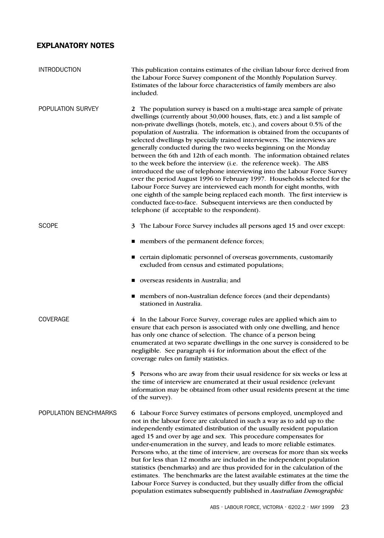# EXPLANATORY NOTES

| <b>INTRODUCTION</b>   | This publication contains estimates of the civilian labour force derived from<br>the Labour Force Survey component of the Monthly Population Survey.<br>Estimates of the labour force characteristics of family members are also<br>included.                                                                                                                                                                                                                                                                                                                                                                                                                                                                                                                                                                                                                                                                                                                                                                                                                  |
|-----------------------|----------------------------------------------------------------------------------------------------------------------------------------------------------------------------------------------------------------------------------------------------------------------------------------------------------------------------------------------------------------------------------------------------------------------------------------------------------------------------------------------------------------------------------------------------------------------------------------------------------------------------------------------------------------------------------------------------------------------------------------------------------------------------------------------------------------------------------------------------------------------------------------------------------------------------------------------------------------------------------------------------------------------------------------------------------------|
| POPULATION SURVEY     | 2 The population survey is based on a multi-stage area sample of private<br>dwellings (currently about 30,000 houses, flats, etc.) and a list sample of<br>non-private dwellings (hotels, motels, etc.), and covers about 0.5% of the<br>population of Australia. The information is obtained from the occupants of<br>selected dwellings by specially trained interviewers. The interviews are<br>generally conducted during the two weeks beginning on the Monday<br>between the 6th and 12th of each month. The information obtained relates<br>to the week before the interview (i.e. the reference week). The ABS<br>introduced the use of telephone interviewing into the Labour Force Survey<br>over the period August 1996 to February 1997. Households selected for the<br>Labour Force Survey are interviewed each month for eight months, with<br>one eighth of the sample being replaced each month. The first interview is<br>conducted face-to-face. Subsequent interviews are then conducted by<br>telephone (if acceptable to the respondent). |
| <b>SCOPE</b>          | 3 The Labour Force Survey includes all persons aged 15 and over except:                                                                                                                                                                                                                                                                                                                                                                                                                                                                                                                                                                                                                                                                                                                                                                                                                                                                                                                                                                                        |
|                       | members of the permanent defence forces;                                                                                                                                                                                                                                                                                                                                                                                                                                                                                                                                                                                                                                                                                                                                                                                                                                                                                                                                                                                                                       |
|                       | ■ certain diplomatic personnel of overseas governments, customarily<br>excluded from census and estimated populations;                                                                                                                                                                                                                                                                                                                                                                                                                                                                                                                                                                                                                                                                                                                                                                                                                                                                                                                                         |
|                       | verseas residents in Australia; and                                                                                                                                                                                                                                                                                                                                                                                                                                                                                                                                                                                                                                                                                                                                                                                                                                                                                                                                                                                                                            |
|                       | members of non-Australian defence forces (and their dependants)<br>stationed in Australia.                                                                                                                                                                                                                                                                                                                                                                                                                                                                                                                                                                                                                                                                                                                                                                                                                                                                                                                                                                     |
| <b>COVERAGE</b>       | 4 In the Labour Force Survey, coverage rules are applied which aim to<br>ensure that each person is associated with only one dwelling, and hence<br>has only one chance of selection. The chance of a person being<br>enumerated at two separate dwellings in the one survey is considered to be<br>negligible. See paragraph 44 for information about the effect of the<br>coverage rules on family statistics.                                                                                                                                                                                                                                                                                                                                                                                                                                                                                                                                                                                                                                               |
|                       | 5 Persons who are away from their usual residence for six weeks or less at<br>the time of interview are enumerated at their usual residence (relevant<br>information may be obtained from other usual residents present at the time<br>of the survey).                                                                                                                                                                                                                                                                                                                                                                                                                                                                                                                                                                                                                                                                                                                                                                                                         |
| POPULATION BENCHMARKS | 6 Labour Force Survey estimates of persons employed, unemployed and<br>not in the labour force are calculated in such a way as to add up to the<br>independently estimated distribution of the usually resident population<br>aged 15 and over by age and sex. This procedure compensates for<br>under-enumeration in the survey, and leads to more reliable estimates.<br>Persons who, at the time of interview, are overseas for more than six weeks<br>but for less than 12 months are included in the independent population<br>statistics (benchmarks) and are thus provided for in the calculation of the<br>estimates. The benchmarks are the latest available estimates at the time the<br>Labour Force Survey is conducted, but they usually differ from the official<br>population estimates subsequently published in Australian Demographic                                                                                                                                                                                                        |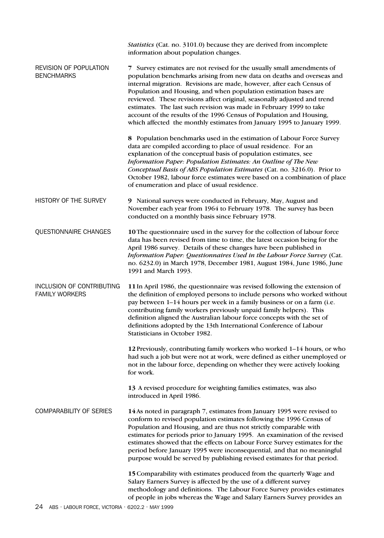|                                                    | Statistics (Cat. no. 3101.0) because they are derived from incomplete<br>information about population changes.                                                                                                                                                                                                                                                                                                                                                                                                                                                                                      |
|----------------------------------------------------|-----------------------------------------------------------------------------------------------------------------------------------------------------------------------------------------------------------------------------------------------------------------------------------------------------------------------------------------------------------------------------------------------------------------------------------------------------------------------------------------------------------------------------------------------------------------------------------------------------|
| <b>REVISION OF POPULATION</b><br><b>BENCHMARKS</b> | 7 Survey estimates are not revised for the usually small amendments of<br>population benchmarks arising from new data on deaths and overseas and<br>internal migration. Revisions are made, however, after each Census of<br>Population and Housing, and when population estimation bases are<br>reviewed. These revisions affect original, seasonally adjusted and trend<br>estimates. The last such revision was made in February 1999 to take<br>account of the results of the 1996 Census of Population and Housing,<br>which affected the monthly estimates from January 1995 to January 1999. |
|                                                    | 8 Population benchmarks used in the estimation of Labour Force Survey<br>data are compiled according to place of usual residence. For an<br>explanation of the conceptual basis of population estimates, see<br>Information Paper: Population Estimates: An Outline of The New<br>Conceptual Basis of ABS Population Estimates (Cat. no. 3216.0). Prior to<br>October 1982, labour force estimates were based on a combination of place<br>of enumeration and place of usual residence.                                                                                                             |
| HISTORY OF THE SURVEY                              | 9 National surveys were conducted in February, May, August and<br>November each year from 1964 to February 1978. The survey has been<br>conducted on a monthly basis since February 1978.                                                                                                                                                                                                                                                                                                                                                                                                           |
| QUESTIONNAIRE CHANGES                              | 10 The questionnaire used in the survey for the collection of labour force<br>data has been revised from time to time, the latest occasion being for the<br>April 1986 survey. Details of these changes have been published in<br>Information Paper: Questionnaires Used in the Labour Force Survey (Cat.<br>no. 6232.0) in March 1978, December 1981, August 1984, June 1986, June<br>1991 and March 1993.                                                                                                                                                                                         |
| INCLUSION OF CONTRIBUTING<br><b>FAMILY WORKERS</b> | 11 In April 1986, the questionnaire was revised following the extension of<br>the definition of employed persons to include persons who worked without<br>pay between 1–14 hours per week in a family business or on a farm (i.e.<br>contributing family workers previously unpaid family helpers). This<br>definition aligned the Australian labour force concepts with the set of<br>definitions adopted by the 13th International Conference of Labour<br>Statisticians in October 1982.                                                                                                         |
|                                                    | 12 Previously, contributing family workers who worked 1-14 hours, or who<br>had such a job but were not at work, were defined as either unemployed or<br>not in the labour force, depending on whether they were actively looking<br>for work.                                                                                                                                                                                                                                                                                                                                                      |
|                                                    | 13 A revised procedure for weighting families estimates, was also<br>introduced in April 1986.                                                                                                                                                                                                                                                                                                                                                                                                                                                                                                      |
| <b>COMPARABILITY OF SERIES</b>                     | 14 As noted in paragraph 7, estimates from January 1995 were revised to<br>conform to revised population estimates following the 1996 Census of<br>Population and Housing, and are thus not strictly comparable with<br>estimates for periods prior to January 1995. An examination of the revised<br>estimates showed that the effects on Labour Force Survey estimates for the<br>period before January 1995 were inconsequential, and that no meaningful<br>purpose would be served by publishing revised estimates for that period.                                                             |
|                                                    | 15 Comparability with estimates produced from the quarterly Wage and<br>Salary Earners Survey is affected by the use of a different survey<br>methodology and definitions. The Labour Force Survey provides estimates<br>of people in jobs whereas the Wage and Salary Earners Survey provides an                                                                                                                                                                                                                                                                                                   |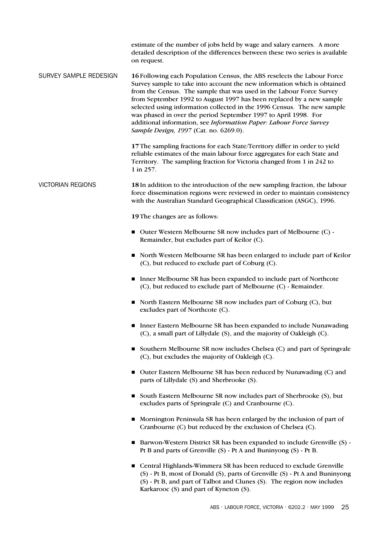estimate of the number of jobs held by wage and salary earners. A more detailed description of the differences between these two series is available on request.

SURVEY SAMPLE REDESIGN **16**Following each Population Census, the ABS reselects the Labour Force Survey sample to take into account the new information which is obtained from the Census. The sample that was used in the Labour Force Survey from September 1992 to August 1997 has been replaced by a new sample selected using information collected in the 1996 Census. The new sample was phased in over the period September 1997 to April 1998. For additional information, see *Information Paper: Labour Force Survey Sample Design, 1997* (Cat. no. 6269.0).

> **17**The sampling fractions for each State/Territory differ in order to yield reliable estimates of the main labour force aggregates for each State and Territory. The sampling fraction for Victoria changed from 1 in 242 to 1 in 257.

VICTORIAN REGIONS **18**In addition to the introduction of the new sampling fraction, the labour force dissemination regions were reviewed in order to maintain consistency with the Australian Standard Geographical Classification (ASGC), 1996.

**19**The changes are as follows:

- Outer Western Melbourne SR now includes part of Melbourne (C) -Remainder, but excludes part of Keilor (C).
- North Western Melbourne SR has been enlarged to include part of Keilor (C), but reduced to exclude part of Coburg (C).
- Inner Melbourne SR has been expanded to include part of Northcote (C), but reduced to exclude part of Melbourne (C) - Remainder.
- North Eastern Melbourne SR now includes part of Coburg (C), but excludes part of Northcote (C).
- **Inner Eastern Melbourne SR has been expanded to include Nunawading** (C), a small part of Lillydale (S), and the majority of Oakleigh (C).
- Southern Melbourne SR now includes Chelsea (C) and part of Springvale (C), but excludes the majority of Oakleigh (C).
- Outer Eastern Melbourne SR has been reduced by Nunawading (C) and parts of Lillydale (S) and Sherbrooke (S).
- South Eastern Melbourne SR now includes part of Sherbrooke (S), but excludes parts of Springvale (C) and Cranbourne (C).
- Mornington Peninsula SR has been enlarged by the inclusion of part of Cranbourne (C) but reduced by the exclusion of Chelsea (C).
- Barwon-Western District SR has been expanded to include Grenville (S) -Pt B and parts of Grenville (S) - Pt A and Buninyong (S) - Pt B.
- Central Highlands-Wimmera SR has been reduced to exclude Grenville (S) - Pt B, most of Donald (S), parts of Grenville (S) - Pt A and Buninyong (S) - Pt B, and part of Talbot and Clunes (S). The region now includes Karkarooc (S) and part of Kyneton (S).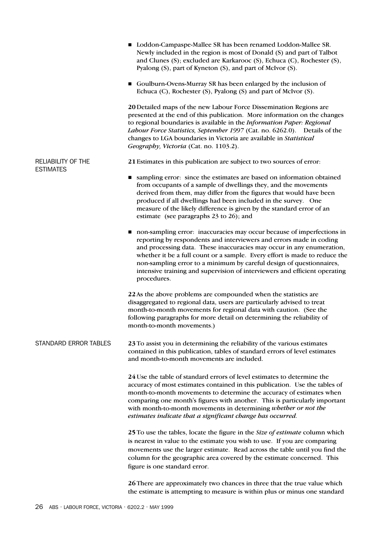|                                        | Loddon-Campaspe-Mallee SR has been renamed Loddon-Mallee SR.<br>п<br>Newly included in the region is most of Donald (S) and part of Talbot<br>and Clunes (S); excluded are Karkarooc (S), Echuca (C), Rochester (S),<br>Pyalong (S), part of Kyneton (S), and part of McIvor (S).                                                                                                                                                                                         |
|----------------------------------------|---------------------------------------------------------------------------------------------------------------------------------------------------------------------------------------------------------------------------------------------------------------------------------------------------------------------------------------------------------------------------------------------------------------------------------------------------------------------------|
|                                        | Goulburn-Ovens-Murray SR has been enlarged by the inclusion of<br>■<br>Echuca (C), Rochester (S), Pyalong (S) and part of McIvor (S).                                                                                                                                                                                                                                                                                                                                     |
|                                        | 20 Detailed maps of the new Labour Force Dissemination Regions are<br>presented at the end of this publication. More information on the changes<br>to regional boundaries is available in the Information Paper: Regional<br>Labour Force Statistics, September 1997 (Cat. no. 6262.0). Details of the<br>changes to LGA boundaries in Victoria are available in Statistical<br>Geography, Victoria (Cat. no. 1103.2).                                                    |
| RELIABILITY OF THE<br><b>ESTIMATES</b> | 21 Estimates in this publication are subject to two sources of error:                                                                                                                                                                                                                                                                                                                                                                                                     |
|                                        | sampling error: since the estimates are based on information obtained<br>from occupants of a sample of dwellings they, and the movements<br>derived from them, may differ from the figures that would have been<br>produced if all dwellings had been included in the survey. One<br>measure of the likely difference is given by the standard error of an<br>estimate (see paragraphs 23 to 26); and                                                                     |
|                                        | non-sampling error: inaccuracies may occur because of imperfections in<br>reporting by respondents and interviewers and errors made in coding<br>and processing data. These inaccuracies may occur in any enumeration,<br>whether it be a full count or a sample. Every effort is made to reduce the<br>non-sampling error to a minimum by careful design of questionnaires,<br>intensive training and supervision of interviewers and efficient operating<br>procedures. |
|                                        | 22 As the above problems are compounded when the statistics are<br>disaggregated to regional data, users are particularly advised to treat<br>month-to-month movements for regional data with caution. (See the<br>following paragraphs for more detail on determining the reliability of<br>month-to-month movements.)                                                                                                                                                   |
| STANDARD ERROR TABLES                  | 23 To assist you in determining the reliability of the various estimates<br>contained in this publication, tables of standard errors of level estimates<br>and month-to-month movements are included.                                                                                                                                                                                                                                                                     |
|                                        | 24 Use the table of standard errors of level estimates to determine the<br>accuracy of most estimates contained in this publication. Use the tables of<br>month-to-month movements to determine the accuracy of estimates when<br>comparing one month's figures with another. This is particularly important<br>with month-to-month movements in determining whether or not the<br>estimates indicate that a significant change has occurred.                             |
|                                        | 25 To use the tables, locate the figure in the Size of estimate column which<br>is nearest in value to the estimate you wish to use. If you are comparing<br>movements use the larger estimate. Read across the table until you find the<br>column for the geographic area covered by the estimate concerned. This<br>figure is one standard error.                                                                                                                       |
|                                        | 26 There are approximately two chances in three that the true value which<br>the estimate is attempting to measure is within plus or minus one standard                                                                                                                                                                                                                                                                                                                   |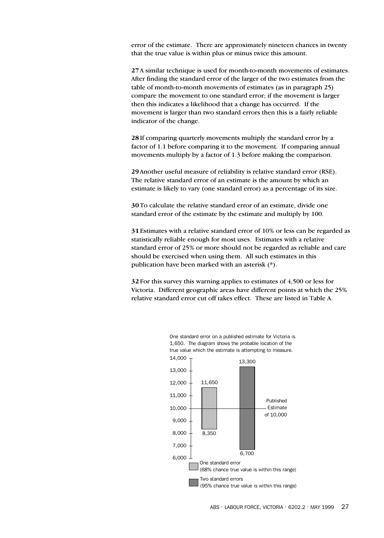error of the estimate. There are approximately nineteen chances in twenty that the true value is within plus or minus twice this amount.

**27**A similar technique is used for month-to-month movements of estimates. After finding the standard error of the larger of the two estimates from the table of month-to-month movements of estimates (as in paragraph 25) compare the movement to one standard error; if the movement is larger then this indicates a likelihood that a change has occurred. If the movement is larger than two standard errors then this is a fairly reliable indicator of the change.

**28**If comparing quarterly movements multiply the standard error by a factor of 1.1 before comparing it to the movement. If comparing annual movements multiply by a factor of 1.3 before making the comparison.

**29**Another useful measure of reliability is relative standard error (RSE). The relative standard error of an estimate is the amount by which an estimate is likely to vary (one standard error) as a percentage of its size.

**30**To calculate the relative standard error of an estimate, divide one standard error of the estimate by the estimate and multiply by 100.

**31**Estimates with a relative standard error of 10% or less can be regarded as statistically reliable enough for most uses. Estimates with a relative standard error of 25% or more should not be regarded as reliable and care should be exercised when using them. All such estimates in this publication have been marked with an asterisk (\*).

**32**For this survey this warning applies to estimates of 4,500 or less for Victoria. Different geographic areas have different points at which the 25% relative standard error cut off takes effect. These are listed in Table A.



One standard error on a published estimate for Victoria is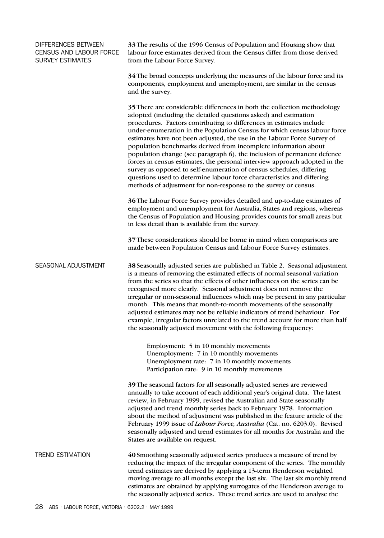| DIFFERENCES BETWEEN<br>CENSUS AND LABOUR FORCE<br>SURVEY ESTIMATES | 33 The results of the 1996 Census of Population and Housing show that<br>labour force estimates derived from the Census differ from those derived<br>from the Labour Force Survey.                                                                                                                                                                                                                                                                                                                                                                                                                                                                                                                                                                                                                                          |
|--------------------------------------------------------------------|-----------------------------------------------------------------------------------------------------------------------------------------------------------------------------------------------------------------------------------------------------------------------------------------------------------------------------------------------------------------------------------------------------------------------------------------------------------------------------------------------------------------------------------------------------------------------------------------------------------------------------------------------------------------------------------------------------------------------------------------------------------------------------------------------------------------------------|
|                                                                    | 34 The broad concepts underlying the measures of the labour force and its<br>components, employment and unemployment, are similar in the census<br>and the survey.                                                                                                                                                                                                                                                                                                                                                                                                                                                                                                                                                                                                                                                          |
|                                                                    | 35 There are considerable differences in both the collection methodology<br>adopted (including the detailed questions asked) and estimation<br>procedures. Factors contributing to differences in estimates include<br>under-enumeration in the Population Census for which census labour force<br>estimates have not been adjusted, the use in the Labour Force Survey of<br>population benchmarks derived from incomplete information about<br>population change (see paragraph 6), the inclusion of permanent defence<br>forces in census estimates, the personal interview approach adopted in the<br>survey as opposed to self-enumeration of census schedules, differing<br>questions used to determine labour force characteristics and differing<br>methods of adjustment for non-response to the survey or census. |
|                                                                    | 36 The Labour Force Survey provides detailed and up-to-date estimates of<br>employment and unemployment for Australia, States and regions, whereas<br>the Census of Population and Housing provides counts for small areas but<br>in less detail than is available from the survey.                                                                                                                                                                                                                                                                                                                                                                                                                                                                                                                                         |
|                                                                    | 37 These considerations should be borne in mind when comparisons are<br>made between Population Census and Labour Force Survey estimates.                                                                                                                                                                                                                                                                                                                                                                                                                                                                                                                                                                                                                                                                                   |
| SEASONAL ADJUSTMENT                                                | 38 Seasonally adjusted series are published in Table 2. Seasonal adjustment<br>is a means of removing the estimated effects of normal seasonal variation<br>from the series so that the effects of other influences on the series can be<br>recognised more clearly. Seasonal adjustment does not remove the<br>irregular or non-seasonal influences which may be present in any particular<br>month. This means that month-to-month movements of the seasonally<br>adjusted estimates may not be reliable indicators of trend behaviour. For<br>example, irregular factors unrelated to the trend account for more than half<br>the seasonally adjusted movement with the following frequency:                                                                                                                             |
|                                                                    | Employment: 5 in 10 monthly movements<br>Unemployment: 7 in 10 monthly movements<br>Unemployment rate: 7 in 10 monthly movements<br>Participation rate: 9 in 10 monthly movements                                                                                                                                                                                                                                                                                                                                                                                                                                                                                                                                                                                                                                           |
|                                                                    | 39 The seasonal factors for all seasonally adjusted series are reviewed<br>annually to take account of each additional year's original data. The latest<br>review, in February 1999, revised the Australian and State seasonally<br>adjusted and trend monthly series back to February 1978. Information<br>about the method of adjustment was published in the feature article of the<br>February 1999 issue of Labour Force, Australia (Cat. no. 6203.0). Revised<br>seasonally adjusted and trend estimates for all months for Australia and the<br>States are available on request.                                                                                                                                                                                                                                     |
| <b>TREND ESTIMATION</b>                                            | 40 Smoothing seasonally adjusted series produces a measure of trend by<br>reducing the impact of the irregular component of the series. The monthly<br>trend estimates are derived by applying a 13-term Henderson weighted<br>moving average to all months except the last six. The last six monthly trend<br>estimates are obtained by applying surrogates of the Henderson average to<br>the seasonally adjusted series. These trend series are used to analyse the                                                                                                                                                                                                                                                                                                                                                      |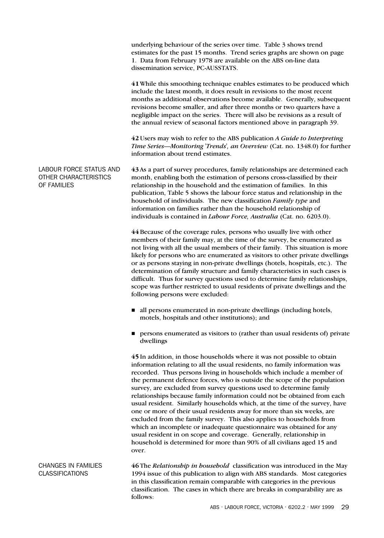underlying behaviour of the series over time. Table 3 shows trend estimates for the past 15 months. Trend series graphs are shown on page 1. Data from February 1978 are available on the ABS on-line data dissemination service, PC-AUSSTATS.

**41**While this smoothing technique enables estimates to be produced which include the latest month, it does result in revisions to the most recent months as additional observations become available. Generally, subsequent revisions become smaller, and after three months or two quarters have a negligible impact on the series. There will also be revisions as a result of the annual review of seasonal factors mentioned above in paragraph 39.

**42** Users may wish to refer to the ABS publication *A Guide to Interpreting Time Series—Monitoring 'Trends', an Overview* (Cat. no. 1348.0) for further information about trend estimates.

LABOUR FORCE STATUS AND **43**As a part of survey procedures, family relationships are determined each OTHER CHARACTERISTICS month, enabling both the estimation of persons cross-classified by their OF FAMILIES relationship in the household and the estimation of families. In this publication, Table 5 shows the labour force status and relationship in the household of individuals. The new classification *Family type* and information on families rather than the household relationship of individuals is contained in *Labour Force, Australia* (Cat. no. 6203.0).

> **44**Because of the coverage rules, persons who usually live with other members of their family may, at the time of the survey, be enumerated as not living with all the usual members of their family. This situation is more likely for persons who are enumerated as visitors to other private dwellings or as persons staying in non-private dwellings (hotels, hospitals, etc.). The determination of family structure and family characteristics in such cases is difficult. Thus for survey questions used to determine family relationships, scope was further restricted to usual residents of private dwellings and the following persons were excluded:

- all persons enumerated in non-private dwellings (including hotels, motels, hospitals and other institutions); and
- **Persons enumerated as visitors to (rather than usual residents of) private** dwellings

**45**In addition, in those households where it was not possible to obtain information relating to all the usual residents, no family information was recorded. Thus persons living in households which include a member of the permanent defence forces, who is outside the scope of the population survey, are excluded from survey questions used to determine family relationships because family information could not be obtained from each usual resident. Similarly households which, at the time of the survey, have one or more of their usual residents away for more than six weeks, are excluded from the family survey. This also applies to households from which an incomplete or inadequate questionnaire was obtained for any usual resident in on scope and coverage. Generally, relationship in household is determined for more than 90% of all civilians aged 15 and over.

CHANGES IN FAMILIES **46**The *Relationship in household* classification was introduced in the May CLASSIFICATIONS 1994 issue of this publication to align with ABS standards. Most categories in this classification remain comparable with categories in the previous classification. The cases in which there are breaks in comparability are as follows: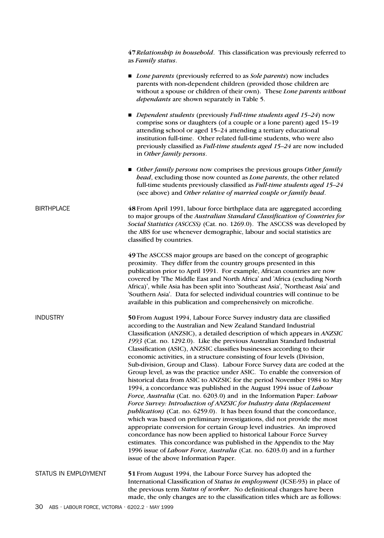**47***Relationship in household*. This classification was previously referred to as *Family status*.

- *Lone parents* (previously referred to as *Sole parents*) now includes parents with non-dependent children (provided those children are without a spouse or children of their own). These *Lone parents without dependants* are shown separately in Table 5.
- *Dependent students* (previously *Full-time students aged 15–24*) now comprise sons or daughters (of a couple or a lone parent) aged 15*–*19 attending school or aged 15*–*24 attending a tertiary educational institution full-time. Other related full-time students, who were also previously classified as *Full-time students aged 15–24* are now included in *Other family persons*.
- *Other family persons* now comprises the previous groups *Other family head*, excluding those now counted as *Lone parents*, the other related full-time students previously classified as *Full-time students aged 15–24* (see above) and *Other relative of married couple or family head*.

BIRTHPLACE **48**From April 1991, labour force birthplace data are aggregated according to major groups of the *Australian Standard Classification of Countries for Social Statistics (ASCCSS)* (Cat. no. 1269.0). The ASCCSS was developed by the ABS for use whenever demographic, labour and social statistics are classified by countries.

> **49**The ASCCSS major groups are based on the concept of geographic proximity. They differ from the country groups presented in this publication prior to April 1991. For example, African countries are now covered by 'The Middle East and North Africa' and 'Africa (excluding North Africa)', while Asia has been split into 'Southeast Asia', 'Northeast Asia' and 'Southern Asia'. Data for selected individual countries will continue to be available in this publication and comprehensively on microfiche.

INDUSTRY **50**From August 1994, Labour Force Survey industry data are classified according to the Australian and New Zealand Standard Industrial Classification (ANZSIC), a detailed description of which appears in *ANZSIC 1993* (Cat. no. 1292.0). Like the previous Australian Standard Industrial Classification (ASIC), ANZSIC classifies businesses according to their economic activities, in a structure consisting of four levels (Division, Sub-division, Group and Class). Labour Force Survey data are coded at the Group level, as was the practice under ASIC. To enable the conversion of historical data from ASIC to ANZSIC for the period November 1984 to May 1994, a concordance was published in the August 1994 issue of *Labour Force, Australia* (Cat. no. 6203.0) and in the Information Paper: *Labour Force Survey: Introduction of ANZSIC for Industry data (Replacement publication)* (Cat. no. 6259.0). It has been found that the concordance, which was based on preliminary investigations, did not provide the most appropriate conversion for certain Group level industries. An improved concordance has now been applied to historical Labour Force Survey estimates. This concordance was published in the Appendix to the May 1996 issue of *Labour Force, Australia* (Cat. no. 6203.0) and in a further issue of the above Information Paper.

STATUS IN EMPLOYMENT **51**From August 1994, the Labour Force Survey has adopted the International Classification of *Status in employment* (ICSE-93) in place of the previous term *Status of worker*. No definitional changes have been made, the only changes are to the classification titles which are as follows: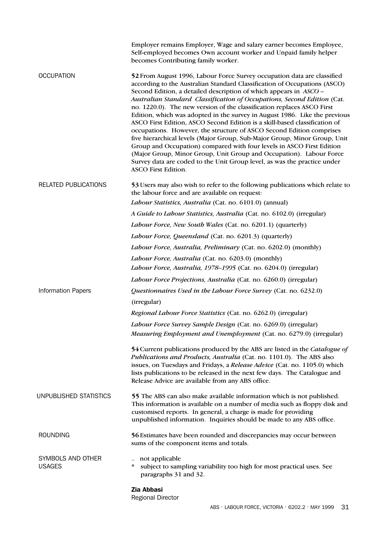|                                    | Employer remains Employer, Wage and salary earner becomes Employee,<br>Self-employed becomes Own account worker and Unpaid family helper<br>becomes Contributing family worker.                                                                                                                                                                                                                                                                                                                                                                                                                                                                                                                                                                                                                                                                                                                                                                           |
|------------------------------------|-----------------------------------------------------------------------------------------------------------------------------------------------------------------------------------------------------------------------------------------------------------------------------------------------------------------------------------------------------------------------------------------------------------------------------------------------------------------------------------------------------------------------------------------------------------------------------------------------------------------------------------------------------------------------------------------------------------------------------------------------------------------------------------------------------------------------------------------------------------------------------------------------------------------------------------------------------------|
| <b>OCCUPATION</b>                  | 52 From August 1996, Labour Force Survey occupation data are classified<br>according to the Australian Standard Classification of Occupations (ASCO)<br>Second Edition, a detailed description of which appears in ASCO -<br>Australian Standard Classification of Occupations, Second Edition (Cat.<br>no. 1220.0). The new version of the classification replaces ASCO First<br>Edition, which was adopted in the survey in August 1986. Like the previous<br>ASCO First Edition, ASCO Second Edition is a skill-based classification of<br>occupations. However, the structure of ASCO Second Edition comprises<br>five hierarchical levels (Major Group, Sub-Major Group, Minor Group, Unit<br>Group and Occupation) compared with four levels in ASCO First Edition<br>(Major Group, Minor Group, Unit Group and Occupation). Labour Force<br>Survey data are coded to the Unit Group level, as was the practice under<br><b>ASCO First Edition.</b> |
| <b>RELATED PUBLICATIONS</b>        | 53 Users may also wish to refer to the following publications which relate to<br>the labour force and are available on request:                                                                                                                                                                                                                                                                                                                                                                                                                                                                                                                                                                                                                                                                                                                                                                                                                           |
|                                    | Labour Statistics, Australia (Cat. no. 6101.0) (annual)                                                                                                                                                                                                                                                                                                                                                                                                                                                                                                                                                                                                                                                                                                                                                                                                                                                                                                   |
|                                    | A Guide to Labour Statistics, Australia (Cat. no. 6102.0) (irregular)                                                                                                                                                                                                                                                                                                                                                                                                                                                                                                                                                                                                                                                                                                                                                                                                                                                                                     |
|                                    | Labour Force, New South Wales (Cat. no. 6201.1) (quarterly)                                                                                                                                                                                                                                                                                                                                                                                                                                                                                                                                                                                                                                                                                                                                                                                                                                                                                               |
|                                    | Labour Force, Queensland (Cat. no. 6201.3) (quarterly)                                                                                                                                                                                                                                                                                                                                                                                                                                                                                                                                                                                                                                                                                                                                                                                                                                                                                                    |
|                                    | Labour Force, Australia, Preliminary (Cat. no. 6202.0) (monthly)                                                                                                                                                                                                                                                                                                                                                                                                                                                                                                                                                                                                                                                                                                                                                                                                                                                                                          |
|                                    | Labour Force, Australia (Cat. no. 6203.0) (monthly)                                                                                                                                                                                                                                                                                                                                                                                                                                                                                                                                                                                                                                                                                                                                                                                                                                                                                                       |
|                                    | Labour Force, Australia, 1978-1995 (Cat. no. 6204.0) (irregular)                                                                                                                                                                                                                                                                                                                                                                                                                                                                                                                                                                                                                                                                                                                                                                                                                                                                                          |
|                                    | Labour Force Projections, Australia (Cat. no. 6260.0) (irregular)                                                                                                                                                                                                                                                                                                                                                                                                                                                                                                                                                                                                                                                                                                                                                                                                                                                                                         |
| <b>Information Papers</b>          | Questionnaires Used in the Labour Force Survey (Cat. no. 6232.0)                                                                                                                                                                                                                                                                                                                                                                                                                                                                                                                                                                                                                                                                                                                                                                                                                                                                                          |
|                                    | (irregular)                                                                                                                                                                                                                                                                                                                                                                                                                                                                                                                                                                                                                                                                                                                                                                                                                                                                                                                                               |
|                                    | Regional Labour Force Statistics (Cat. no. 6262.0) (irregular)                                                                                                                                                                                                                                                                                                                                                                                                                                                                                                                                                                                                                                                                                                                                                                                                                                                                                            |
|                                    | Labour Force Survey Sample Design (Cat. no. 6269.0) (irregular)                                                                                                                                                                                                                                                                                                                                                                                                                                                                                                                                                                                                                                                                                                                                                                                                                                                                                           |
|                                    | Measuring Employment and Unemployment (Cat. no. 6279.0) (irregular)                                                                                                                                                                                                                                                                                                                                                                                                                                                                                                                                                                                                                                                                                                                                                                                                                                                                                       |
|                                    | 54 Current publications produced by the ABS are listed in the Catalogue of<br>Publications and Products, Australia (Cat. no. 1101.0). The ABS also<br>issues, on Tuesdays and Fridays, a Release Advice (Cat. no. 1105.0) which<br>lists publications to be released in the next few days. The Catalogue and<br>Release Advice are available from any ABS office.                                                                                                                                                                                                                                                                                                                                                                                                                                                                                                                                                                                         |
| UNPUBLISHED STATISTICS             | 55 The ABS can also make available information which is not published.<br>This information is available on a number of media such as floppy disk and<br>customised reports. In general, a charge is made for providing<br>unpublished information. Inquiries should be made to any ABS office.                                                                                                                                                                                                                                                                                                                                                                                                                                                                                                                                                                                                                                                            |
| <b>ROUNDING</b>                    | 56 Estimates have been rounded and discrepancies may occur between<br>sums of the component items and totals.                                                                                                                                                                                                                                                                                                                                                                                                                                                                                                                                                                                                                                                                                                                                                                                                                                             |
| SYMBOLS AND OTHER<br><b>USAGES</b> | not applicable<br>$\ast$<br>subject to sampling variability too high for most practical uses. See<br>paragraphs 31 and 32.                                                                                                                                                                                                                                                                                                                                                                                                                                                                                                                                                                                                                                                                                                                                                                                                                                |
|                                    | <b>Zia Abbasi</b><br><b>Regional Director</b>                                                                                                                                                                                                                                                                                                                                                                                                                                                                                                                                                                                                                                                                                                                                                                                                                                                                                                             |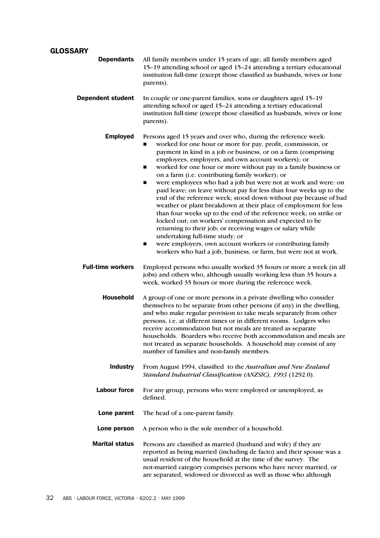# **GLOSSARY**

| <b>Dependants</b>        | All family members under 15 years of age; all family members aged<br>15-19 attending school or aged 15-24 attending a tertiary educational<br>institution full-time (except those classified as husbands, wives or lone<br>parents).                                                                                                                                                                                                                                                                                                                                                                                                                                                                                                                                                                                                                                                                                                                                                                                                          |
|--------------------------|-----------------------------------------------------------------------------------------------------------------------------------------------------------------------------------------------------------------------------------------------------------------------------------------------------------------------------------------------------------------------------------------------------------------------------------------------------------------------------------------------------------------------------------------------------------------------------------------------------------------------------------------------------------------------------------------------------------------------------------------------------------------------------------------------------------------------------------------------------------------------------------------------------------------------------------------------------------------------------------------------------------------------------------------------|
| <b>Dependent student</b> | In couple or one-parent families, sons or daughters aged 15-19<br>attending school or aged 15-24 attending a tertiary educational<br>institution full-time (except those classified as husbands, wives or lone<br>parents).                                                                                                                                                                                                                                                                                                                                                                                                                                                                                                                                                                                                                                                                                                                                                                                                                   |
| <b>Employed</b>          | Persons aged 15 years and over who, during the reference week:<br>worked for one hour or more for pay, profit, commission, or<br>payment in kind in a job or business, or on a farm (comprising<br>employees, employers, and own account workers); or<br>worked for one hour or more without pay in a family business or<br>■<br>on a farm (i.e. contributing family worker); or<br>were employees who had a job but were not at work and were: on<br>■<br>paid leave; on leave without pay for less than four weeks up to the<br>end of the reference week; stood down without pay because of bad<br>weather or plant breakdown at their place of employment for less<br>than four weeks up to the end of the reference week; on strike or<br>locked out; on workers' compensation and expected to be<br>returning to their job; or receiving wages or salary while<br>undertaking full-time study; or<br>were employers, own account workers or contributing family<br>■<br>workers who had a job, business, or farm, but were not at work. |
| <b>Full-time workers</b> | Employed persons who usually worked 35 hours or more a week (in all<br>jobs) and others who, although usually working less than 35 hours a<br>week, worked 35 hours or more during the reference week.                                                                                                                                                                                                                                                                                                                                                                                                                                                                                                                                                                                                                                                                                                                                                                                                                                        |
| <b>Household</b>         | A group of one or more persons in a private dwelling who consider<br>themselves to be separate from other persons (if any) in the dwelling,<br>and who make regular provision to take meals separately from other<br>persons, i.e. at different times or in different rooms. Lodgers who<br>receive accommodation but not meals are treated as separate<br>households. Boarders who receive both accommodation and meals are<br>not treated as separate households. A household may consist of any<br>number of families and non-family members.                                                                                                                                                                                                                                                                                                                                                                                                                                                                                              |
| <b>Industry</b>          | From August 1994, classified to the Australian and New Zealand<br>Standard Industrial Classification (ANZSIC), 1993 (1292.0).                                                                                                                                                                                                                                                                                                                                                                                                                                                                                                                                                                                                                                                                                                                                                                                                                                                                                                                 |
| <b>Labour force</b>      | For any group, persons who were employed or unemployed, as<br>defined.                                                                                                                                                                                                                                                                                                                                                                                                                                                                                                                                                                                                                                                                                                                                                                                                                                                                                                                                                                        |
| Lone parent              | The head of a one-parent family.                                                                                                                                                                                                                                                                                                                                                                                                                                                                                                                                                                                                                                                                                                                                                                                                                                                                                                                                                                                                              |
| Lone person              | A person who is the sole member of a household.                                                                                                                                                                                                                                                                                                                                                                                                                                                                                                                                                                                                                                                                                                                                                                                                                                                                                                                                                                                               |
| <b>Marital status</b>    | Persons are classified as married (husband and wife) if they are<br>reported as being married (including de facto) and their spouse was a<br>usual resident of the household at the time of the survey. The<br>not-married category comprises persons who have never married, or<br>are separated, widowed or divorced as well as those who although                                                                                                                                                                                                                                                                                                                                                                                                                                                                                                                                                                                                                                                                                          |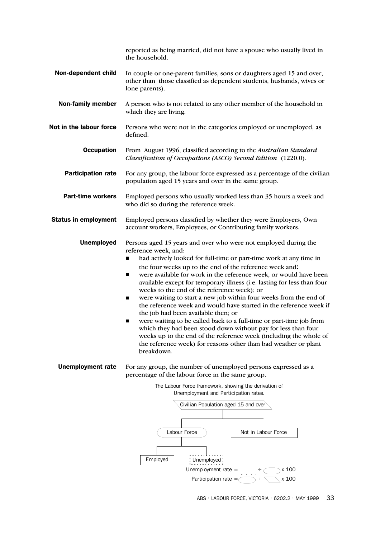|                             | reported as being married, did not have a spouse who usually lived in<br>the household.                                                                                                                                                                                                                                                                                                                                                                                                                                                                                                                                                                                                                                                                                                                                                                                                                                     |  |  |  |  |  |
|-----------------------------|-----------------------------------------------------------------------------------------------------------------------------------------------------------------------------------------------------------------------------------------------------------------------------------------------------------------------------------------------------------------------------------------------------------------------------------------------------------------------------------------------------------------------------------------------------------------------------------------------------------------------------------------------------------------------------------------------------------------------------------------------------------------------------------------------------------------------------------------------------------------------------------------------------------------------------|--|--|--|--|--|
| Non-dependent child         | In couple or one-parent families, sons or daughters aged 15 and over,<br>other than those classified as dependent students, husbands, wives or<br>lone parents).                                                                                                                                                                                                                                                                                                                                                                                                                                                                                                                                                                                                                                                                                                                                                            |  |  |  |  |  |
| <b>Non-family member</b>    | A person who is not related to any other member of the household in<br>which they are living.                                                                                                                                                                                                                                                                                                                                                                                                                                                                                                                                                                                                                                                                                                                                                                                                                               |  |  |  |  |  |
| Not in the labour force     | Persons who were not in the categories employed or unemployed, as<br>defined.                                                                                                                                                                                                                                                                                                                                                                                                                                                                                                                                                                                                                                                                                                                                                                                                                                               |  |  |  |  |  |
| <b>Occupation</b>           | From August 1996, classified according to the Australian Standard<br>Classification of Occupations (ASCO) Second Edition (1220.0).                                                                                                                                                                                                                                                                                                                                                                                                                                                                                                                                                                                                                                                                                                                                                                                          |  |  |  |  |  |
| <b>Participation rate</b>   | For any group, the labour force expressed as a percentage of the civilian<br>population aged 15 years and over in the same group.                                                                                                                                                                                                                                                                                                                                                                                                                                                                                                                                                                                                                                                                                                                                                                                           |  |  |  |  |  |
| <b>Part-time workers</b>    | Employed persons who usually worked less than 35 hours a week and<br>who did so during the reference week.                                                                                                                                                                                                                                                                                                                                                                                                                                                                                                                                                                                                                                                                                                                                                                                                                  |  |  |  |  |  |
| <b>Status in employment</b> | Employed persons classified by whether they were Employers, Own<br>account workers, Employees, or Contributing family workers.                                                                                                                                                                                                                                                                                                                                                                                                                                                                                                                                                                                                                                                                                                                                                                                              |  |  |  |  |  |
| <b>Unemployed</b>           | Persons aged 15 years and over who were not employed during the<br>reference week, and:<br>had actively looked for full-time or part-time work at any time in<br>п<br>the four weeks up to the end of the reference week and:<br>were available for work in the reference week, or would have been<br>п<br>available except for temporary illness (i.e. lasting for less than four<br>weeks to the end of the reference week); or<br>were waiting to start a new job within four weeks from the end of<br>п<br>the reference week and would have started in the reference week if<br>the job had been available then; or<br>were waiting to be called back to a full-time or part-time job from<br>■<br>which they had been stood down without pay for less than four<br>weeks up to the end of the reference week (including the whole of<br>the reference week) for reasons other than bad weather or plant<br>breakdown. |  |  |  |  |  |
| <b>Unemployment rate</b>    | For any group, the number of unemployed persons expressed as a<br>percentage of the labour force in the same group.<br>The Labour Force framework, showing the derivation of<br>Unemployment and Participation rates.<br>Civilian Population aged 15 and over<br>Labour Force<br>Not in Labour Force<br>Employed<br>Unemployed<br>Unemployment rate $=$<br>x 100<br>Participation rate $=\subset$<br>x 100<br>$\rightarrow$ $\div$                                                                                                                                                                                                                                                                                                                                                                                                                                                                                          |  |  |  |  |  |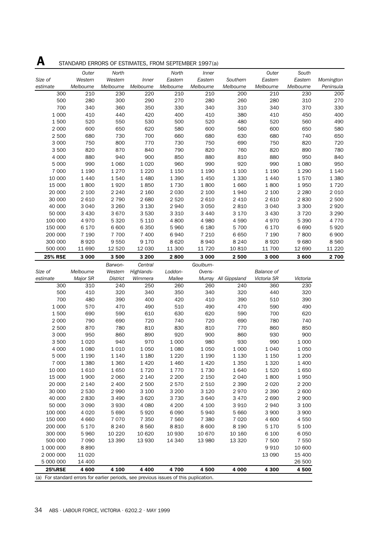|                                                                                       |                    | STAINDARD ERRURS OF ESTIMATES, FROM SEPTEMBER 1997 (a) |                  |                  |                  |                      |                   |                    |            |
|---------------------------------------------------------------------------------------|--------------------|--------------------------------------------------------|------------------|------------------|------------------|----------------------|-------------------|--------------------|------------|
|                                                                                       | Outer              | North                                                  |                  | North            | <i>Inner</i>     |                      | Outer             | South              |            |
| Size of                                                                               | Western            | Western                                                | <b>Inner</b>     | Eastern          | Eastern          | Southern             | Eastern           | Eastern            | Mornington |
| estimate                                                                              | Melbourne          | Melbourne                                              | Melbourne        | Melbourne        | Melbourne        | Melbourne            | Melbourne         | Melbourne          | Peninsula  |
| 300                                                                                   | 210                | 230                                                    | 220              | 210              | 210              | 200                  | 210               | 230                | 200        |
| 500                                                                                   | 280                | 300                                                    | 290              | 270              | 280              | 260                  | 280               | 310                | 270        |
| 700                                                                                   | 340                | 360                                                    | 350              | 330              | 340              | 310                  | 340               | 370                | 330        |
| 1 0 0 0                                                                               | 410                | 440                                                    | 420              | 400              | 410              | 380                  | 410               | 450                | 400        |
| 1500                                                                                  | 520                | 550                                                    | 530              | 500              | 520              | 480                  | 520               | 560                | 490        |
| 2 0 0 0                                                                               | 600                | 650                                                    | 620              | 580              | 600              | 560                  | 600               | 650                | 580        |
| 2 500                                                                                 | 680                | 730                                                    | 700              | 660              | 680              | 630                  | 680               | 740                | 650        |
| 3 0 0 0                                                                               | 750                | 800                                                    | 770              | 730              | 750              | 690                  | 750               | 820                | 720        |
| 3500                                                                                  | 820                | 870                                                    | 840              | 790              | 820              | 760                  | 820               | 890                | 780        |
| 4 0 0 0                                                                               | 880                | 940                                                    | 900              | 850              | 880              | 810                  | 880               | 950                | 840        |
| 5 000                                                                                 | 990                | 1 0 6 0                                                | 1 0 2 0          | 960              | 990              | 920                  | 990               | 1 0 8 0            | 950        |
| 7 0 0 0                                                                               | 1 1 9 0            | 1 2 7 0                                                | 1 2 2 0          | 1 1 5 0          | 1 1 9 0          | 1 100                | 1 1 9 0           | 1 2 9 0            | 1 1 4 0    |
| 10 000                                                                                | 1 4 4 0            | 1540                                                   | 1 4 8 0          | 1 3 9 0          | 1 4 5 0          | 1 3 3 0              | 1 4 4 0           | 1570               | 1 3 8 0    |
| 15 000                                                                                | 1800               | 1920                                                   | 1850             | 1730             | 1800             | 1660                 | 1800              | 1950               | 1720       |
| 20 000                                                                                | 2 100              | 2 2 4 0                                                | 2 160            | 2 0 3 0          | 2 100            | 1940                 | 2 100             | 2 2 8 0            | 2 0 1 0    |
| 30 000                                                                                | 2 6 1 0            | 2 7 9 0                                                | 2 6 8 0          | 2 5 2 0          | 2 6 1 0          | 2 4 1 0              | 2 6 1 0           | 2830               | 2 500      |
| 40 000                                                                                | 3 0 4 0            | 3 2 6 0                                                | 3 1 3 0          | 2940             | 3 0 5 0          | 2810                 | 3 0 4 0           | 3 3 0 0            | 2920       |
| 50 000                                                                                | 3 4 3 0            | 3 6 7 0                                                | 3 5 3 0          | 3 3 1 0          | 3 4 4 0          | 3 1 7 0              | 3 4 3 0           | 3720               | 3 2 9 0    |
| 100 000                                                                               | 4970               | 5 3 2 0                                                | 5 1 1 0          | 4800             | 4 9 8 0          | 4590                 | 4970              | 5 3 9 0            | 4 7 7 0    |
| 150 000                                                                               | 6 1 7 0            | 6 600                                                  | 6 3 5 0          | 5 9 6 0          | 6 1 8 0          | 5700                 | 6 170             | 6 6 9 0            | 5920       |
| 200 000                                                                               | 7 1 9 0            | 7 700                                                  | 7 400            | 6940             | 7 2 1 0          | 6650                 | 7 1 9 0           | 7800               | 6900       |
| 300 000                                                                               | 8920               | 9 5 5 0                                                | 9 1 7 0          | 8620             | 8940             | 8 2 4 0              | 8920              | 9680               | 8 5 6 0    |
| 500 000                                                                               | 11 690             | 12 5 20                                                | 12 030           | 11 300           | 11 7 20          | 10810                | 11 700            | 12 690             | 11 2 2 0   |
| <b>25% RSE</b>                                                                        | 3 0 0 0            | 3500                                                   | 3 200            | 2800             | 3 0 0 0          | 2500                 | 3 000             | 3600               | 2 700      |
|                                                                                       |                    | Barwon-                                                | Central          |                  | Goulburn-        |                      |                   |                    |            |
| Size of                                                                               | Melbourne          | Western                                                | Highlands-       | Loddon-          | Ovens-           |                      | <b>Balance of</b> |                    |            |
| estimate                                                                              | Major SR           | <b>District</b>                                        | Wimmera          | Mallee           |                  | Murray All Gippsland | Victoria SR       | Victoria           |            |
| 300                                                                                   | 310                | 240                                                    | 250              | 260              | 260              | 240                  | 360               | 230                |            |
| 500                                                                                   | 410                | 320                                                    | 340              | 350              | 340              | 320                  | 440               | 320                |            |
| 700                                                                                   | 480                | 390                                                    | 400              | 420              | 410              | 390                  | 510               | 390                |            |
| 1 0 0 0                                                                               | 570                | 470                                                    | 490              | 510              | 490              | 470                  | 590               | 490                |            |
| 1500                                                                                  | 690                | 590                                                    | 610              | 630              | 620              | 590                  | 700               | 620                |            |
| 2 0 0 0                                                                               | 790                | 690                                                    | 720              | 740              | 720              | 690                  | 780               | 740                |            |
| 2 500                                                                                 | 870                | 780                                                    | 810              | 830              | 810              | 770                  | 860               | 850                |            |
| 3 0 0 0                                                                               | 950                | 860                                                    | 890              | 920              | 900              | 860                  | 930               | 900                |            |
| 3500                                                                                  | 1 0 2 0            | 940                                                    | 970              | 1 0 0 0          | 980              | 930                  | 990               | 1 0 0 0            |            |
| 4 0 0 0                                                                               | 1 0 8 0            | 1 0 1 0                                                | 1 0 5 0          | 1 0 8 0          | 1 0 5 0          | 1 0 0 0              | 1 0 4 0           | 1 0 5 0            |            |
| 5 0 0 0                                                                               | 1 1 9 0            | 1 1 4 0                                                | 1 1 8 0          | 1 2 2 0          | 1 1 9 0          | 1 1 3 0              | 1 1 5 0           | 1 200              |            |
| 7 0 0 0                                                                               | 1 3 8 0            | 1 3 6 0                                                | 1 4 2 0          | 1 4 6 0          | 1420             | 1 3 5 0              | 1 3 2 0           | 1 400              |            |
| 10 000                                                                                | 1610               | 1650                                                   | 1720             | 1770             | 1730             | 1640                 | 1520              | 1650               |            |
| 15 000                                                                                | 1 900              | 2 0 6 0                                                | 2 1 4 0          | 2 2 0 0          | 2 1 5 0          | 2 0 4 0              | 1800              | 1950               |            |
| 20 000                                                                                | 2 1 4 0            | 2 4 0 0                                                | 2 500            | 2570             | 2 5 1 0          | 2 3 9 0              | 2 0 2 0           | 2 2 0 0            |            |
| 30 000                                                                                | 2 5 3 0            | 2 9 9 0                                                | 3 100            | 3 2 0 0          | 3 1 2 0          | 2970                 | 2 3 9 0           | 2 600              |            |
| 40 000                                                                                | 2830               | 3 4 9 0                                                | 3 6 2 0          | 3 7 3 0          | 3 6 4 0          | 3 4 7 0              | 2 6 9 0           | 2 9 0 0            |            |
| 50 000                                                                                | 3 0 9 0            | 3 9 3 0                                                | 4 0 8 0          | 4 200            | 4 100            | 3 9 1 0              | 2 9 4 0           | 3 100              |            |
| 100 000                                                                               | 4 0 2 0            | 5 6 9 0                                                | 5920             | 6 0 9 0          | 5940             | 5 6 6 0              | 3 9 0 0           | 3 9 0 0            |            |
| 150 000                                                                               | 4 6 6 0            | 7 0 7 0                                                | 7 3 5 0          | 7 5 6 0          | 7 3 8 0          | 7 0 2 0              | 4 600             | 4 5 5 0            |            |
| 200 000                                                                               | 5 1 7 0            | 8 2 4 0                                                | 8 5 6 0          | 8810             | 8 6 0 0          | 8 1 9 0              | 5 1 7 0           | 5 100              |            |
|                                                                                       |                    |                                                        |                  |                  |                  |                      |                   |                    |            |
| 300 000<br>500 000                                                                    | 5 9 6 0<br>7 0 9 0 | 10 220<br>13 390                                       | 10 620<br>13 930 | 10 930<br>14 340 | 10 670<br>13 980 | 10 160<br>13 3 20    | 6 100<br>7 500    | 6 0 5 0<br>7 5 5 0 |            |
|                                                                                       | 8890               |                                                        |                  |                  |                  |                      |                   |                    |            |
| 1 000 000                                                                             |                    |                                                        |                  |                  |                  |                      | 9910<br>13 090    | 10 600             |            |
| 2 000 000                                                                             | 11 0 20            |                                                        |                  |                  |                  |                      |                   | 15 400             |            |
| 5 000 000                                                                             | 14 400             |                                                        |                  |                  |                  |                      |                   | 26 500             |            |
| <b>25%RSE</b>                                                                         | 4 600              | 4 100                                                  | 4 4 0 0          | 4700             | 4 500            | 4 0 0 0              | 4 300             | 4500               |            |
| (a) For standard errors for earlier periods, see previous issues of this puplication. |                    |                                                        |                  |                  |                  |                      |                   |                    |            |

# $\blacktriangle$  STANDARD ERRORS OF ESTIMATES, FROM SERTEMBER 1997(a)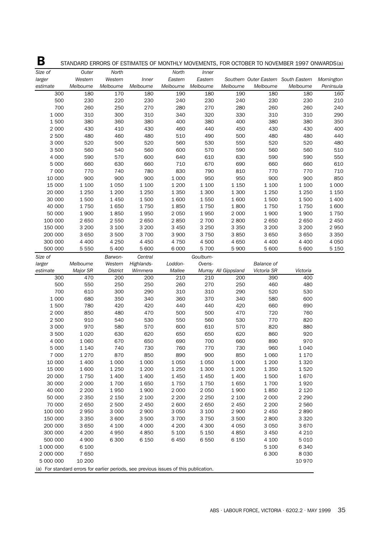| Β                                                                                     |           |                 |            |           |           |                      |                   | STANDARD ERRORS OF ESTIMATES OF MONTHLY MOVEMENTS, FOR OCTOBER TO NOVEMBER 1997 ONWARDS(a) |            |
|---------------------------------------------------------------------------------------|-----------|-----------------|------------|-----------|-----------|----------------------|-------------------|--------------------------------------------------------------------------------------------|------------|
| Size of                                                                               | Outer     | North           |            | North     | Inner     |                      |                   |                                                                                            |            |
| larger                                                                                | Western   | Western         | Inner      | Eastern   | Eastern   |                      |                   | Southern Outer Eastern South Eastern                                                       | Mornington |
| estimate                                                                              | Melbourne | Melbourne       | Melbourne  | Melbourne | Melbourne | Melbourne            | Melbourne         | Melbourne                                                                                  | Peninsula  |
| 300                                                                                   | 180       | 170             | 180        | 190       | 180       | 190                  | 180               | 180                                                                                        | 160        |
| 500                                                                                   | 230       | 220             | 230        | 240       | 230       | 240                  | 230               | 230                                                                                        | 210        |
| 700                                                                                   | 260       | 250             | 270        | 280       | 270       | 280                  | 260               | 260                                                                                        | 240        |
| 1 0 0 0                                                                               | 310       | 300             | 310        | 340       | 320       | 330                  | 310               | 310                                                                                        | 290        |
| 1500                                                                                  | 380       | 360             | 380        | 400       | 380       | 400                  | 380               | 380                                                                                        | 350        |
| 2 0 0 0                                                                               | 430       | 410             | 430        | 460       | 440       | 450                  | 430               | 430                                                                                        | 400        |
| 2 500                                                                                 | 480       | 460             | 480        | 510       | 490       | 500                  | 480               | 480                                                                                        | 440        |
| 3 0 0 0                                                                               | 520       | 500             | 520        | 560       | 530       | 550                  | 520               | 520                                                                                        | 480        |
| 3 500                                                                                 | 560       | 540             | 560        | 600       | 570       | 590                  | 560               | 560                                                                                        | 510        |
| 4 0 0 0                                                                               | 590       | 570             | 600        | 640       | 610       | 630                  | 590               | 590                                                                                        | 550        |
| 5 0 0 0                                                                               | 660       | 630             | 660        | 710       | 670       | 690                  | 660               | 660                                                                                        | 610        |
| 7 000                                                                                 | 770       | 740             | 780        | 830       | 790       | 810                  | 770               | 770                                                                                        | 710        |
|                                                                                       | 900       | 900             | 900        |           |           | 950                  |                   | 900                                                                                        | 850        |
| 10 000                                                                                |           |                 |            | 1 0 0 0   | 950       |                      | 900               |                                                                                            |            |
| 15 000                                                                                | 1 100     | 1 0 5 0         | 1 100      | 1 200     | 1 100     | 1 1 5 0              | 1 100             | 1 100                                                                                      | 1 0 0 0    |
| 20 000                                                                                | 1 2 5 0   | 1 200           | 1 2 5 0    | 1 3 5 0   | 1 300     | 1 300                | 1 2 5 0           | 1 2 5 0                                                                                    | 1 1 5 0    |
| 30 000                                                                                | 1500      | 1450            | 1500       | 1600      | 1550      | 1600                 | 1500              | 1500                                                                                       | 1 400      |
| 40 000                                                                                | 1750      | 1650            | 1750       | 1850      | 1750      | 1800                 | 1750              | 1750                                                                                       | 1600       |
| 50 000                                                                                | 1900      | 1850            | 1950       | 2 0 5 0   | 1950      | 2 0 0 0              | 1900              | 1900                                                                                       | 1750       |
| 100 000                                                                               | 2 6 5 0   | 2 5 5 0         | 2 6 5 0    | 2850      | 2 700     | 2800                 | 2 6 5 0           | 2 6 5 0                                                                                    | 2 4 5 0    |
| 150 000                                                                               | 3 2 0 0   | 3 100           | 3 2 0 0    | 3 4 5 0   | 3 2 5 0   | 3 3 5 0              | 3 200             | 3 200                                                                                      | 2950       |
| 200 000                                                                               | 3 6 5 0   | 3500            | 3 700      | 3 9 0 0   | 3750      | 3850                 | 3 650             | 3 6 5 0                                                                                    | 3 3 5 0    |
| 300 000                                                                               | 4 4 0 0   | 4 2 5 0         | 4 4 5 0    | 4 7 5 0   | 4500      | 4 6 5 0              | 4 4 0 0           | 4 4 0 0                                                                                    | 4 0 5 0    |
| 500 000                                                                               | 5 5 5 0   | 5 400           | 5 600      | 6 0 0 0   | 5 700     | 5 9 0 0              | 5 600             | 5 600                                                                                      | 5 1 5 0    |
| Size of                                                                               |           | Barwon-         | Central    |           | Goulburn- |                      |                   |                                                                                            |            |
| larger                                                                                | Melbourne | Western         | Highlands- | Loddon-   | Ovens-    |                      | <b>Balance of</b> |                                                                                            |            |
| estimate                                                                              | Major SR  | <b>District</b> | Wimmera    | Mallee    |           | Murray All Gippsland | Victoria SR       | Victoria                                                                                   |            |
| 300                                                                                   | 470       | 200             | 200        | 210       | 210       | 200                  | 390               | 400                                                                                        |            |
| 500                                                                                   | 550       | 250             | 250        | 260       | 270       | 250                  | 460               | 480                                                                                        |            |
| 700                                                                                   | 610       | 300             | 290        | 310       | 310       | 290                  | 520               | 530                                                                                        |            |
| 1 0 0 0                                                                               | 680       | 350             | 340        | 360       | 370       | 340                  | 580               | 600                                                                                        |            |
| 1 500                                                                                 | 780       | 420             | 420        | 440       | 440       | 420                  | 660               | 690                                                                                        |            |
| 2 0 0 0                                                                               | 850       | 480             | 470        | 500       | 500       | 470                  | 720               | 760                                                                                        |            |
| 2 500                                                                                 | 910       | 540             | 530        | 550       | 560       | 530                  | 770               | 820                                                                                        |            |
| 3 0 0 0                                                                               | 970       | 580             | 570        | 600       | 610       | 570                  | 820               | 880                                                                                        |            |
| 3 500                                                                                 | 1 0 2 0   | 630             | 620        | 650       | 650       | 620                  | 860               | 920                                                                                        |            |
|                                                                                       |           |                 |            |           |           |                      |                   |                                                                                            |            |
| 4 0 0 0                                                                               | 1 0 6 0   | 670             | 650        | 690       | 700       | 660                  | 890               | 970                                                                                        |            |
| 5 000                                                                                 | 1 140     | 740             | 730        | 760       | 770       | 730                  | 960               | 1 040                                                                                      |            |
| 7 0 0 0                                                                               | 1 2 7 0   | 870             | 850        | 890       | 900       | 850                  | 1 0 6 0           | 1 1 7 0                                                                                    |            |
| 10 000                                                                                | 1 400     | 1 0 0 0         | 1 0 0 0    | 1 0 5 0   | 1 0 5 0   | 1 0 0 0              | 1 200             | 1 3 2 0                                                                                    |            |
| 15 000                                                                                | 1600      | 1 2 5 0         | 1 200      | 1 2 5 0   | 1 300     | 1 200                | 1350              | 1520                                                                                       |            |
| 20 000                                                                                | 1750      | 1 400           | 1 400      | 1450      | 1 4 5 0   | 1 4 0 0              | 1500              | 1670                                                                                       |            |
| 30 000                                                                                | 2 0 0 0   | 1700            | 1650       | 1750      | 1750      | 1650                 | 1700              | 1920                                                                                       |            |
| 40 000                                                                                | 2 2 0 0   | 1950            | 1900       | 2 0 0 0   | 2 0 5 0   | 1900                 | 1850              | 2 1 2 0                                                                                    |            |
| 50 000                                                                                | 2 3 5 0   | 2 150           | 2 100      | 2 2 0 0   | 2 2 5 0   | 2 100                | 2 0 0 0           | 2 2 9 0                                                                                    |            |
| 70 000                                                                                | 2 6 5 0   | 2 500           | 2 4 5 0    | 2 600     | 2 6 5 0   | 2 4 5 0              | 2 2 0 0           | 2 5 6 0                                                                                    |            |
| 100 000                                                                               | 2 9 5 0   | 3 0 0 0         | 2 9 0 0    | 3 0 5 0   | 3 100     | 2 9 0 0              | 2 4 5 0           | 2890                                                                                       |            |
| 150 000                                                                               | 3 3 5 0   | 3 600           | 3 500      | 3 700     | 3 7 5 0   | 3 500                | 2800              | 3 3 2 0                                                                                    |            |
| 200 000                                                                               | 3 6 5 0   | 4 100           | 4 0 0 0    | 4 200     | 4 300     | 4 0 5 0              | 3 0 5 0           | 3670                                                                                       |            |
| 300 000                                                                               | 4 200     | 4 9 5 0         | 4 8 5 0    | $5\;100$  | 5 1 5 0   | 4850                 | 3 4 5 0           | 4 2 1 0                                                                                    |            |
| 500 000                                                                               | 4 9 0 0   | 6 300           | 6 1 5 0    | 6450      | 6 5 5 0   | 6 1 5 0              | 4 100             | 5 0 1 0                                                                                    |            |
| 1 000 000                                                                             | 6 100     |                 |            |           |           |                      | 5 100             | 6 3 4 0                                                                                    |            |
| 2 000 000                                                                             | 7650      |                 |            |           |           |                      | 6 3 0 0           | 8 0 3 0                                                                                    |            |
| 5 000 000                                                                             | 10 200    |                 |            |           |           |                      |                   | 10 970                                                                                     |            |
| (a) For standard errors for earlier periods, see previous issues of this publication. |           |                 |            |           |           |                      |                   |                                                                                            |            |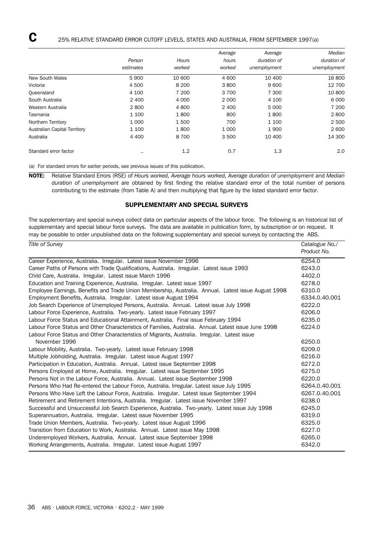|                                     |           |         | Average | Average      | Median       |
|-------------------------------------|-----------|---------|---------|--------------|--------------|
|                                     | Person    | Hours   | hours   | duration of  | duration of  |
|                                     | estimates | worked  | worked  | unemployment | unemployment |
| New South Wales                     | 5 9 0 0   | 10 600  | 4 600   | 10 400       | 16 800       |
| Victoria                            | 4 500     | 8 2 0 0 | 3800    | 9 600        | 12 700       |
| Queensland                          | 4 100     | 7 200   | 3 700   | 7 300        | 10 800       |
| South Australia                     | 2 4 0 0   | 4 0 0 0 | 2 0 0 0 | 4 100        | 6 0 0 0      |
| Western Australia                   | 2800      | 4 800   | 2 4 0 0 | 5 0 0 0      | 7 200        |
| Tasmania                            | 1 100     | 1800    | 800     | 1800         | 2800         |
| Northern Territory                  | 1 0 0 0   | 1500    | 700     | 1 100        | 2 500        |
| <b>Australian Capital Territory</b> | 1 100     | 1800    | 1 0 0 0 | 1900         | 2 600        |
| Australia                           | 4 4 0 0   | 8 7 0 0 | 3 500   | 10 400       | 14 300       |
| Standard error factor               | $\cdots$  | 1.2     | 0.7     | 1.3          | 2.0          |

(a) For standard errors for earlier periods, see previous issues of this publication.

NOTE: Relative Standard Errors (RSE) of *Hours worked, Average hours worked, Average duration of unemployment* and *Median duration of unemployment* are obtained by first finding the relative standard error of the total number of persons contributing to the estimate (from Table A) and then multiplying that figure by the listed standard error factor.

# SUPPLEMENTARY AND SPECIAL SURVEYS

The supplementary and special surveys collect data on particular aspects of the labour force. The following is an historical list of supplementary and special labour force surveys. The data are available in publication form, by subscription or on request. It may be possible to order unpublished data on the following supplementary and special surveys by contacting the ABS.

| Title of Survey                                                                                      | Catalogue No./ |
|------------------------------------------------------------------------------------------------------|----------------|
|                                                                                                      | Product No.    |
| Career Experience, Australia. Irregular. Latest issue November 1996                                  | 6254.0         |
| Career Paths of Persons with Trade Qualifications, Australia. Irregular. Latest issue 1993           | 6243.0         |
| Child Care, Australia. Irregular. Latest issue March 1996                                            | 4402.0         |
| Education and Training Experience, Australia. Irregular. Latest issue 1997                           | 6278.0         |
| Employee Earnings, Benefits and Trade Union Membership, Australia. Annual. Latest issue August 1998  | 6310.0         |
| Employment Benefits, Australia. Irregular. Latest issue August 1994                                  | 6334.0.40.001  |
| Job Search Experience of Unemployed Persons, Australia. Annual. Latest issue July 1998               | 6222.0         |
| Labour Force Experience, Australia. Two-yearly. Latest issue February 1997                           | 6206.0         |
| Labour Force Status and Educational Attainment, Australia. Final issue February 1994                 | 6235.0         |
| Labour Force Status and Other Characteristics of Families, Australia. Annual. Latest issue June 1998 | 6224.0         |
| Labour Force Status and Other Characteristics of Migrants, Australia. Irregular. Latest issue        |                |
| November 1996                                                                                        | 6250.0         |
| Labour Mobility, Australia. Two-yearly. Latest issue February 1998                                   | 6209.0         |
| Multiple Jobholding, Australia. Irregular. Latest issue August 1997                                  | 6216.0         |
| Participation in Education, Australia. Annual. Latest issue September 1998                           | 6272.0         |
| Persons Employed at Home, Australia. Irregular. Latest issue September 1995                          | 6275.0         |
| Persons Not in the Labour Force, Australia. Annual. Latest issue September 1998                      | 6220.0         |
| Persons Who Had Re-entered the Labour Force, Australia. Irregular. Latest issue July 1995            | 6264.0.40.001  |
| Persons Who Have Left the Labour Force, Australia. Irregular. Latest issue September 1994            | 6267.0.40.001  |
| Retirement and Retirement Intentions, Australia. Irregular. Latest issue November 1997               | 6238.0         |
| Successful and Unsuccessful Job Search Experience, Australia. Two-yearly. Latest issue July 1998     | 6245.0         |
| Superannuation, Australia. Irregular. Latest issue November 1995                                     | 6319.0         |
| Trade Union Members, Australia. Two-yearly. Latest issue August 1996                                 | 6325.0         |
| Transition from Education to Work, Australia. Annual. Latest issue May 1998                          | 6227.0         |
| Underemployed Workers, Australia. Annual. Latest issue September 1998                                | 6265.0         |
| Working Arrangements, Australia. Irregular. Latest issue August 1997                                 | 6342.0         |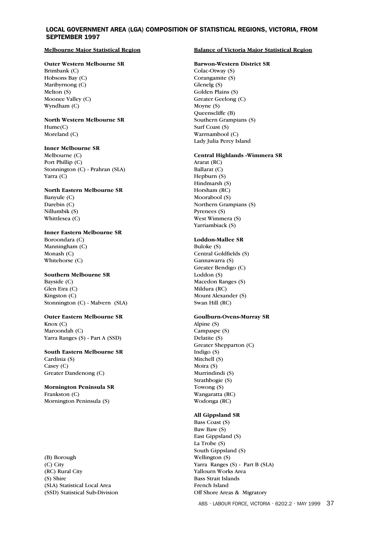# LOCAL GOVERNMENT AREA (LGA) COMPOSITION OF STATISTICAL REGIONS, VICTORIA, FROM SEPTEMBER 1997

#### **Melbourne Major Statistical Region**

# **Outer Western Melbourne SR**

Brimbank (C) Hobsons Bay (C) Maribyrnong (C) Melton (S) Moonee Valley (C) Wyndham (C)

#### **North Western Melbourne SR** Hume(C) Moreland (C)

# **Inner Melbourne SR**

Melbourne (C) Port Phillip (C) Stonnington (C) - Prahran (SLA) Yarra (C)

#### **North Eastern Melbourne SR**

Banyule (C) Darebin (C) Nillumbik (S) Whittlesea (C)

## **Inner Eastern Melbourne SR**

Boroondara (C) Manningham (C) Monash (C) Whitehorse (C)

#### **Southern Melbourne SR**

Bayside (C) Glen Eira (C) Kingston (C) Stonnington (C) - Malvern (SLA)

# **Outer Eastern Melbourne SR**

Knox (C) Maroondah (C) Yarra Ranges (S) - Part A (SSD)

### **South Eastern Melbourne SR** Cardinia (S) Casey (C) Greater Dandenong (C)

**Mornington Peninsula SR** Frankston (C) Mornington Peninsula (S)

(B) Borough (C) City (RC) Rural City (S) Shire (SLA) Statistical Local Area (SSD) Statistical Sub-Division

#### **Balance of Victoria Major Statistical Region**

#### **Barwon-Western District SR**

Colac-Otway (S) Corangamite (S) Glenelg (S) Golden Plains (S) Greater Geelong (C) Moyne (S) Queenscliffe (B) Southern Grampians (S) Surf Coast (S) Warrnambool (C) Lady Julia Percy Island

### **Central Highlands -Wimmera SR**

Ararat (RC) Ballarat (C) Hepburn (S) Hindmarsh (S) Horsham (RC) Moorabool (S) Northern Grampians (S) Pyrenees (S) West Wimmera (S) Yarriambiack (S)

### **Loddon-Mallee SR**

Buloke (S) Central Goldfields (S) Gannawarra (S) Greater Bendigo (C) Loddon (S) Macedon Ranges (S) Mildura (RC) Mount Alexander (S) Swan Hill (RC)

#### **Goulburn-Ovens-Murray SR**

Alpine (S) Campaspe (S) Delatite (S) Greater Shepparton (C) Indigo (S) Mitchell (S) Moira (S) Murrindindi (S) Strathbogie (S) Towong (S) Wangaratta (RC) Wodonga (RC)

# **All Gippsland SR**

Bass Coast (S) Baw Baw (S) East Gippsland (S) La Trobe (S) South Gippsland (S) Wellington (S) Yarra Ranges (S) - Part B (SLA) Yallourn Works Area Bass Strait Islands French Island Off Shore Areas & Migratory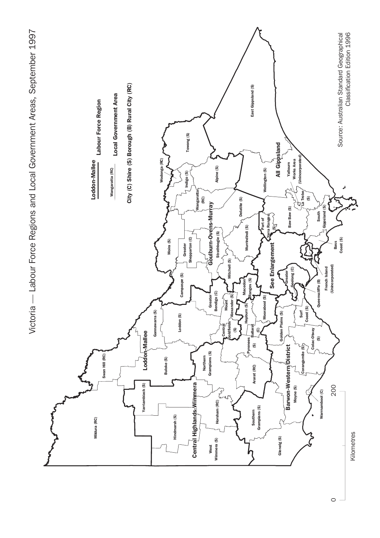

 $\circ$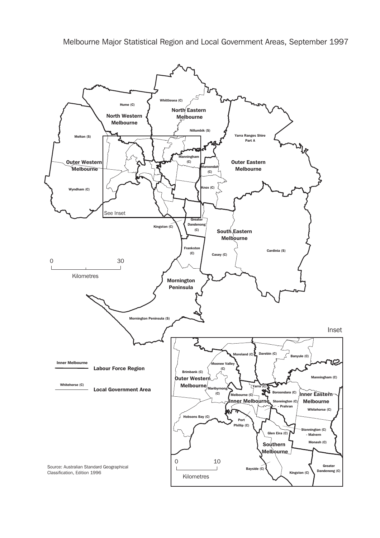Melbourne Major Statistical Region and Local Government Areas, September 1997